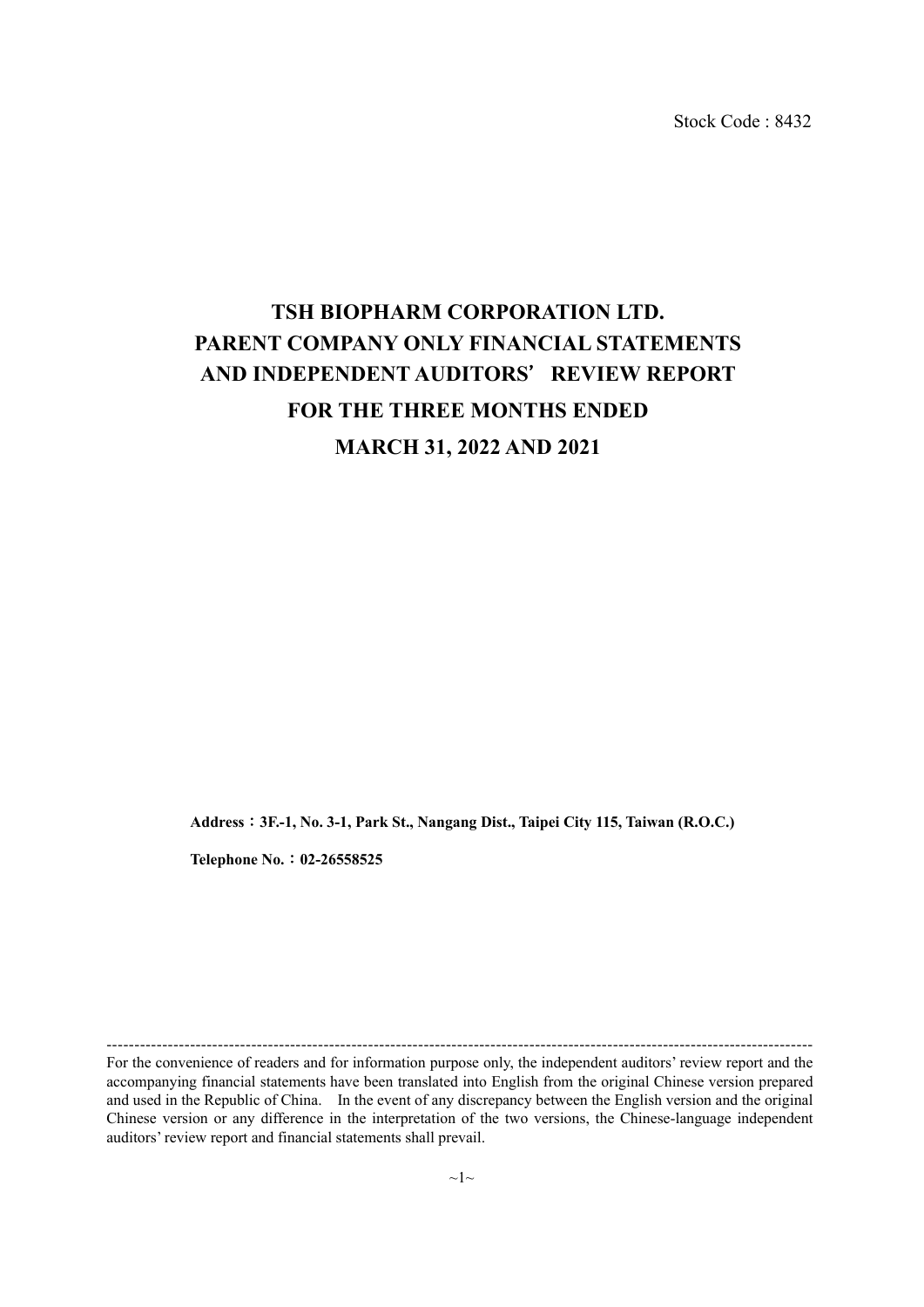Stock Code : 8432

# **TSH BIOPHARM CORPORATION LTD. PARENT COMPANY ONLY FINANCIAL STATEMENTS AND INDEPENDENT AUDITORS**'**REVIEW REPORT FOR THE THREE MONTHS ENDED MARCH 31, 2022 AND 2021**

**Address**:**3F.-1, No. 3-1, Park St., Nangang Dist., Taipei City 115, Taiwan (R.O.C.)** 

**Telephone No.**:**02-26558525** 

For the convenience of readers and for information purpose only, the independent auditors' review report and the accompanying financial statements have been translated into English from the original Chinese version prepared and used in the Republic of China. In the event of any discrepancy between the English version and the original Chinese version or any difference in the interpretation of the two versions, the Chinese-language independent auditors' review report and financial statements shall prevail.

-------------------------------------------------------------------------------------------------------------------------------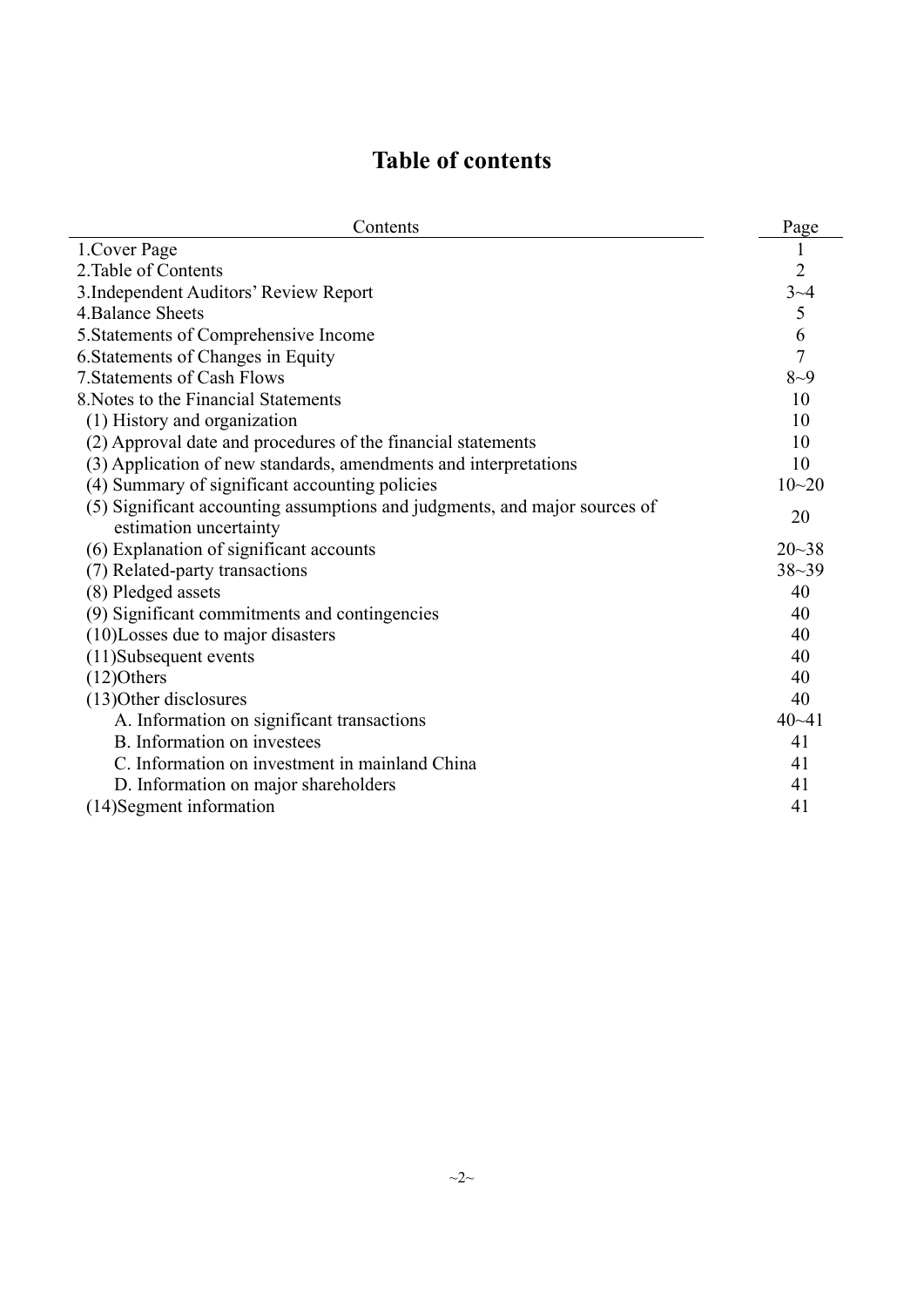# **Table of contents**

| Contents                                                                   | Page           |
|----------------------------------------------------------------------------|----------------|
| 1. Cover Page                                                              |                |
| 2. Table of Contents                                                       | $\overline{2}$ |
| 3. Independent Auditors' Review Report                                     | $3 - 4$        |
| 4. Balance Sheets                                                          | $\sqrt{5}$     |
| 5. Statements of Comprehensive Income                                      | 6              |
| 6. Statements of Changes in Equity                                         | $\overline{7}$ |
| <b>7. Statements of Cash Flows</b>                                         | $8 - 9$        |
| 8. Notes to the Financial Statements                                       | 10             |
| (1) History and organization                                               | 10             |
| (2) Approval date and procedures of the financial statements               | 10             |
| (3) Application of new standards, amendments and interpretations           | 10             |
| (4) Summary of significant accounting policies                             | $10 - 20$      |
| (5) Significant accounting assumptions and judgments, and major sources of | 20             |
| estimation uncertainty                                                     |                |
| (6) Explanation of significant accounts                                    | $20 - 38$      |
| (7) Related-party transactions                                             | $38 - 39$      |
| (8) Pledged assets                                                         | 40             |
| (9) Significant commitments and contingencies                              | 40             |
| (10)Losses due to major disasters                                          | 40             |
| (11)Subsequent events                                                      | 40             |
| $(12)$ Others                                                              | 40             |
| (13) Other disclosures                                                     | 40             |
| A. Information on significant transactions                                 | $40 - 41$      |
| B. Information on investees                                                | 41             |
| C. Information on investment in mainland China                             | 41             |
| D. Information on major shareholders                                       | 41             |
| (14) Segment information                                                   | 41             |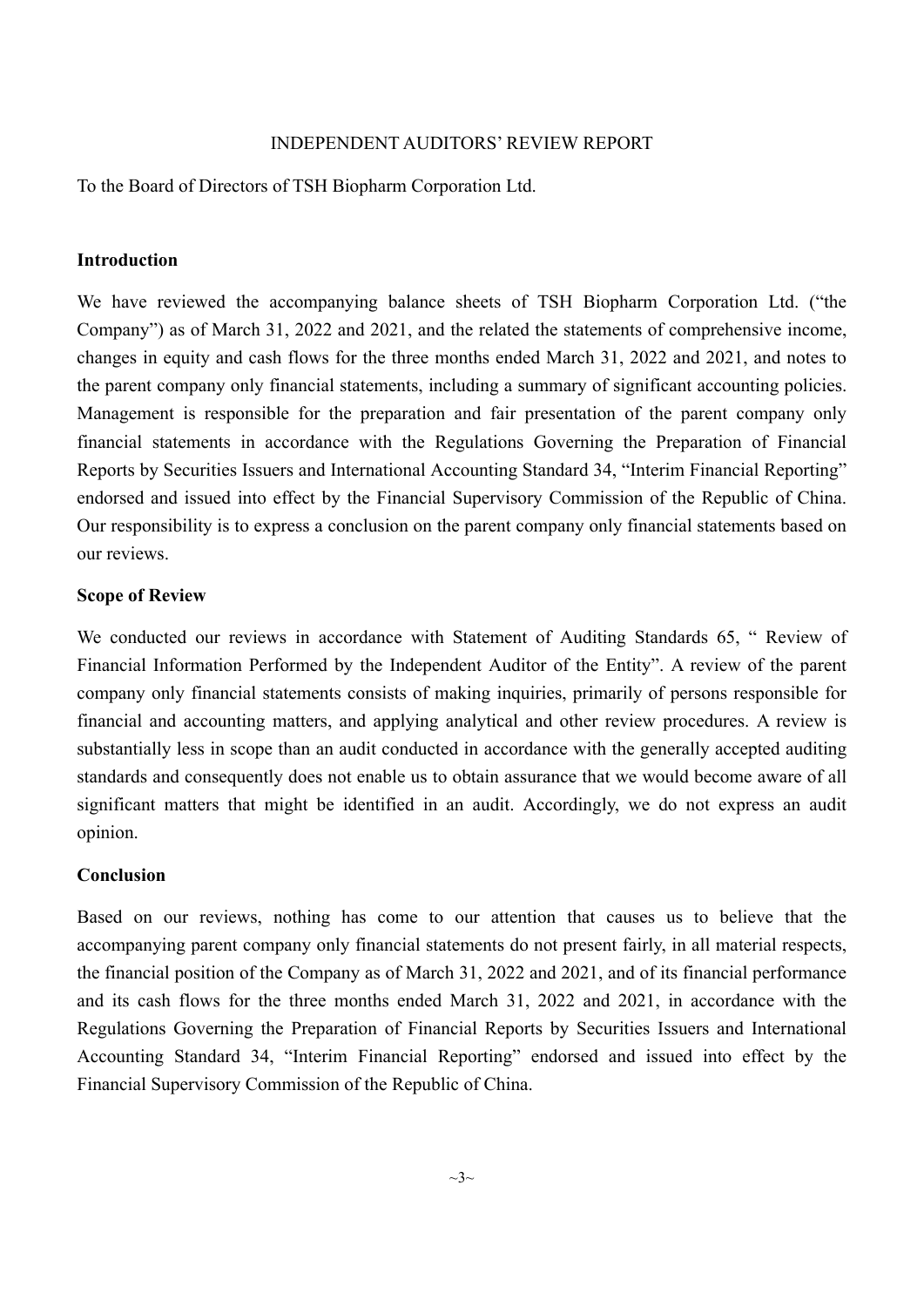#### INDEPENDENT AUDITORS' REVIEW REPORT

To the Board of Directors of TSH Biopharm Corporation Ltd.

#### **Introduction**

We have reviewed the accompanying balance sheets of TSH Biopharm Corporation Ltd. ("the Company") as of March 31, 2022 and 2021, and the related the statements of comprehensive income, changes in equity and cash flows for the three months ended March 31, 2022 and 2021, and notes to the parent company only financial statements, including a summary of significant accounting policies. Management is responsible for the preparation and fair presentation of the parent company only financial statements in accordance with the Regulations Governing the Preparation of Financial Reports by Securities Issuers and International Accounting Standard 34, "Interim Financial Reporting" endorsed and issued into effect by the Financial Supervisory Commission of the Republic of China. Our responsibility is to express a conclusion on the parent company only financial statements based on our reviews.

#### **Scope of Review**

We conducted our reviews in accordance with Statement of Auditing Standards 65, " Review of Financial Information Performed by the Independent Auditor of the Entity". A review of the parent company only financial statements consists of making inquiries, primarily of persons responsible for financial and accounting matters, and applying analytical and other review procedures. A review is substantially less in scope than an audit conducted in accordance with the generally accepted auditing standards and consequently does not enable us to obtain assurance that we would become aware of all significant matters that might be identified in an audit. Accordingly, we do not express an audit opinion.

#### **Conclusion**

Based on our reviews, nothing has come to our attention that causes us to believe that the accompanying parent company only financial statements do not present fairly, in all material respects, the financial position of the Company as of March 31, 2022 and 2021, and of its financial performance and its cash flows for the three months ended March 31, 2022 and 2021, in accordance with the Regulations Governing the Preparation of Financial Reports by Securities Issuers and International Accounting Standard 34, "Interim Financial Reporting" endorsed and issued into effect by the Financial Supervisory Commission of the Republic of China.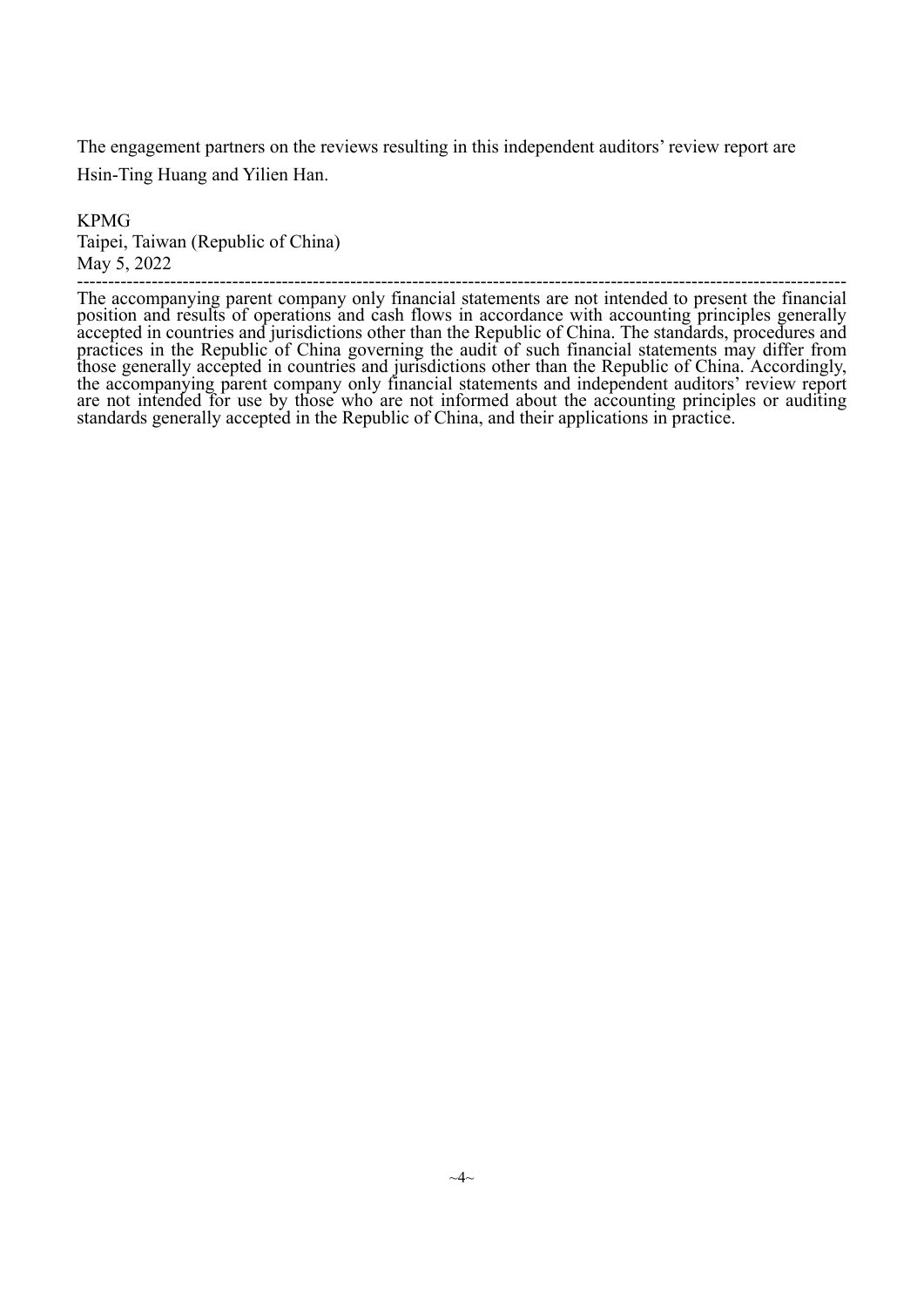The engagement partners on the reviews resulting in this independent auditors' review report are Hsin-Ting Huang and Yilien Han.

KPMG Taipei, Taiwan (Republic of China) May 5, 2022

The accompanying parent company only financial statements are not intended to present the financial<br>position and results of operations and cash flows in accordance with accounting principles generally<br>accepted in countries practices in the Republic of China governing the audit of such financial statements may differ from<br>those generally accepted in countries and jurisdictions other than the Republic of China. Accordingly,<br>the accompanying pa are not intended for use by those who are not informed about the accounting principles or auditing standards generally accepted in the Republic of China, and their applications in practice.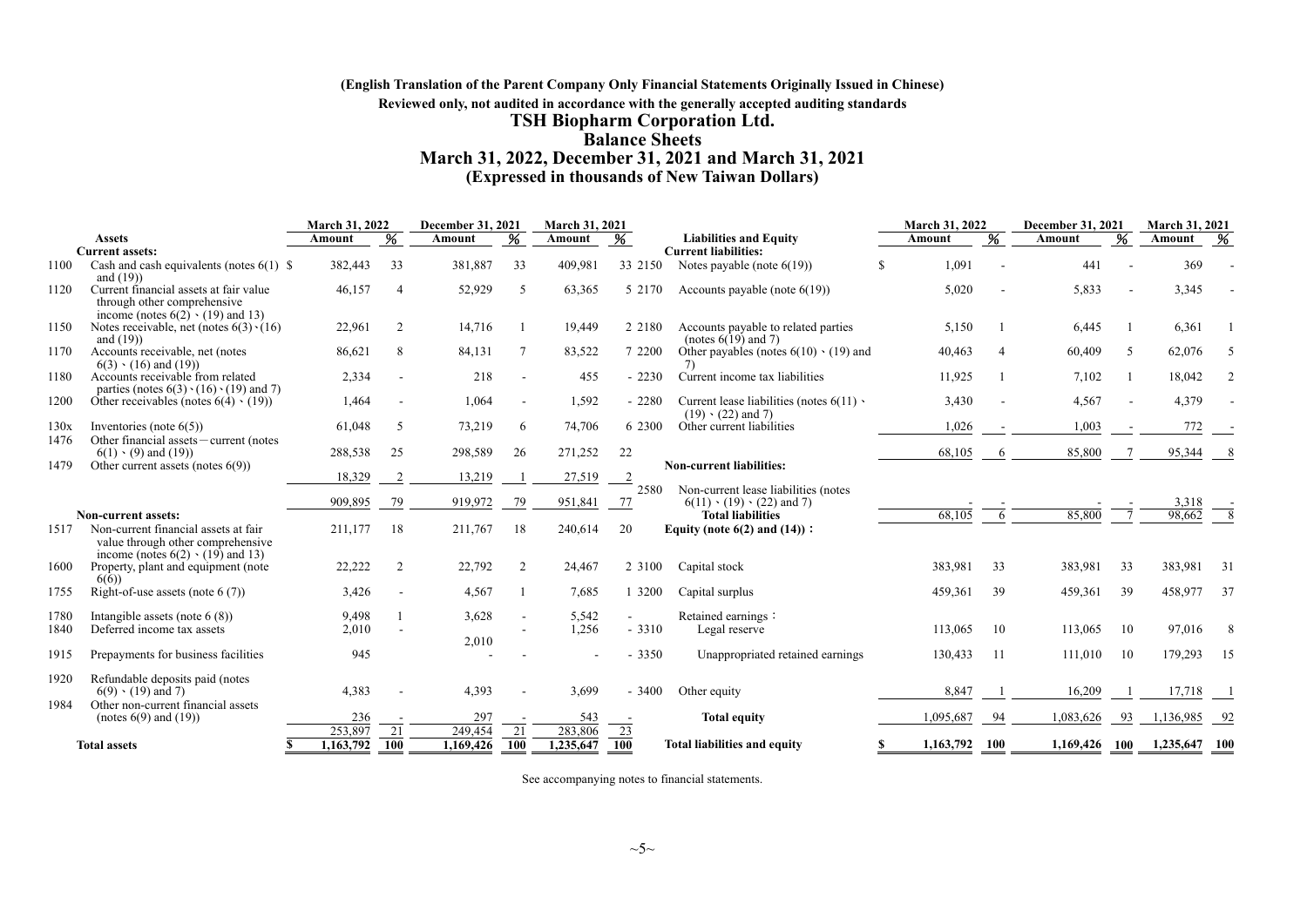#### **(English Translation of the Parent Company Only Financial Statements Originally Issued in Chinese) Reviewed only, not audited in accordance with the generally accepted auditing standards TSH Biopharm Corporation Ltd. Balance Sheets March 31, 2022, December 31, 2021 and March 31, 2021 (Expressed in thousands of New Taiwan Dollars)**

|              |                                                                                                                                               | March 31, 2022 |                  | <b>December 31, 2021</b> |                  | March 31, 2021 |            |                                                                              |     | March 31, 2022 |            | December 31, 2021 |     | <b>March 31, 2021</b> |      |
|--------------|-----------------------------------------------------------------------------------------------------------------------------------------------|----------------|------------------|--------------------------|------------------|----------------|------------|------------------------------------------------------------------------------|-----|----------------|------------|-------------------|-----|-----------------------|------|
|              | <b>Assets</b>                                                                                                                                 | Amount         |                  | Amount                   | %                | Amount         |            | <b>Liabilities and Equity</b>                                                |     | Amount         |            | Amount            |     | Amount                | 96   |
|              | <b>Current assets:</b>                                                                                                                        |                |                  |                          |                  |                |            | <b>Current liabilities:</b>                                                  |     |                |            |                   |     |                       |      |
| 1100         | Cash and cash equivalents (notes $6(1)$ ) \$<br>and $(19)$                                                                                    | 382,443        | 33               | 381,887                  | 33               | 409,981        | 33 2150    | Notes payable (note $6(19)$ )                                                | \$. | 1,091          |            | 441               |     | 369                   |      |
| 1120         | Current financial assets at fair value<br>through other comprehensive<br>income (notes $6(2) \cdot (19)$ and 13)                              | 46,157         | $\overline{4}$   | 52,929                   | .5               | 63,365         | 5 2170     | Accounts payable (note $6(19)$ )                                             |     | 5,020          |            | 5,833             |     | 3,345                 |      |
| 1150         | Notes receivable, net (notes $6(3) \cdot (16)$ )<br>and $(19)$                                                                                | 22,961         | $\overline{2}$   | 14,716                   |                  | 19,449         | 2 2 1 8 0  | Accounts payable to related parties<br>(notes $6(19)$ and 7)                 |     | 5,150          |            | 6,445             |     | 6,361                 |      |
| 1170         | Accounts receivable, net (notes<br>$6(3) \cdot (16)$ and $(19)$                                                                               | 86,621         | 8                | 84,131                   |                  | 83,522         | 7 2200     | Other payables (notes $6(10) \cdot (19)$ ) and<br>7)                         |     | 40,463         | 4          | 60,409            | 5   | 62,076                |      |
| 1180         | Accounts receivable from related<br>parties (notes $6(3) \cdot (16) \cdot (19)$ and 7)                                                        | 2,334          | $\blacksquare$   | 218                      |                  | 455            | $-2230$    | Current income tax liabilities                                               |     | 11,925         |            | 7,102             |     | 18,042                |      |
| 1200         | Other receivables (notes $6(4) \cdot (19)$ )                                                                                                  | 1,464          |                  | 1,064                    |                  | 1,592          | $-2280$    | Current lease liabilities (notes $6(11)$ )<br>$(19) \cdot (22)$ and 7)       |     | 3,430          |            | 4,567             |     | 4,379                 |      |
| 130x<br>1476 | Inventories (note $6(5)$ )<br>Other financial assets - current (notes                                                                         | 61,048         | .5               | 73,219                   | 6                | 74,706         | 6 2300     | Other current liabilities                                                    |     | 1,026          |            | 1,003             |     | 772                   |      |
|              | $6(1) \cdot (9)$ and $(19)$                                                                                                                   | 288,538        | 25               | 298,589                  | 26               | 271,252        | 22         |                                                                              |     | 68,105         | 6          | 85,800            |     | 95,344                |      |
| 1479         | Other current assets (notes $6(9)$ )                                                                                                          | 18,329         | $\overline{2}$   | 13,219                   |                  | 27,519         |            | <b>Non-current liabilities:</b>                                              |     |                |            |                   |     |                       |      |
|              |                                                                                                                                               | 909,895        | 79               | 919,972                  | 79               | 951,841        | 2580<br>77 | Non-current lease liabilities (notes<br>$6(11) \cdot (19) \cdot (22)$ and 7) |     |                |            |                   |     | 3,318                 |      |
| 1517         | Non-current assets:<br>Non-current financial assets at fair<br>value through other comprehensive<br>income (notes $6(2) \cdot (19)$ ) and 13) | 211,177        | 18               | 211,767                  | 18               | 240,614        | 20         | <b>Total liabilities</b><br>Equity (note $6(2)$ and $(14)$ ):                |     | 68,105         | -6         | 85,800            |     | 98,662                |      |
| 1600         | Property, plant and equipment (note<br>6(6)                                                                                                   | 22,222         | 2                | 22,792                   | 2                | 24,467         | 2 3 1 0 0  | Capital stock                                                                |     | 383,981        | 33         | 383,981           | 33  | 383,981               | -31  |
| 1755         | Right-of-use assets (note $6(7)$ )                                                                                                            | 3,426          |                  | 4,567                    |                  | 7,685          | 3200       | Capital surplus                                                              |     | 459,361        | 39         | 459,361           | 39  | 458,977               | 37   |
| 1780<br>1840 | Intangible assets (note $6(8)$ )<br>Deferred income tax assets                                                                                | 9,498<br>2,010 |                  | 3,628<br>2,010           |                  | 5,542<br>1,256 | $-3310$    | Retained earnings:<br>Legal reserve                                          |     | 113,065        | 10         | 113,065           | 10  | 97,016                |      |
| 1915         | Prepayments for business facilities                                                                                                           | 945            |                  |                          |                  |                | $-3350$    | Unappropriated retained earnings                                             |     | 130,433        | -11        | 111,010           | 10  | 179,293               | 15   |
| 1920<br>1984 | Refundable deposits paid (notes<br>$6(9) \cdot (19)$ and 7)<br>Other non-current financial assets                                             | 4,383          |                  | 4,393                    |                  | 3.699          | $-3400$    | Other equity                                                                 |     | 8,847          |            | 16,209            |     | 17.718                |      |
|              | (notes $6(9)$ and $(19)$ )                                                                                                                    | 236<br>253,897 |                  | 297<br>249,454           |                  | 543<br>283,806 |            | <b>Total equity</b>                                                          |     | 1,095,687      | -94        | .083,626          | -93 | 1,136,985             | - 92 |
|              | <b>Total assets</b><br>\$                                                                                                                     | 1,163,792      | 21<br><b>100</b> | 1,169,426                | 21<br><b>100</b> | 1,235,647      | 23<br>100  | <b>Total liabilities and equity</b>                                          | S   | 1,163,792      | <b>100</b> | 1,169,426 100     |     | 1,235,647 100         |      |
|              |                                                                                                                                               |                |                  |                          |                  |                |            |                                                                              |     |                |            |                   |     |                       |      |

See accompanying notes to financial statements.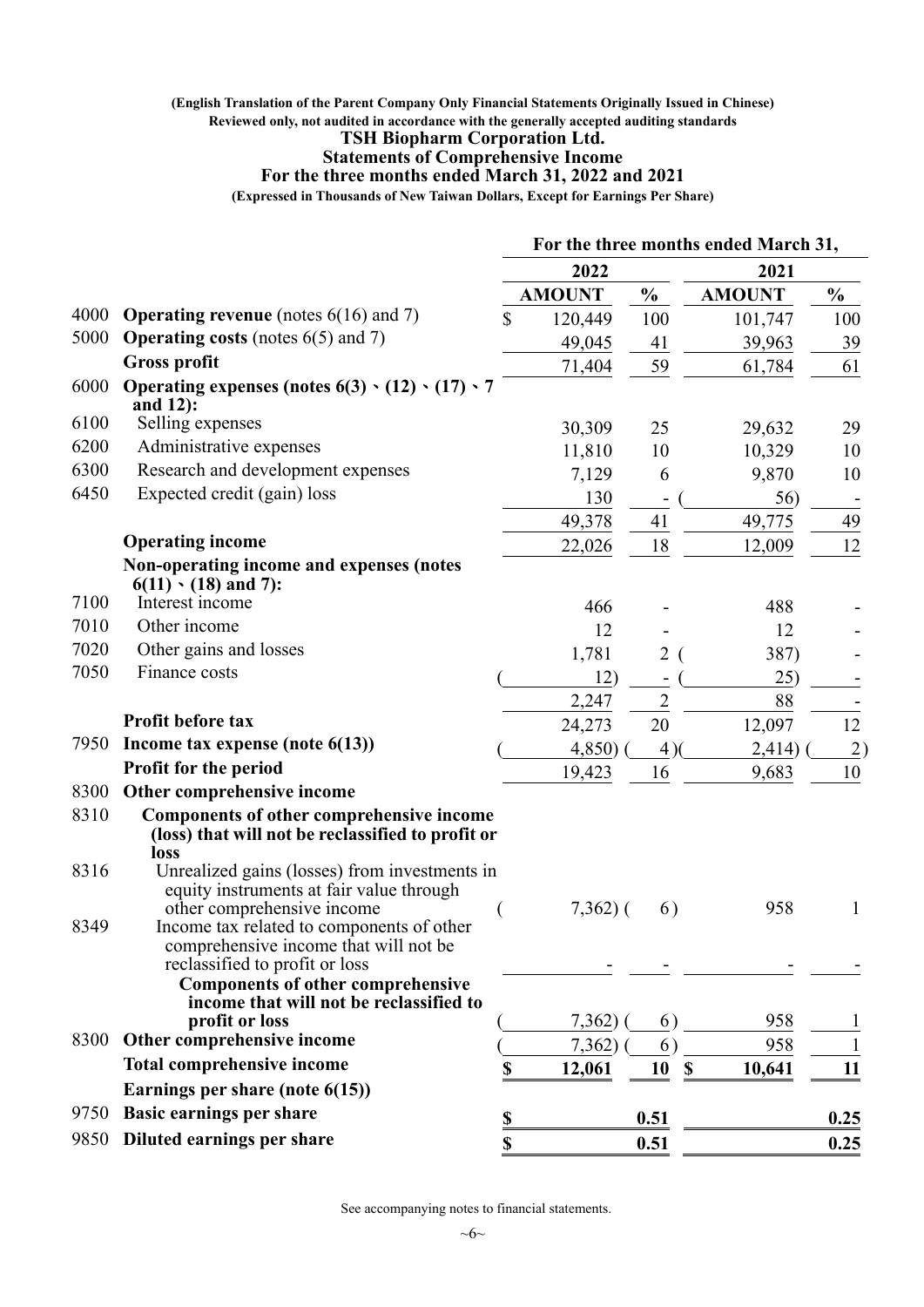#### **(English Translation of the Parent Company Only Financial Statements Originally Issued in Chinese) Reviewed only, not audited in accordance with the generally accepted auditing standards**

#### **TSH Biopharm Corporation Ltd.**

#### **Statements of Comprehensive Income**

#### **For the three months ended March 31, 2022 and 2021**

**(Expressed in Thousands of New Taiwan Dollars, Except for Earnings Per Share)**

|      |                                                                                                                         | For the three months ended March 31, |               |                |                                     |                 |  |
|------|-------------------------------------------------------------------------------------------------------------------------|--------------------------------------|---------------|----------------|-------------------------------------|-----------------|--|
|      |                                                                                                                         | 2022                                 |               |                | 2021                                |                 |  |
|      |                                                                                                                         |                                      | <b>AMOUNT</b> | $\frac{1}{2}$  | <b>AMOUNT</b>                       | $\frac{1}{2}$   |  |
| 4000 | <b>Operating revenue</b> (notes $6(16)$ and 7)                                                                          | \$                                   | 120,449       | 100            | 101,747                             | 100             |  |
| 5000 | <b>Operating costs</b> (notes $6(5)$ and 7)                                                                             |                                      | 49,045        | 41             | 39,963                              | 39              |  |
|      | <b>Gross profit</b>                                                                                                     |                                      | 71,404        | 59             | 61,784                              | 61              |  |
| 6000 | Operating expenses (notes $6(3) \cdot (12) \cdot (17) \cdot 7$<br>and 12):                                              |                                      |               |                |                                     |                 |  |
| 6100 | Selling expenses                                                                                                        |                                      | 30,309        | 25             | 29,632                              | 29              |  |
| 6200 | Administrative expenses                                                                                                 |                                      | 11,810        | 10             | 10,329                              | 10              |  |
| 6300 | Research and development expenses                                                                                       |                                      | 7,129         | 6              | 9,870                               | 10              |  |
| 6450 | Expected credit (gain) loss                                                                                             |                                      | 130           |                | 56)                                 |                 |  |
|      |                                                                                                                         |                                      | 49,378        | 41             | 49,775                              | 49              |  |
|      | <b>Operating income</b>                                                                                                 |                                      | 22,026        | 18             | 12,009                              | 12              |  |
|      | Non-operating income and expenses (notes<br>$6(11)$ (18) and 7):                                                        |                                      |               |                |                                     |                 |  |
| 7100 | Interest income                                                                                                         |                                      | 466           |                | 488                                 |                 |  |
| 7010 | Other income                                                                                                            |                                      | 12            |                | 12                                  |                 |  |
| 7020 | Other gains and losses                                                                                                  |                                      | 1,781         | $\overline{2}$ | 387)                                |                 |  |
| 7050 | Finance costs                                                                                                           |                                      | 12)           |                | 25)                                 |                 |  |
|      |                                                                                                                         |                                      | 2,247         | $\overline{2}$ | 88                                  |                 |  |
|      | Profit before tax                                                                                                       |                                      | 24,273        | 20             | 12,097                              | 12              |  |
| 7950 | Income tax expense (note $6(13)$ )                                                                                      |                                      | 4,850)        | 4)             | 2,414)                              | $\overline{2})$ |  |
|      | Profit for the period                                                                                                   |                                      | 19,423        | 16             | 9,683                               | 10              |  |
| 8300 | Other comprehensive income                                                                                              |                                      |               |                |                                     |                 |  |
| 8310 | Components of other comprehensive income<br>(loss) that will not be reclassified to profit or<br>loss                   |                                      |               |                |                                     |                 |  |
| 8316 | Unrealized gains (losses) from investments in<br>equity instruments at fair value through<br>other comprehensive income |                                      | $7,362$ ) (   | 6)             | 958                                 | 1               |  |
| 8349 | Income tax related to components of other<br>comprehensive income that will not be<br>reclassified to profit or loss    |                                      |               |                |                                     |                 |  |
|      | <b>Components of other comprehensive</b><br>income that will not be reclassified to<br>profit or loss                   |                                      |               |                |                                     |                 |  |
| 8300 | Other comprehensive income                                                                                              |                                      | 7,362)        | 6)<br>6)       | 958<br>958                          | 1               |  |
|      | <b>Total comprehensive income</b>                                                                                       |                                      | 7,362)        |                |                                     |                 |  |
|      | Earnings per share (note $6(15)$ )                                                                                      | \$                                   | 12,061        | 10             | $\boldsymbol{\mathsf{S}}$<br>10,641 | 11              |  |
| 9750 | <b>Basic earnings per share</b>                                                                                         |                                      |               |                |                                     |                 |  |
|      |                                                                                                                         | \$                                   |               | 0.51           |                                     | 0.25            |  |
| 9850 | Diluted earnings per share                                                                                              | \$                                   |               | 0.51           |                                     | 0.25            |  |

See accompanying notes to financial statements.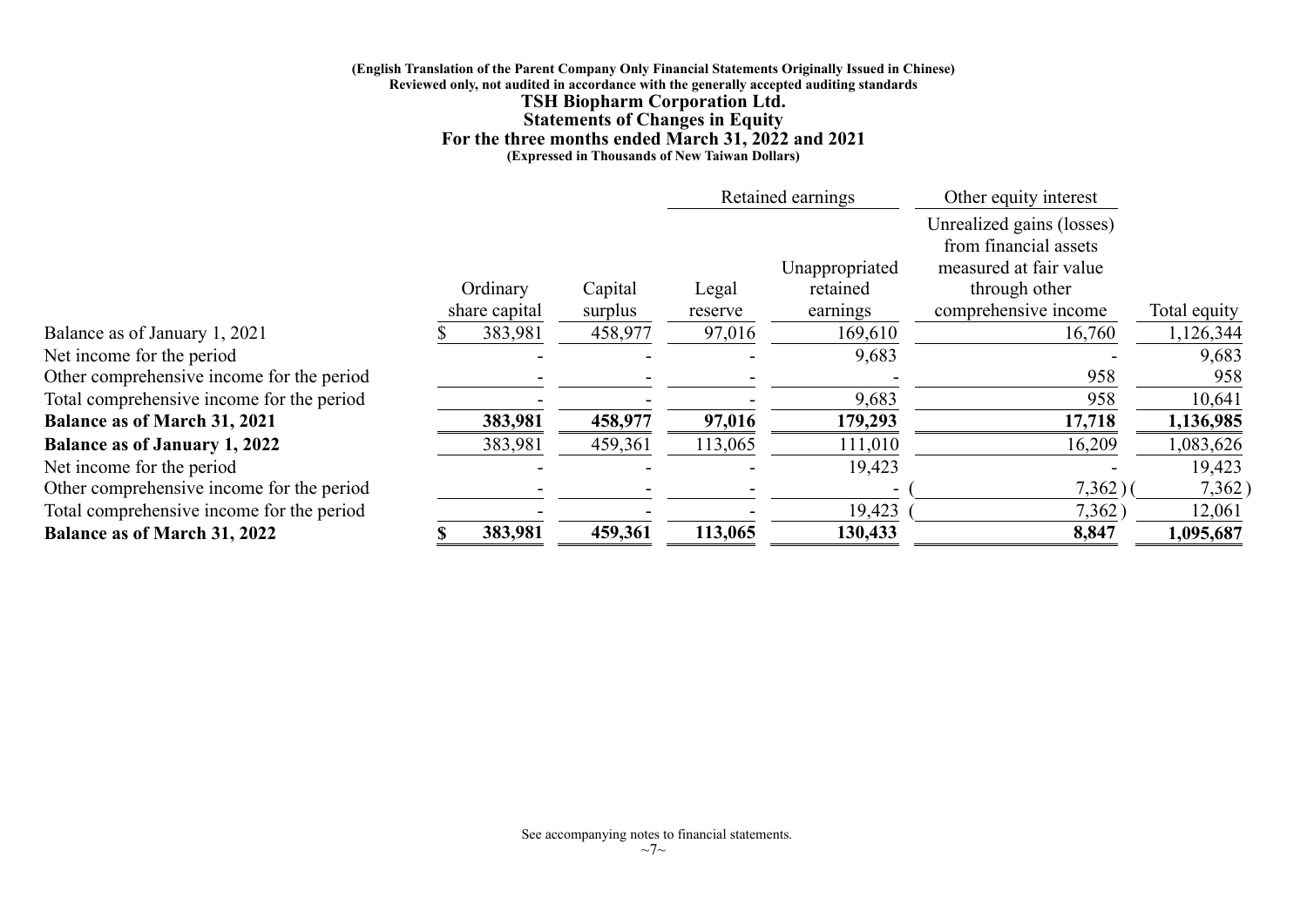#### **(English Translation of the Parent Company Only Financial Statements Originally Issued in Chinese) Reviewed only, not audited in accordance with the generally accepted auditing standards TSH Biopharm Corporation Ltd. Statements of Changes in Equity For the three months ended March 31, 2022 and 2021 (Expressed in Thousands of New Taiwan Dollars)**

|                                           |               |         |         | Retained earnings | Other equity interest                                                        |              |
|-------------------------------------------|---------------|---------|---------|-------------------|------------------------------------------------------------------------------|--------------|
|                                           |               |         |         | Unappropriated    | Unrealized gains (losses)<br>from financial assets<br>measured at fair value |              |
|                                           | Ordinary      | Capital | Legal   | retained          | through other                                                                |              |
|                                           | share capital | surplus | reserve | earnings          | comprehensive income                                                         | Total equity |
| Balance as of January 1, 2021             | 383,981       | 458,977 | 97,016  | 169,610           | 16,760                                                                       | 1,126,344    |
| Net income for the period                 |               |         |         | 9,683             |                                                                              | 9,683        |
| Other comprehensive income for the period |               |         |         |                   | 958                                                                          | 958          |
| Total comprehensive income for the period |               |         |         | 9,683             | 958                                                                          | 10,641       |
| <b>Balance as of March 31, 2021</b>       | 383,981       | 458,977 | 97,016  | 179,293           | 17,718                                                                       | 1,136,985    |
| <b>Balance as of January 1, 2022</b>      | 383,981       | 459,361 | 113,065 | 111,010           | 16,209                                                                       | 1,083,626    |
| Net income for the period                 |               |         |         | 19,423            |                                                                              | 19,423       |
| Other comprehensive income for the period |               |         |         |                   | 7,362)                                                                       | 7,362)       |
| Total comprehensive income for the period |               |         |         | 19,423            | 7,362                                                                        | 12,061       |
| <b>Balance as of March 31, 2022</b>       | 383,981       | 459,361 | 113,065 | 130,433           | 8,847                                                                        | 1,095,687    |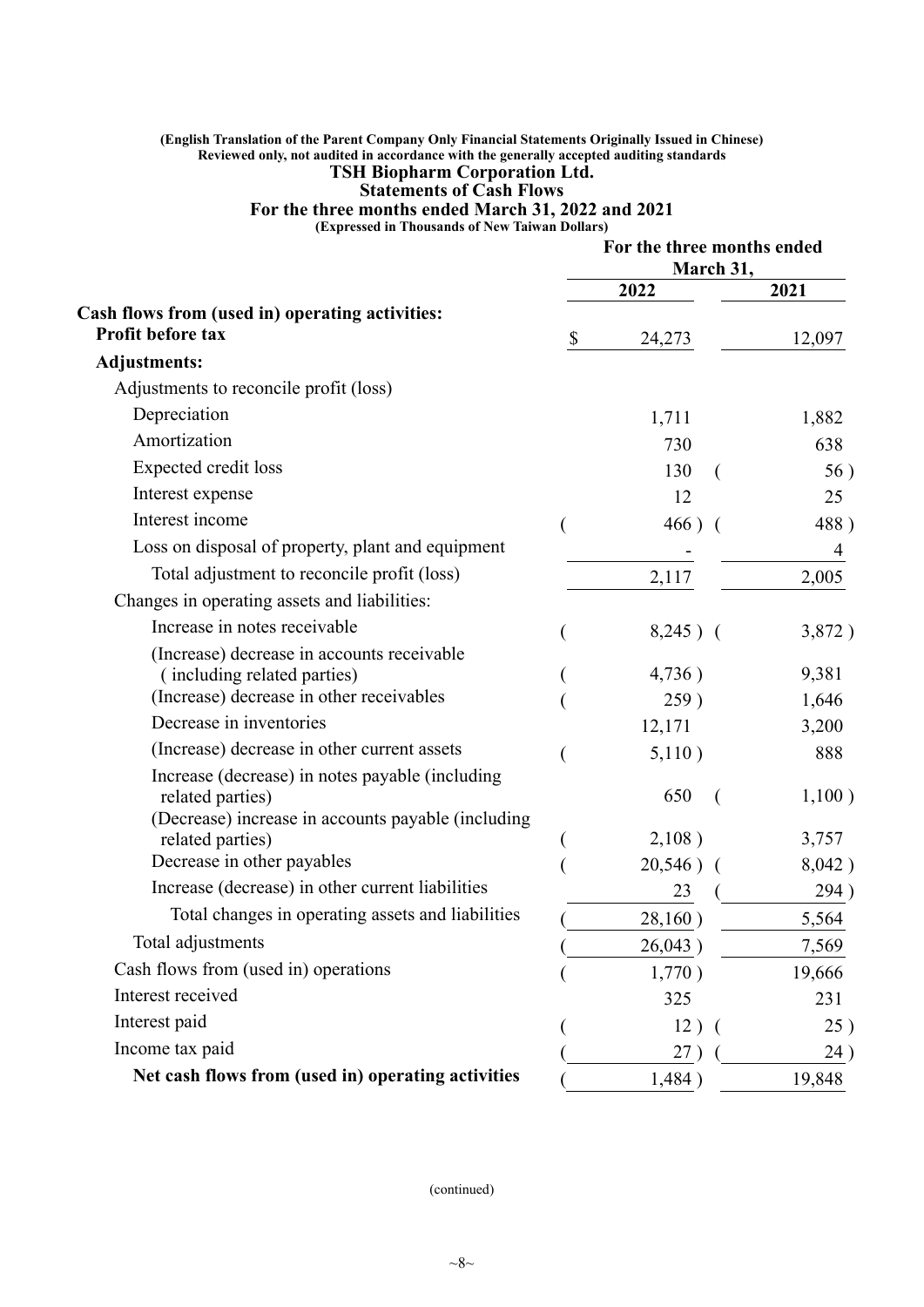#### **(English Translation of the Parent Company Only Financial Statements Originally Issued in Chinese) Reviewed only, not audited in accordance with the generally accepted auditing standards TSH Biopharm Corporation Ltd.**

## **Statements of Cash Flows**

**For the three months ended March 31, 2022 and 2021**

**(Expressed in Thousands of New Taiwan Dollars)**

|                                                    | For the three months ended<br>March 31, |        |
|----------------------------------------------------|-----------------------------------------|--------|
|                                                    | 2022                                    | 2021   |
| Cash flows from (used in) operating activities:    |                                         |        |
| Profit before tax                                  | \$<br>24,273                            | 12,097 |
| <b>Adjustments:</b>                                |                                         |        |
| Adjustments to reconcile profit (loss)             |                                         |        |
| Depreciation                                       | 1,711                                   | 1,882  |
| Amortization                                       | 730                                     | 638    |
| <b>Expected credit loss</b>                        | 130                                     | 56)    |
| Interest expense                                   | 12                                      | 25     |
| Interest income                                    | $466)$ (                                | 488)   |
| Loss on disposal of property, plant and equipment  |                                         | 4      |
| Total adjustment to reconcile profit (loss)        | 2,117                                   | 2,005  |
| Changes in operating assets and liabilities:       |                                         |        |
| Increase in notes receivable                       | $8,245)$ (                              | 3,872) |
| (Increase) decrease in accounts receivable         |                                         |        |
| (including related parties)                        | 4,736)                                  | 9,381  |
| (Increase) decrease in other receivables           | 259)                                    | 1,646  |
| Decrease in inventories                            | 12,171                                  | 3,200  |
| (Increase) decrease in other current assets        | 5,110)                                  | 888    |
| Increase (decrease) in notes payable (including    |                                         |        |
| related parties)                                   | 650                                     | 1,100) |
| (Decrease) increase in accounts payable (including | 2,108)                                  | 3,757  |
| related parties)<br>Decrease in other payables     |                                         |        |
| Increase (decrease) in other current liabilities   | 20,546)                                 | 8,042) |
| Total changes in operating assets and liabilities  | 23                                      | 294)   |
|                                                    | 28,160)                                 | 5,564  |
| Total adjustments                                  | 26,043)                                 | 7,569  |
| Cash flows from (used in) operations               | 1,770)                                  | 19,666 |
| Interest received                                  | 325                                     | 231    |
| Interest paid                                      | 12)                                     | 25)    |
| Income tax paid                                    | 27 <sup>2</sup>                         | 24)    |
| Net cash flows from (used in) operating activities | 1,484)                                  | 19,848 |
|                                                    |                                         |        |

(continued)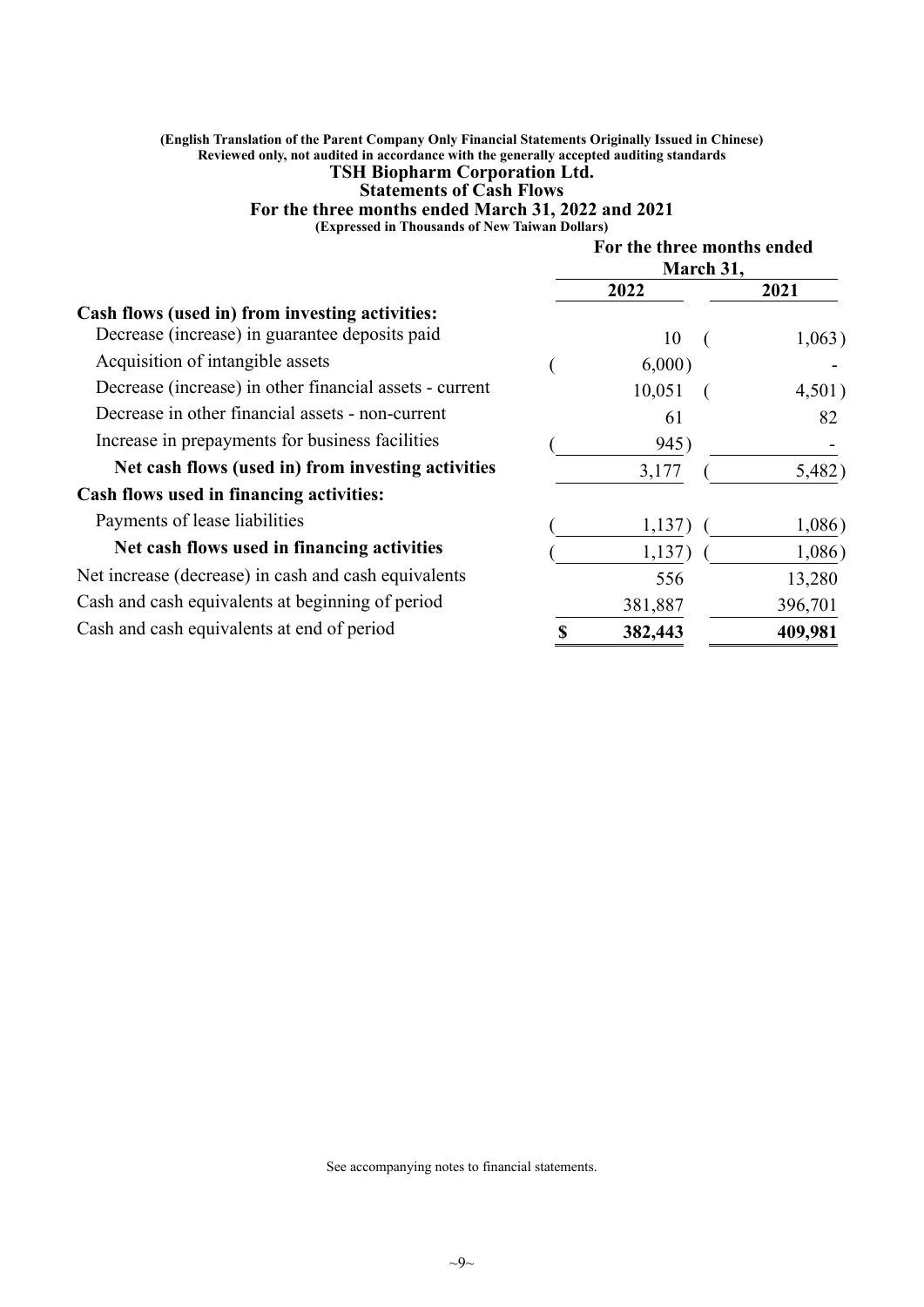#### **(English Translation of the Parent Company Only Financial Statements Originally Issued in Chinese) Reviewed only, not audited in accordance with the generally accepted auditing standards TSH Biopharm Corporation Ltd.**

## **Statements of Cash Flows**

**For the three months ended March 31, 2022 and 2021**

**(Expressed in Thousands of New Taiwan Dollars)**

|                                                         | For the three months ended<br>March 31, |  |         |  |
|---------------------------------------------------------|-----------------------------------------|--|---------|--|
|                                                         | 2022                                    |  | 2021    |  |
| Cash flows (used in) from investing activities:         |                                         |  |         |  |
| Decrease (increase) in guarantee deposits paid          | 10                                      |  | 1,063)  |  |
| Acquisition of intangible assets                        | 6,000)                                  |  |         |  |
| Decrease (increase) in other financial assets - current | 10,051                                  |  | 4,501)  |  |
| Decrease in other financial assets - non-current        | 61                                      |  | 82      |  |
| Increase in prepayments for business facilities         | 945)                                    |  |         |  |
| Net cash flows (used in) from investing activities      | 3,177                                   |  | 5,482)  |  |
| Cash flows used in financing activities:                |                                         |  |         |  |
| Payments of lease liabilities                           | 1,137                                   |  | 1,086)  |  |
| Net cash flows used in financing activities             | 1,137)                                  |  | 1,086)  |  |
| Net increase (decrease) in cash and cash equivalents    | 556                                     |  | 13,280  |  |
| Cash and cash equivalents at beginning of period        | 381,887                                 |  | 396,701 |  |
| Cash and cash equivalents at end of period              | 382,443                                 |  | 409,981 |  |

See accompanying notes to financial statements.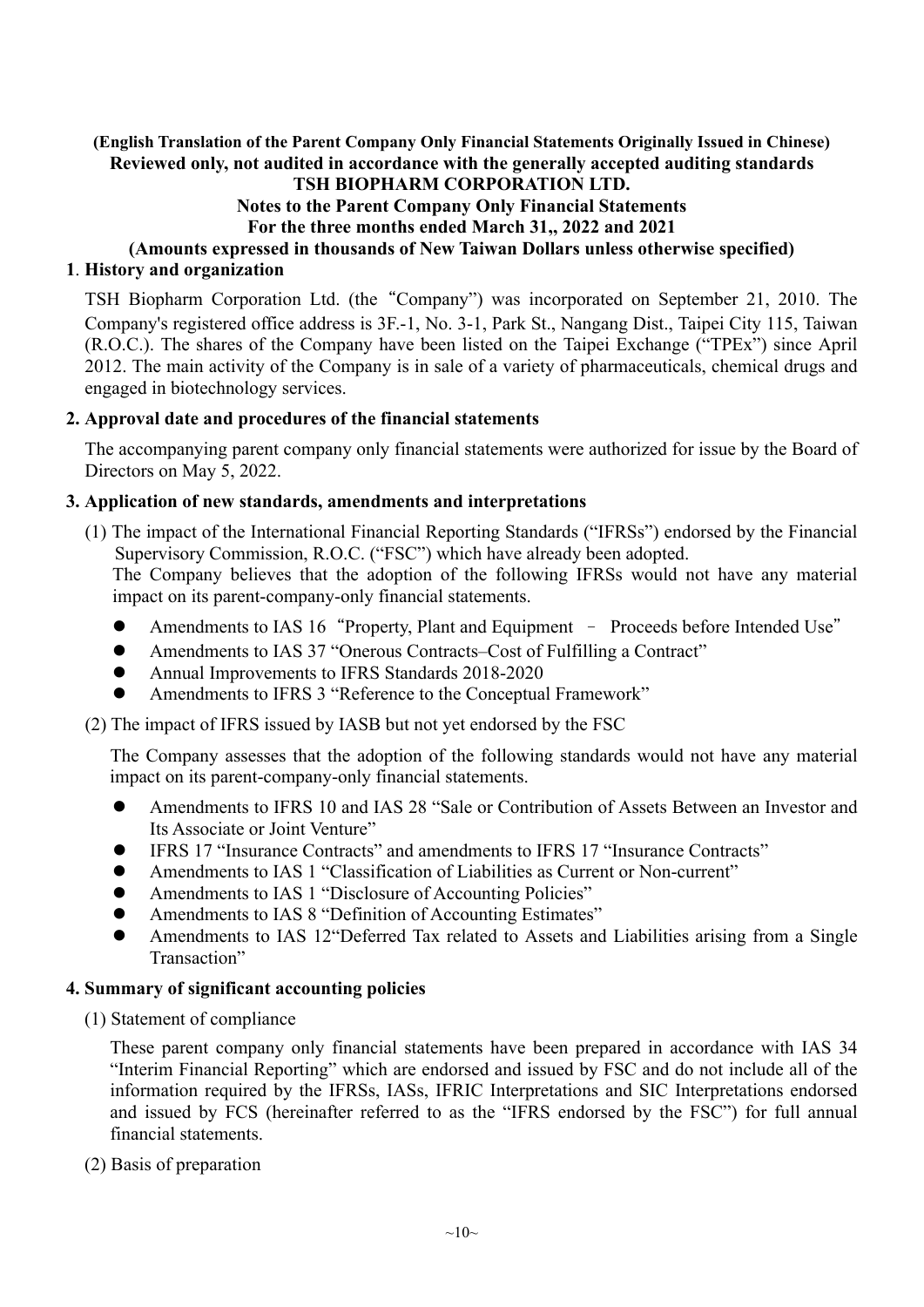## **(English Translation of the Parent Company Only Financial Statements Originally Issued in Chinese) Reviewed only, not audited in accordance with the generally accepted auditing standards**

## **TSH BIOPHARM CORPORATION LTD.**

## **Notes to the Parent Company Only Financial Statements**

**For the three months ended March 31,, 2022 and 2021** 

**(Amounts expressed in thousands of New Taiwan Dollars unless otherwise specified) 1**. **History and organization**

TSH Biopharm Corporation Ltd. (the"Company") was incorporated on September 21, 2010. The Company's registered office address is 3F.-1, No. 3-1, Park St., Nangang Dist., Taipei City 115, Taiwan (R.O.C.). The shares of the Company have been listed on the Taipei Exchange ("TPEx") since April 2012. The main activity of the Company is in sale of a variety of pharmaceuticals, chemical drugs and engaged in biotechnology services.

#### **2. Approval date and procedures of the financial statements**

The accompanying parent company only financial statements were authorized for issue by the Board of Directors on May 5, 2022.

#### **3. Application of new standards, amendments and interpretations**

(1) The impact of the International Financial Reporting Standards ("IFRSs") endorsed by the Financial Supervisory Commission, R.O.C. ("FSC") which have already been adopted.

The Company believes that the adoption of the following IFRSs would not have any material impact on its parent-company-only financial statements.

- Amendments to IAS 16"Property, Plant and Equipment Proceeds before Intended Use"
- Amendments to IAS 37 "Onerous Contracts–Cost of Fulfilling a Contract"
- Annual Improvements to IFRS Standards 2018-2020
- Amendments to IFRS 3 "Reference to the Conceptual Framework"

(2) The impact of IFRS issued by IASB but not yet endorsed by the FSC

The Company assesses that the adoption of the following standards would not have any material impact on its parent-company-only financial statements.

- Amendments to IFRS 10 and IAS 28 "Sale or Contribution of Assets Between an Investor and Its Associate or Joint Venture"
- IFRS 17 "Insurance Contracts" and amendments to IFRS 17 "Insurance Contracts"
- Amendments to IAS 1 "Classification of Liabilities as Current or Non-current"
- Amendments to IAS 1 "Disclosure of Accounting Policies"
- Amendments to IAS 8 "Definition of Accounting Estimates"
- Amendments to IAS 12"Deferred Tax related to Assets and Liabilities arising from a Single Transaction"

#### **4. Summary of significant accounting policies**

(1) Statement of compliance

These parent company only financial statements have been prepared in accordance with IAS 34 "Interim Financial Reporting" which are endorsed and issued by FSC and do not include all of the information required by the IFRSs, IASs, IFRIC Interpretations and SIC Interpretations endorsed and issued by FCS (hereinafter referred to as the "IFRS endorsed by the FSC") for full annual financial statements.

(2) Basis of preparation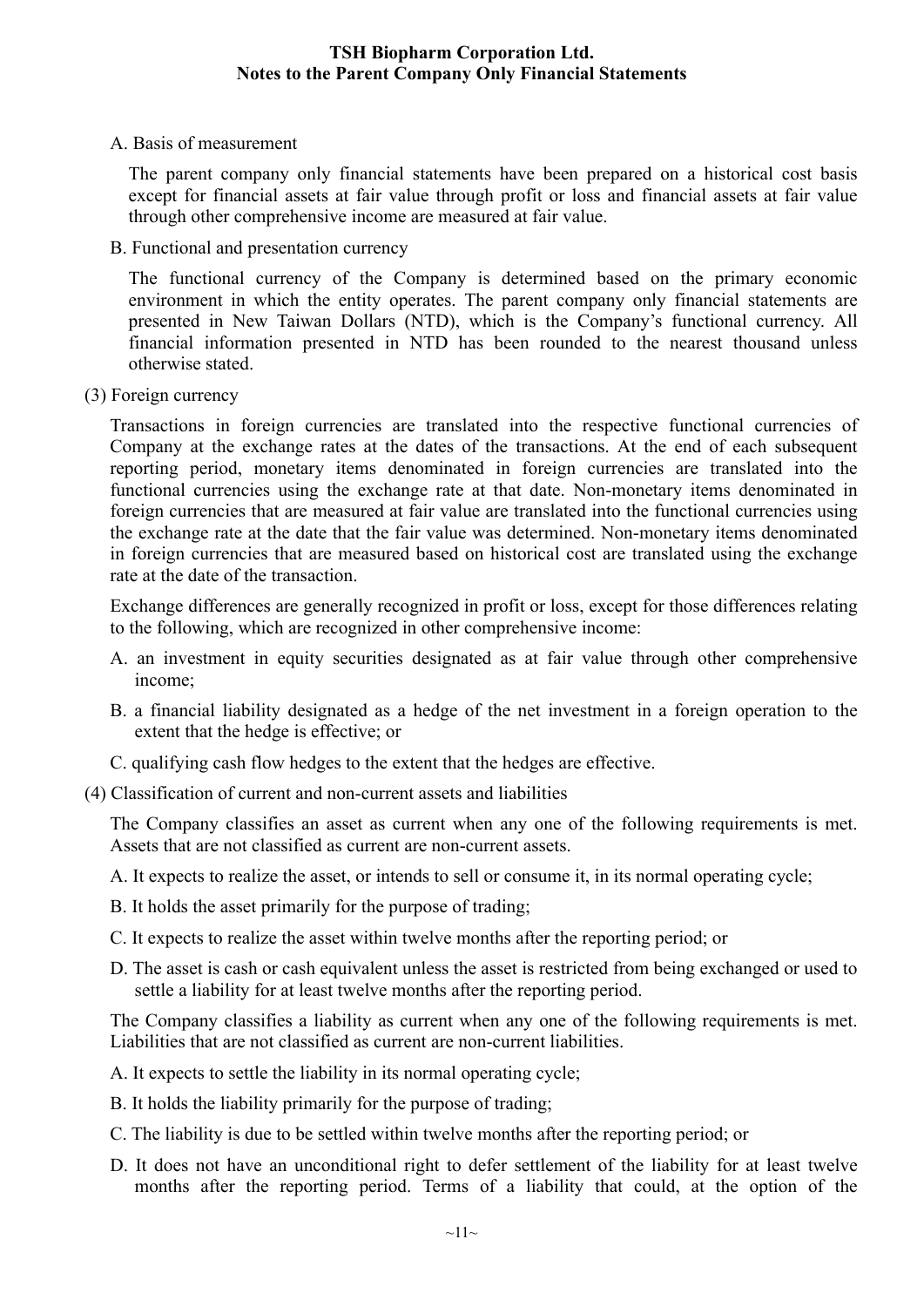A. Basis of measurement

The parent company only financial statements have been prepared on a historical cost basis except for financial assets at fair value through profit or loss and financial assets at fair value through other comprehensive income are measured at fair value.

B. Functional and presentation currency

The functional currency of the Company is determined based on the primary economic environment in which the entity operates. The parent company only financial statements are presented in New Taiwan Dollars (NTD), which is the Company's functional currency. All financial information presented in NTD has been rounded to the nearest thousand unless otherwise stated.

(3) Foreign currency

Transactions in foreign currencies are translated into the respective functional currencies of Company at the exchange rates at the dates of the transactions. At the end of each subsequent reporting period, monetary items denominated in foreign currencies are translated into the functional currencies using the exchange rate at that date. Non-monetary items denominated in foreign currencies that are measured at fair value are translated into the functional currencies using the exchange rate at the date that the fair value was determined. Non-monetary items denominated in foreign currencies that are measured based on historical cost are translated using the exchange rate at the date of the transaction.

Exchange differences are generally recognized in profit or loss, except for those differences relating to the following, which are recognized in other comprehensive income:

- A. an investment in equity securities designated as at fair value through other comprehensive income;
- B. a financial liability designated as a hedge of the net investment in a foreign operation to the extent that the hedge is effective; or
- C. qualifying cash flow hedges to the extent that the hedges are effective.
- (4) Classification of current and non-current assets and liabilities

The Company classifies an asset as current when any one of the following requirements is met. Assets that are not classified as current are non-current assets.

A. It expects to realize the asset, or intends to sell or consume it, in its normal operating cycle;

- B. It holds the asset primarily for the purpose of trading;
- C. It expects to realize the asset within twelve months after the reporting period; or
- D. The asset is cash or cash equivalent unless the asset is restricted from being exchanged or used to settle a liability for at least twelve months after the reporting period.

The Company classifies a liability as current when any one of the following requirements is met. Liabilities that are not classified as current are non-current liabilities.

- A. It expects to settle the liability in its normal operating cycle;
- B. It holds the liability primarily for the purpose of trading;
- C. The liability is due to be settled within twelve months after the reporting period; or
- D. It does not have an unconditional right to defer settlement of the liability for at least twelve months after the reporting period. Terms of a liability that could, at the option of the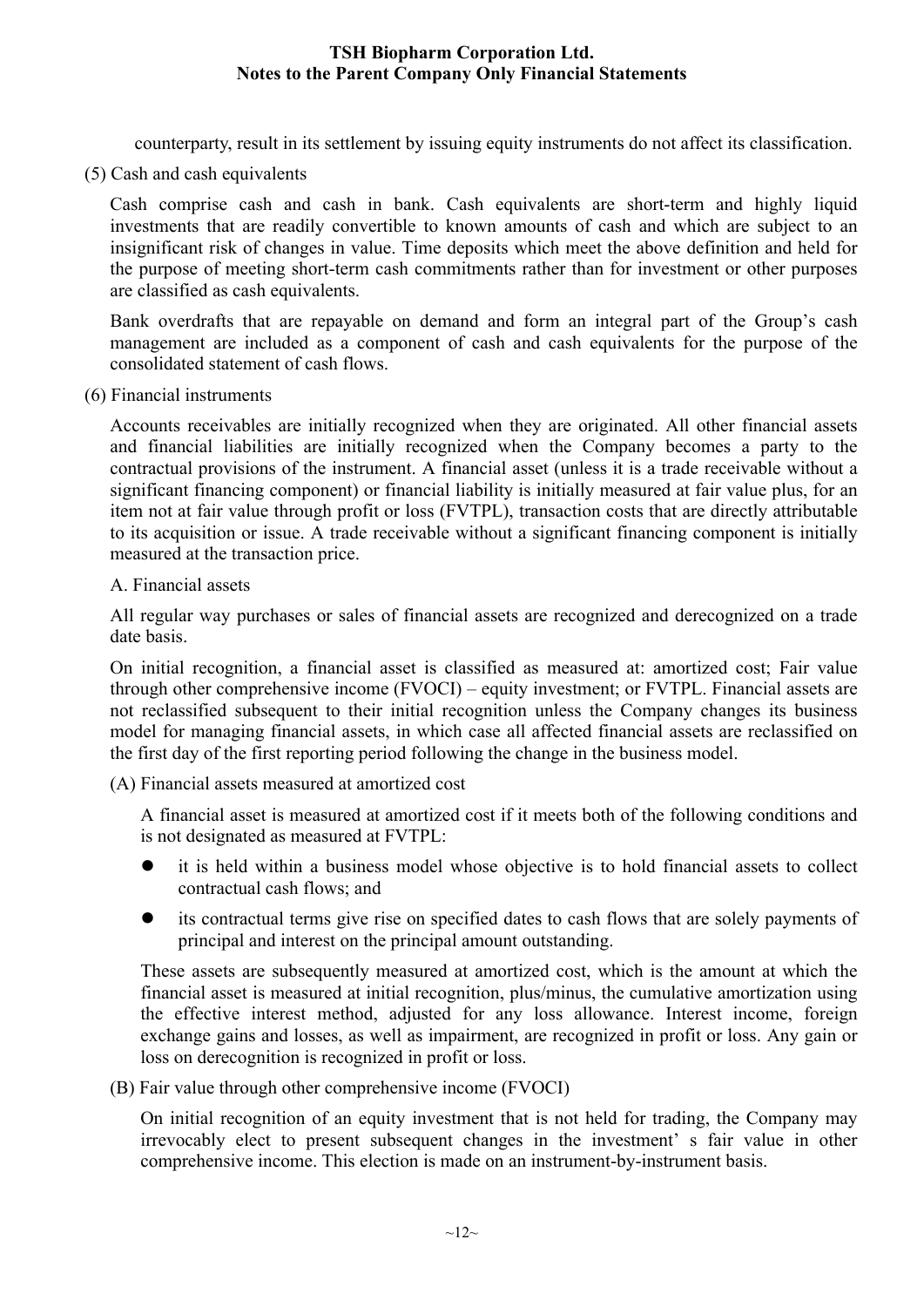counterparty, result in its settlement by issuing equity instruments do not affect its classification.

(5) Cash and cash equivalents

Cash comprise cash and cash in bank. Cash equivalents are short-term and highly liquid investments that are readily convertible to known amounts of cash and which are subject to an insignificant risk of changes in value. Time deposits which meet the above definition and held for the purpose of meeting short-term cash commitments rather than for investment or other purposes are classified as cash equivalents.

Bank overdrafts that are repayable on demand and form an integral part of the Group's cash management are included as a component of cash and cash equivalents for the purpose of the consolidated statement of cash flows.

(6) Financial instruments

Accounts receivables are initially recognized when they are originated. All other financial assets and financial liabilities are initially recognized when the Company becomes a party to the contractual provisions of the instrument. A financial asset (unless it is a trade receivable without a significant financing component) or financial liability is initially measured at fair value plus, for an item not at fair value through profit or loss (FVTPL), transaction costs that are directly attributable to its acquisition or issue. A trade receivable without a significant financing component is initially measured at the transaction price.

A. Financial assets

All regular way purchases or sales of financial assets are recognized and derecognized on a trade date basis.

On initial recognition, a financial asset is classified as measured at: amortized cost; Fair value through other comprehensive income (FVOCI) – equity investment; or FVTPL. Financial assets are not reclassified subsequent to their initial recognition unless the Company changes its business model for managing financial assets, in which case all affected financial assets are reclassified on the first day of the first reporting period following the change in the business model.

(A) Financial assets measured at amortized cost

A financial asset is measured at amortized cost if it meets both of the following conditions and is not designated as measured at FVTPL:

- it is held within a business model whose objective is to hold financial assets to collect contractual cash flows; and
- its contractual terms give rise on specified dates to cash flows that are solely payments of principal and interest on the principal amount outstanding.

These assets are subsequently measured at amortized cost, which is the amount at which the financial asset is measured at initial recognition, plus/minus, the cumulative amortization using the effective interest method, adjusted for any loss allowance. Interest income, foreign exchange gains and losses, as well as impairment, are recognized in profit or loss. Any gain or loss on derecognition is recognized in profit or loss.

(B) Fair value through other comprehensive income (FVOCI)

On initial recognition of an equity investment that is not held for trading, the Company may irrevocably elect to present subsequent changes in the investment' s fair value in other comprehensive income. This election is made on an instrument-by-instrument basis.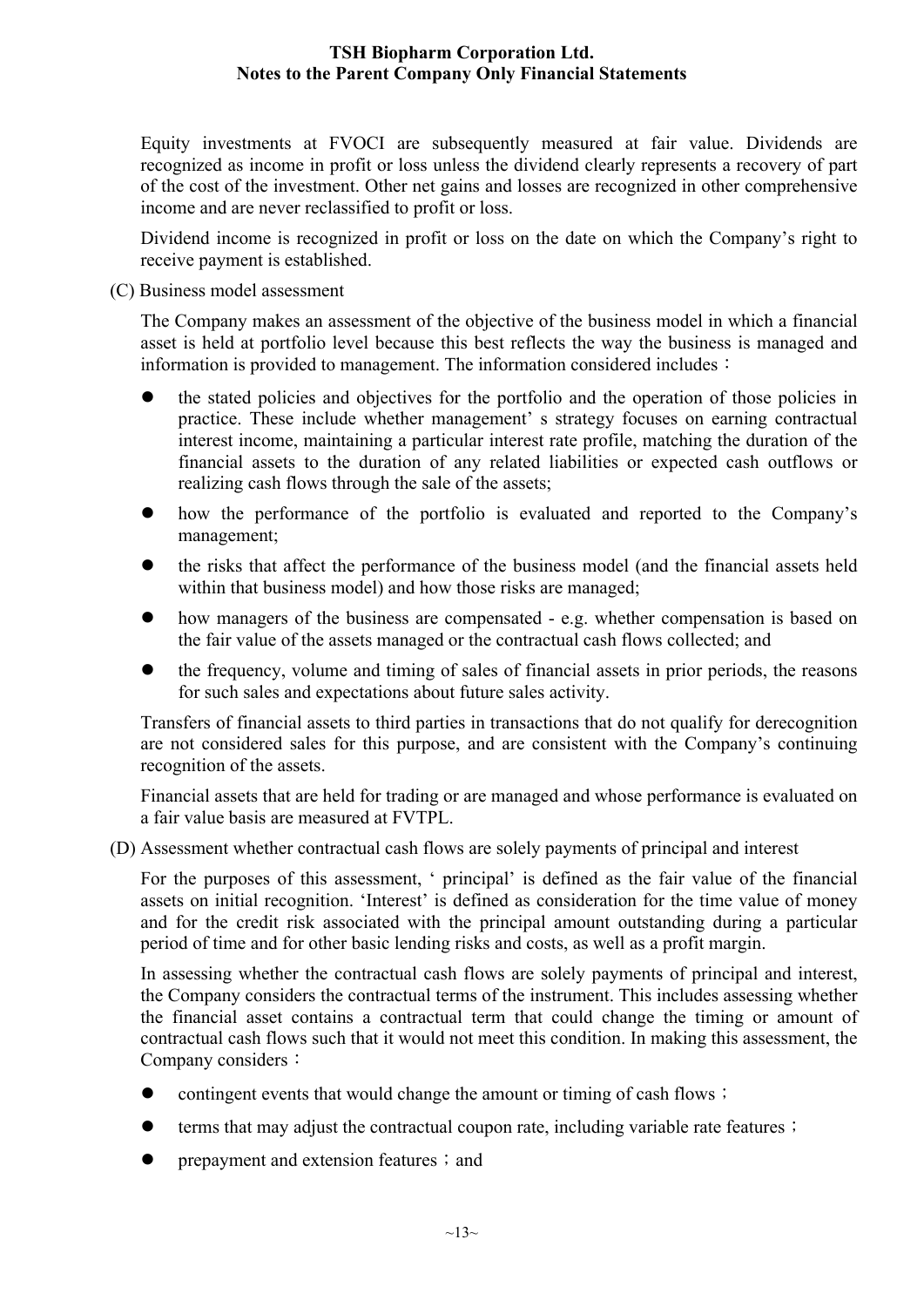Equity investments at FVOCI are subsequently measured at fair value. Dividends are recognized as income in profit or loss unless the dividend clearly represents a recovery of part of the cost of the investment. Other net gains and losses are recognized in other comprehensive income and are never reclassified to profit or loss.

Dividend income is recognized in profit or loss on the date on which the Company's right to receive payment is established.

#### (C) Business model assessment

The Company makes an assessment of the objective of the business model in which a financial asset is held at portfolio level because this best reflects the way the business is managed and information is provided to management. The information considered includes:

- the stated policies and objectives for the portfolio and the operation of those policies in practice. These include whether management' s strategy focuses on earning contractual interest income, maintaining a particular interest rate profile, matching the duration of the financial assets to the duration of any related liabilities or expected cash outflows or realizing cash flows through the sale of the assets;
- how the performance of the portfolio is evaluated and reported to the Company's management;
- the risks that affect the performance of the business model (and the financial assets held within that business model) and how those risks are managed;
- how managers of the business are compensated e.g. whether compensation is based on the fair value of the assets managed or the contractual cash flows collected; and
- the frequency, volume and timing of sales of financial assets in prior periods, the reasons for such sales and expectations about future sales activity.

Transfers of financial assets to third parties in transactions that do not qualify for derecognition are not considered sales for this purpose, and are consistent with the Company's continuing recognition of the assets.

Financial assets that are held for trading or are managed and whose performance is evaluated on a fair value basis are measured at FVTPL.

(D) Assessment whether contractual cash flows are solely payments of principal and interest

For the purposes of this assessment, ' principal' is defined as the fair value of the financial assets on initial recognition. 'Interest' is defined as consideration for the time value of money and for the credit risk associated with the principal amount outstanding during a particular period of time and for other basic lending risks and costs, as well as a profit margin.

In assessing whether the contractual cash flows are solely payments of principal and interest, the Company considers the contractual terms of the instrument. This includes assessing whether the financial asset contains a contractual term that could change the timing or amount of contractual cash flows such that it would not meet this condition. In making this assessment, the Company considers:

- contingent events that would change the amount or timing of cash flows;
- terms that may adjust the contractual coupon rate, including variable rate features;
- prepayment and extension features; and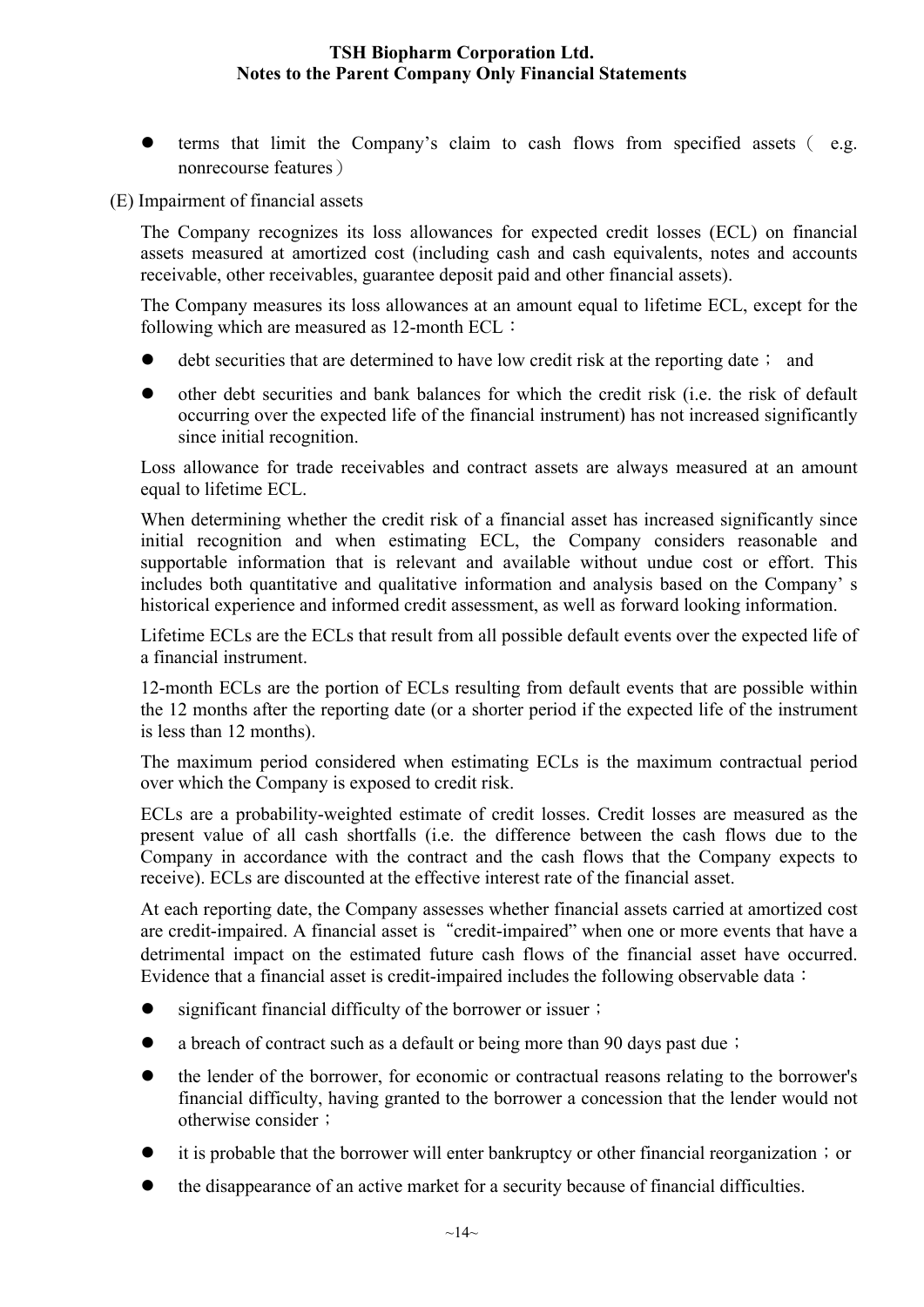terms that limit the Company's claim to cash flows from specified assets( e.g. nonrecourse features)

(E) Impairment of financial assets

The Company recognizes its loss allowances for expected credit losses (ECL) on financial assets measured at amortized cost (including cash and cash equivalents, notes and accounts receivable, other receivables, guarantee deposit paid and other financial assets).

The Company measures its loss allowances at an amount equal to lifetime ECL, except for the following which are measured as 12-month ECL:

- debt securities that are determined to have low credit risk at the reporting date; and
- other debt securities and bank balances for which the credit risk (i.e. the risk of default occurring over the expected life of the financial instrument) has not increased significantly since initial recognition.

Loss allowance for trade receivables and contract assets are always measured at an amount equal to lifetime ECL.

When determining whether the credit risk of a financial asset has increased significantly since initial recognition and when estimating ECL, the Company considers reasonable and supportable information that is relevant and available without undue cost or effort. This includes both quantitative and qualitative information and analysis based on the Company' s historical experience and informed credit assessment, as well as forward looking information.

Lifetime ECLs are the ECLs that result from all possible default events over the expected life of a financial instrument.

12-month ECLs are the portion of ECLs resulting from default events that are possible within the 12 months after the reporting date (or a shorter period if the expected life of the instrument is less than 12 months).

The maximum period considered when estimating ECLs is the maximum contractual period over which the Company is exposed to credit risk.

ECLs are a probability-weighted estimate of credit losses. Credit losses are measured as the present value of all cash shortfalls (i.e. the difference between the cash flows due to the Company in accordance with the contract and the cash flows that the Company expects to receive). ECLs are discounted at the effective interest rate of the financial asset.

At each reporting date, the Company assesses whether financial assets carried at amortized cost are credit-impaired. A financial asset is "credit-impaired" when one or more events that have a detrimental impact on the estimated future cash flows of the financial asset have occurred. Evidence that a financial asset is credit-impaired includes the following observable data:

- significant financial difficulty of the borrower or issuer;
- a breach of contract such as a default or being more than 90 days past due;
- the lender of the borrower, for economic or contractual reasons relating to the borrower's financial difficulty, having granted to the borrower a concession that the lender would not otherwise consider;
- it is probable that the borrower will enter bankruptcy or other financial reorganization; or
- the disappearance of an active market for a security because of financial difficulties.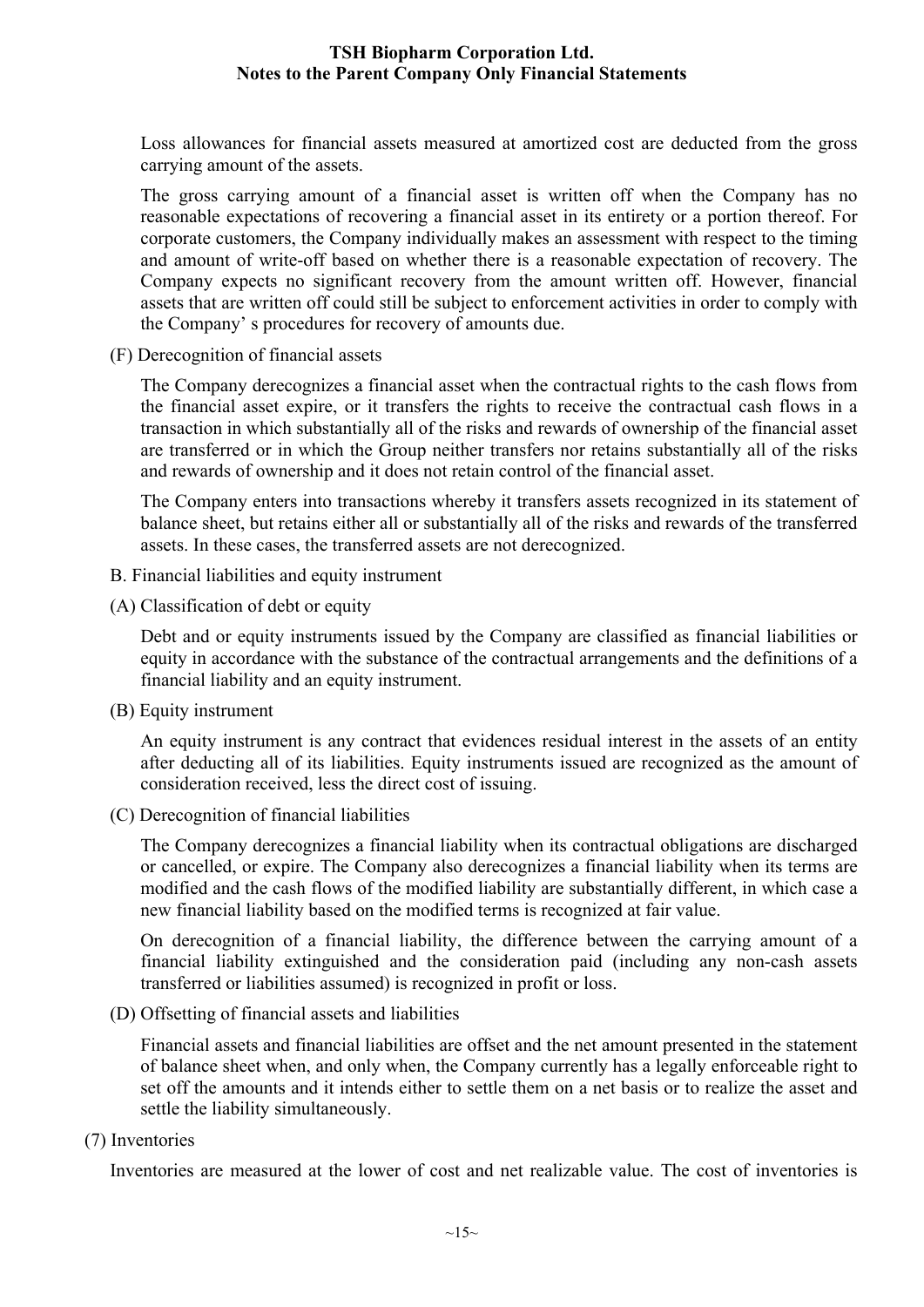Loss allowances for financial assets measured at amortized cost are deducted from the gross carrying amount of the assets.

The gross carrying amount of a financial asset is written off when the Company has no reasonable expectations of recovering a financial asset in its entirety or a portion thereof. For corporate customers, the Company individually makes an assessment with respect to the timing and amount of write-off based on whether there is a reasonable expectation of recovery. The Company expects no significant recovery from the amount written off. However, financial assets that are written off could still be subject to enforcement activities in order to comply with the Company' s procedures for recovery of amounts due.

(F) Derecognition of financial assets

The Company derecognizes a financial asset when the contractual rights to the cash flows from the financial asset expire, or it transfers the rights to receive the contractual cash flows in a transaction in which substantially all of the risks and rewards of ownership of the financial asset are transferred or in which the Group neither transfers nor retains substantially all of the risks and rewards of ownership and it does not retain control of the financial asset.

The Company enters into transactions whereby it transfers assets recognized in its statement of balance sheet, but retains either all or substantially all of the risks and rewards of the transferred assets. In these cases, the transferred assets are not derecognized.

- B. Financial liabilities and equity instrument
- (A) Classification of debt or equity

Debt and or equity instruments issued by the Company are classified as financial liabilities or equity in accordance with the substance of the contractual arrangements and the definitions of a financial liability and an equity instrument.

(B) Equity instrument

An equity instrument is any contract that evidences residual interest in the assets of an entity after deducting all of its liabilities. Equity instruments issued are recognized as the amount of consideration received, less the direct cost of issuing.

(C) Derecognition of financial liabilities

The Company derecognizes a financial liability when its contractual obligations are discharged or cancelled, or expire. The Company also derecognizes a financial liability when its terms are modified and the cash flows of the modified liability are substantially different, in which case a new financial liability based on the modified terms is recognized at fair value.

On derecognition of a financial liability, the difference between the carrying amount of a financial liability extinguished and the consideration paid (including any non-cash assets transferred or liabilities assumed) is recognized in profit or loss.

(D) Offsetting of financial assets and liabilities

Financial assets and financial liabilities are offset and the net amount presented in the statement of balance sheet when, and only when, the Company currently has a legally enforceable right to set off the amounts and it intends either to settle them on a net basis or to realize the asset and settle the liability simultaneously.

(7) Inventories

Inventories are measured at the lower of cost and net realizable value. The cost of inventories is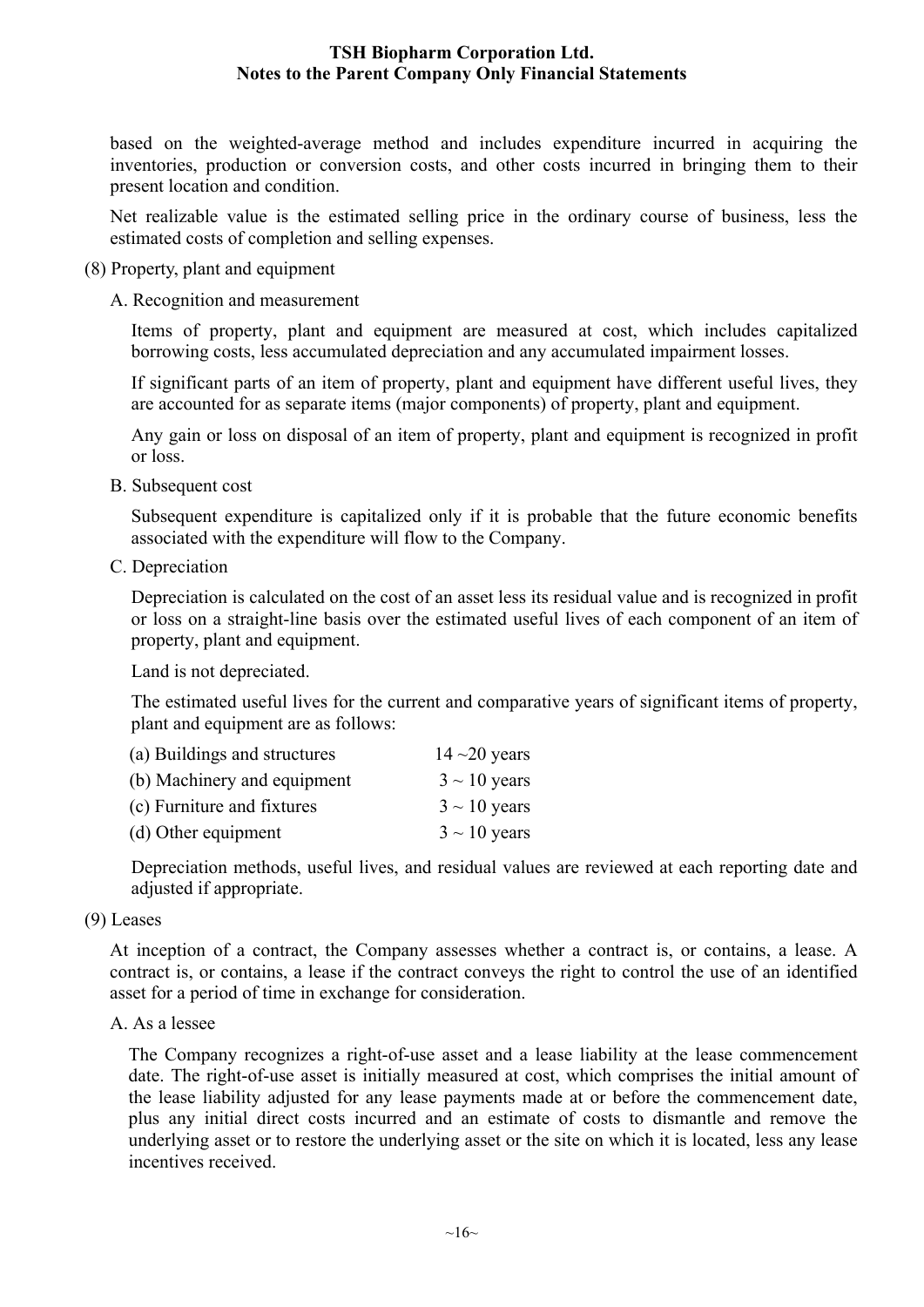based on the weighted-average method and includes expenditure incurred in acquiring the inventories, production or conversion costs, and other costs incurred in bringing them to their present location and condition.

Net realizable value is the estimated selling price in the ordinary course of business, less the estimated costs of completion and selling expenses.

- (8) Property, plant and equipment
	- A. Recognition and measurement

Items of property, plant and equipment are measured at cost, which includes capitalized borrowing costs, less accumulated depreciation and any accumulated impairment losses.

If significant parts of an item of property, plant and equipment have different useful lives, they are accounted for as separate items (major components) of property, plant and equipment.

Any gain or loss on disposal of an item of property, plant and equipment is recognized in profit or loss.

B. Subsequent cost

Subsequent expenditure is capitalized only if it is probable that the future economic benefits associated with the expenditure will flow to the Company.

C. Depreciation

Depreciation is calculated on the cost of an asset less its residual value and is recognized in profit or loss on a straight-line basis over the estimated useful lives of each component of an item of property, plant and equipment.

Land is not depreciated.

The estimated useful lives for the current and comparative years of significant items of property, plant and equipment are as follows:

| (a) Buildings and structures | $14 - 20$ years   |
|------------------------------|-------------------|
| (b) Machinery and equipment  | $3 \sim 10$ years |
| (c) Furniture and fixtures   | $3 \sim 10$ years |
| (d) Other equipment          | $3 \sim 10$ years |

Depreciation methods, useful lives, and residual values are reviewed at each reporting date and adjusted if appropriate.

(9) Leases

At inception of a contract, the Company assesses whether a contract is, or contains, a lease. A contract is, or contains, a lease if the contract conveys the right to control the use of an identified asset for a period of time in exchange for consideration.

A. As a lessee

The Company recognizes a right-of-use asset and a lease liability at the lease commencement date. The right-of-use asset is initially measured at cost, which comprises the initial amount of the lease liability adjusted for any lease payments made at or before the commencement date, plus any initial direct costs incurred and an estimate of costs to dismantle and remove the underlying asset or to restore the underlying asset or the site on which it is located, less any lease incentives received.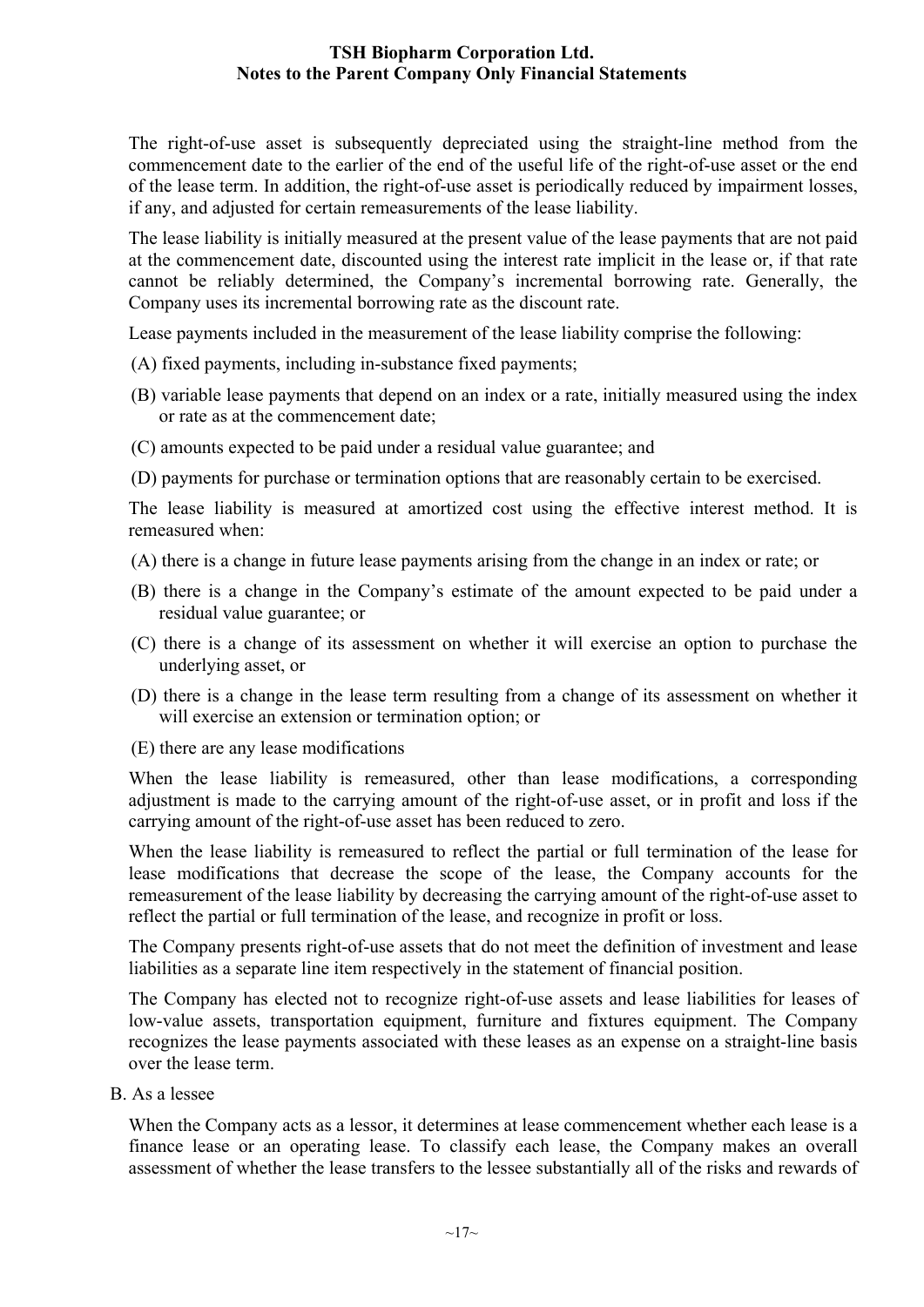The right-of-use asset is subsequently depreciated using the straight-line method from the commencement date to the earlier of the end of the useful life of the right-of-use asset or the end of the lease term. In addition, the right-of-use asset is periodically reduced by impairment losses, if any, and adjusted for certain remeasurements of the lease liability.

The lease liability is initially measured at the present value of the lease payments that are not paid at the commencement date, discounted using the interest rate implicit in the lease or, if that rate cannot be reliably determined, the Company's incremental borrowing rate. Generally, the Company uses its incremental borrowing rate as the discount rate.

Lease payments included in the measurement of the lease liability comprise the following:

- (A) fixed payments, including in-substance fixed payments;
- (B) variable lease payments that depend on an index or a rate, initially measured using the index or rate as at the commencement date;
- (C) amounts expected to be paid under a residual value guarantee; and

(D) payments for purchase or termination options that are reasonably certain to be exercised.

The lease liability is measured at amortized cost using the effective interest method. It is remeasured when:

- (A) there is a change in future lease payments arising from the change in an index or rate; or
- (B) there is a change in the Company's estimate of the amount expected to be paid under a residual value guarantee; or
- (C) there is a change of its assessment on whether it will exercise an option to purchase the underlying asset, or
- (D) there is a change in the lease term resulting from a change of its assessment on whether it will exercise an extension or termination option; or
- (E) there are any lease modifications

When the lease liability is remeasured, other than lease modifications, a corresponding adjustment is made to the carrying amount of the right-of-use asset, or in profit and loss if the carrying amount of the right-of-use asset has been reduced to zero.

When the lease liability is remeasured to reflect the partial or full termination of the lease for lease modifications that decrease the scope of the lease, the Company accounts for the remeasurement of the lease liability by decreasing the carrying amount of the right-of-use asset to reflect the partial or full termination of the lease, and recognize in profit or loss.

The Company presents right-of-use assets that do not meet the definition of investment and lease liabilities as a separate line item respectively in the statement of financial position.

The Company has elected not to recognize right-of-use assets and lease liabilities for leases of low-value assets, transportation equipment, furniture and fixtures equipment. The Company recognizes the lease payments associated with these leases as an expense on a straight-line basis over the lease term.

B. As a lessee

When the Company acts as a lessor, it determines at lease commencement whether each lease is a finance lease or an operating lease. To classify each lease, the Company makes an overall assessment of whether the lease transfers to the lessee substantially all of the risks and rewards of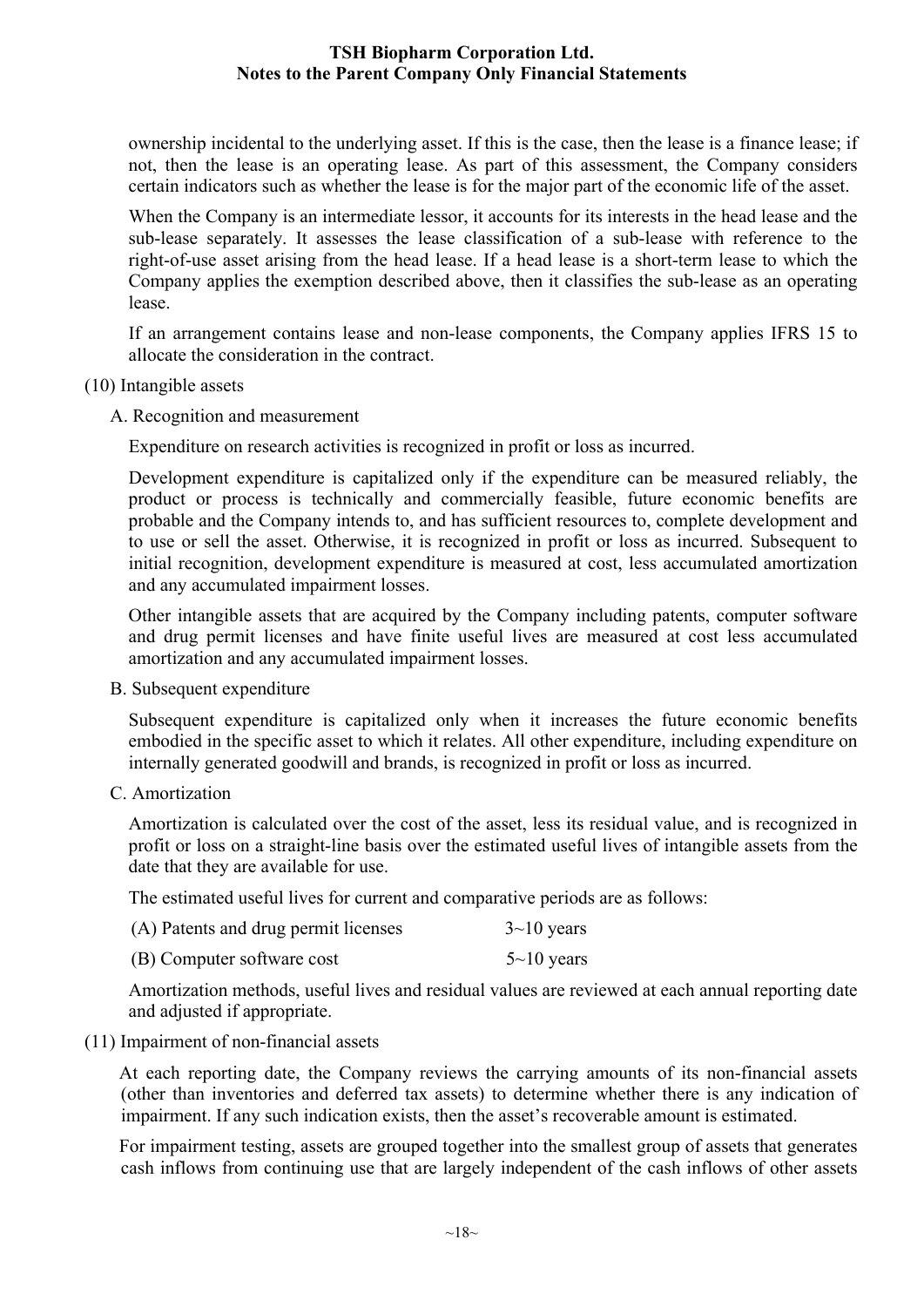ownership incidental to the underlying asset. If this is the case, then the lease is a finance lease; if not, then the lease is an operating lease. As part of this assessment, the Company considers certain indicators such as whether the lease is for the major part of the economic life of the asset.

When the Company is an intermediate lessor, it accounts for its interests in the head lease and the sub-lease separately. It assesses the lease classification of a sub-lease with reference to the right-of-use asset arising from the head lease. If a head lease is a short-term lease to which the Company applies the exemption described above, then it classifies the sub-lease as an operating lease.

If an arrangement contains lease and non-lease components, the Company applies IFRS 15 to allocate the consideration in the contract.

- (10) Intangible assets
	- A. Recognition and measurement

Expenditure on research activities is recognized in profit or loss as incurred.

Development expenditure is capitalized only if the expenditure can be measured reliably, the product or process is technically and commercially feasible, future economic benefits are probable and the Company intends to, and has sufficient resources to, complete development and to use or sell the asset. Otherwise, it is recognized in profit or loss as incurred. Subsequent to initial recognition, development expenditure is measured at cost, less accumulated amortization and any accumulated impairment losses.

Other intangible assets that are acquired by the Company including patents, computer software and drug permit licenses and have finite useful lives are measured at cost less accumulated amortization and any accumulated impairment losses.

B. Subsequent expenditure

Subsequent expenditure is capitalized only when it increases the future economic benefits embodied in the specific asset to which it relates. All other expenditure, including expenditure on internally generated goodwill and brands, is recognized in profit or loss as incurred.

C. Amortization

Amortization is calculated over the cost of the asset, less its residual value, and is recognized in profit or loss on a straight-line basis over the estimated useful lives of intangible assets from the date that they are available for use.

The estimated useful lives for current and comparative periods are as follows:

| (A) Patents and drug permit licenses | $3 \sim 10$ years |
|--------------------------------------|-------------------|
| (B) Computer software cost           | $5 \sim 10$ years |

Amortization methods, useful lives and residual values are reviewed at each annual reporting date and adjusted if appropriate.

(11) Impairment of non-financial assets

At each reporting date, the Company reviews the carrying amounts of its non-financial assets (other than inventories and deferred tax assets) to determine whether there is any indication of impairment. If any such indication exists, then the asset's recoverable amount is estimated.

For impairment testing, assets are grouped together into the smallest group of assets that generates cash inflows from continuing use that are largely independent of the cash inflows of other assets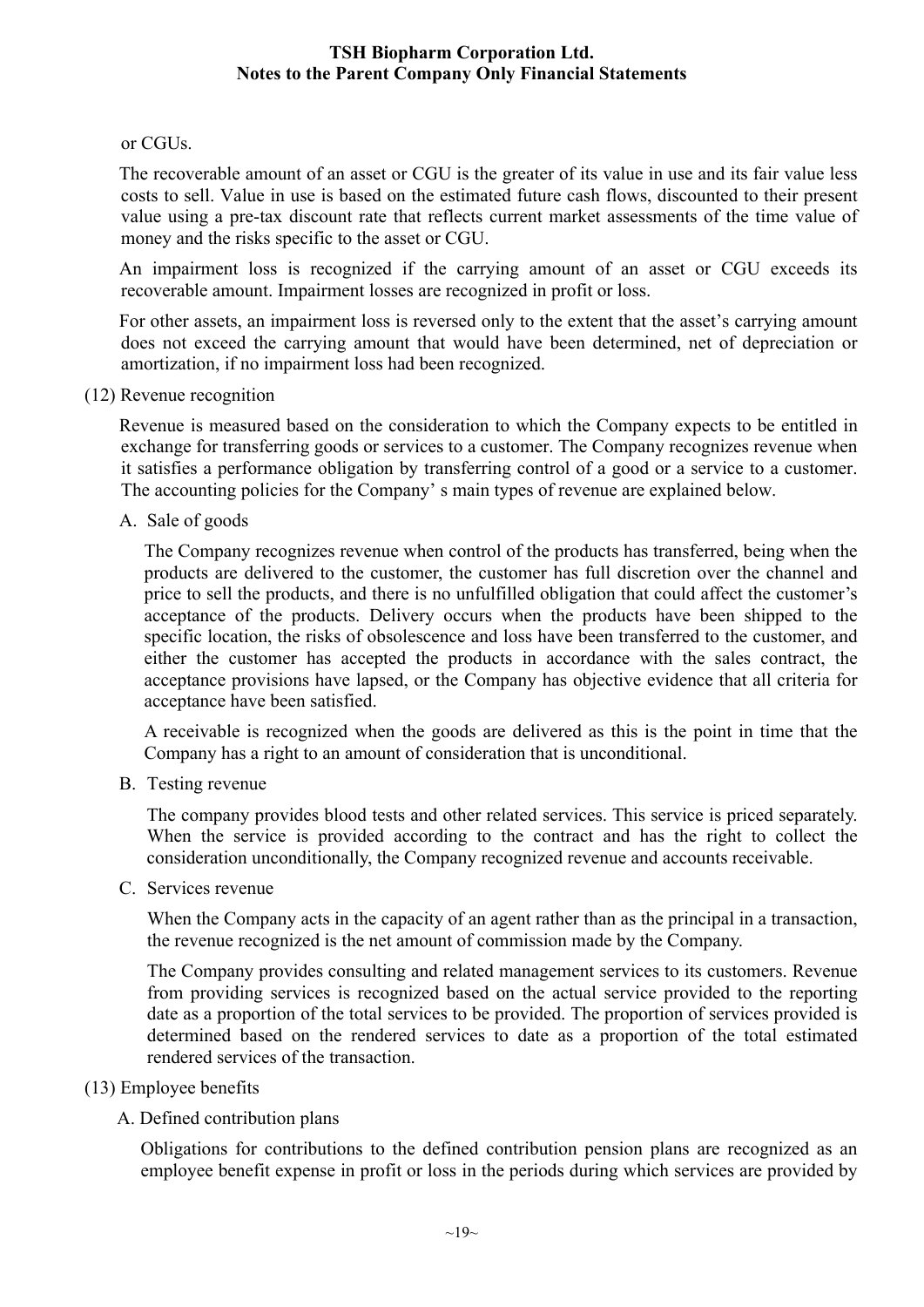#### or CGUs.

The recoverable amount of an asset or CGU is the greater of its value in use and its fair value less costs to sell. Value in use is based on the estimated future cash flows, discounted to their present value using a pre-tax discount rate that reflects current market assessments of the time value of money and the risks specific to the asset or CGU.

An impairment loss is recognized if the carrying amount of an asset or CGU exceeds its recoverable amount. Impairment losses are recognized in profit or loss.

For other assets, an impairment loss is reversed only to the extent that the asset's carrying amount does not exceed the carrying amount that would have been determined, net of depreciation or amortization, if no impairment loss had been recognized.

(12) Revenue recognition

Revenue is measured based on the consideration to which the Company expects to be entitled in exchange for transferring goods or services to a customer. The Company recognizes revenue when it satisfies a performance obligation by transferring control of a good or a service to a customer. The accounting policies for the Company' s main types of revenue are explained below.

A. Sale of goods

The Company recognizes revenue when control of the products has transferred, being when the products are delivered to the customer, the customer has full discretion over the channel and price to sell the products, and there is no unfulfilled obligation that could affect the customer's acceptance of the products. Delivery occurs when the products have been shipped to the specific location, the risks of obsolescence and loss have been transferred to the customer, and either the customer has accepted the products in accordance with the sales contract, the acceptance provisions have lapsed, or the Company has objective evidence that all criteria for acceptance have been satisfied.

A receivable is recognized when the goods are delivered as this is the point in time that the Company has a right to an amount of consideration that is unconditional.

B. Testing revenue

The company provides blood tests and other related services. This service is priced separately. When the service is provided according to the contract and has the right to collect the consideration unconditionally, the Company recognized revenue and accounts receivable.

C. Services revenue

When the Company acts in the capacity of an agent rather than as the principal in a transaction, the revenue recognized is the net amount of commission made by the Company.

The Company provides consulting and related management services to its customers. Revenue from providing services is recognized based on the actual service provided to the reporting date as a proportion of the total services to be provided. The proportion of services provided is determined based on the rendered services to date as a proportion of the total estimated rendered services of the transaction.

#### (13) Employee benefits

A. Defined contribution plans

Obligations for contributions to the defined contribution pension plans are recognized as an employee benefit expense in profit or loss in the periods during which services are provided by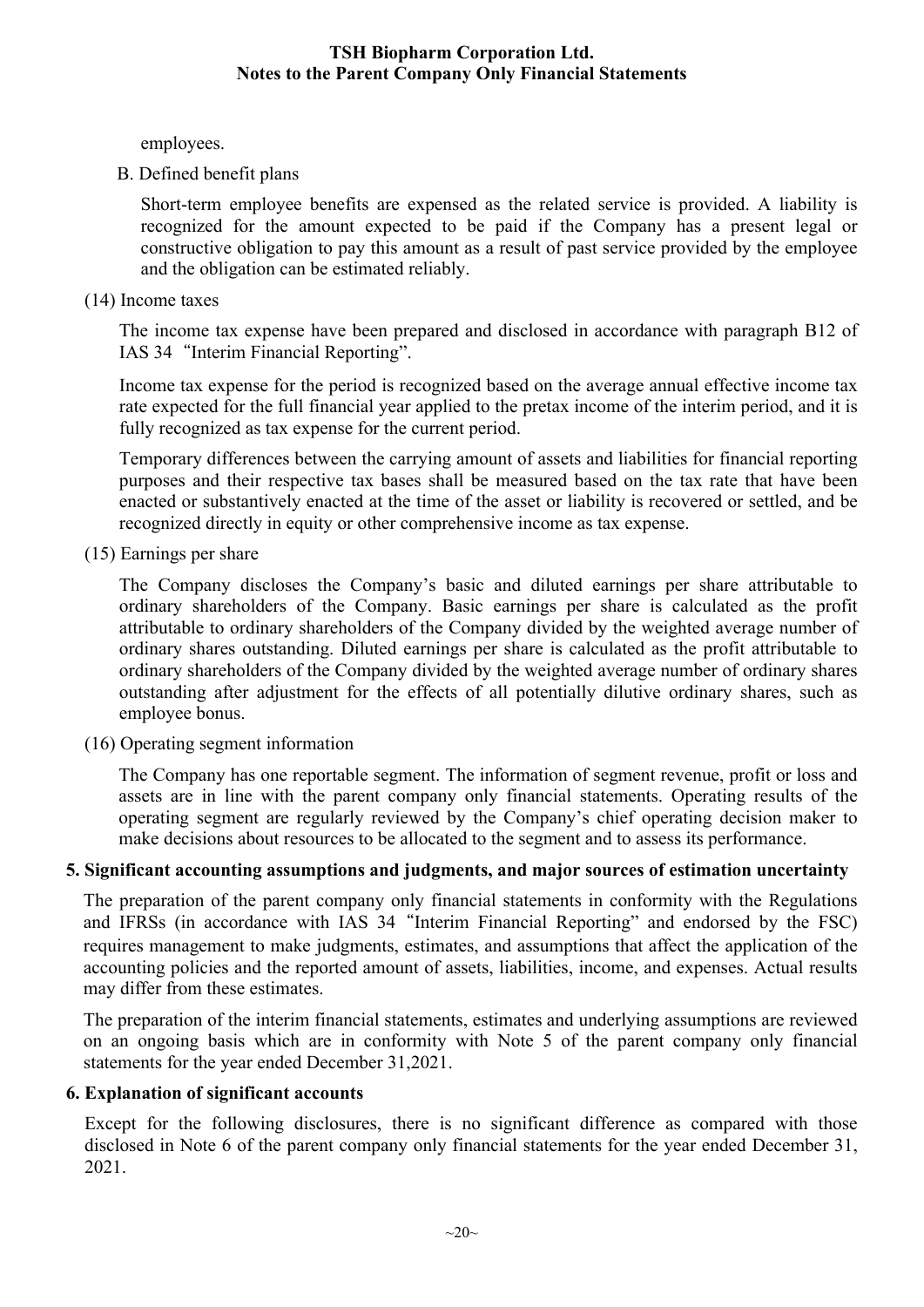employees.

B. Defined benefit plans

Short-term employee benefits are expensed as the related service is provided. A liability is recognized for the amount expected to be paid if the Company has a present legal or constructive obligation to pay this amount as a result of past service provided by the employee and the obligation can be estimated reliably.

(14) Income taxes

The income tax expense have been prepared and disclosed in accordance with paragraph B12 of IAS 34"Interim Financial Reporting".

Income tax expense for the period is recognized based on the average annual effective income tax rate expected for the full financial year applied to the pretax income of the interim period, and it is fully recognized as tax expense for the current period.

Temporary differences between the carrying amount of assets and liabilities for financial reporting purposes and their respective tax bases shall be measured based on the tax rate that have been enacted or substantively enacted at the time of the asset or liability is recovered or settled, and be recognized directly in equity or other comprehensive income as tax expense.

(15) Earnings per share

The Company discloses the Company's basic and diluted earnings per share attributable to ordinary shareholders of the Company. Basic earnings per share is calculated as the profit attributable to ordinary shareholders of the Company divided by the weighted average number of ordinary shares outstanding. Diluted earnings per share is calculated as the profit attributable to ordinary shareholders of the Company divided by the weighted average number of ordinary shares outstanding after adjustment for the effects of all potentially dilutive ordinary shares, such as employee bonus.

(16) Operating segment information

The Company has one reportable segment. The information of segment revenue, profit or loss and assets are in line with the parent company only financial statements. Operating results of the operating segment are regularly reviewed by the Company's chief operating decision maker to make decisions about resources to be allocated to the segment and to assess its performance.

#### **5. Significant accounting assumptions and judgments, and major sources of estimation uncertainty**

The preparation of the parent company only financial statements in conformity with the Regulations and IFRSs (in accordance with IAS 34"Interim Financial Reporting" and endorsed by the FSC) requires management to make judgments, estimates, and assumptions that affect the application of the accounting policies and the reported amount of assets, liabilities, income, and expenses. Actual results may differ from these estimates.

The preparation of the interim financial statements, estimates and underlying assumptions are reviewed on an ongoing basis which are in conformity with Note 5 of the parent company only financial statements for the year ended December 31,2021.

#### **6. Explanation of significant accounts**

Except for the following disclosures, there is no significant difference as compared with those disclosed in Note 6 of the parent company only financial statements for the year ended December 31, 2021.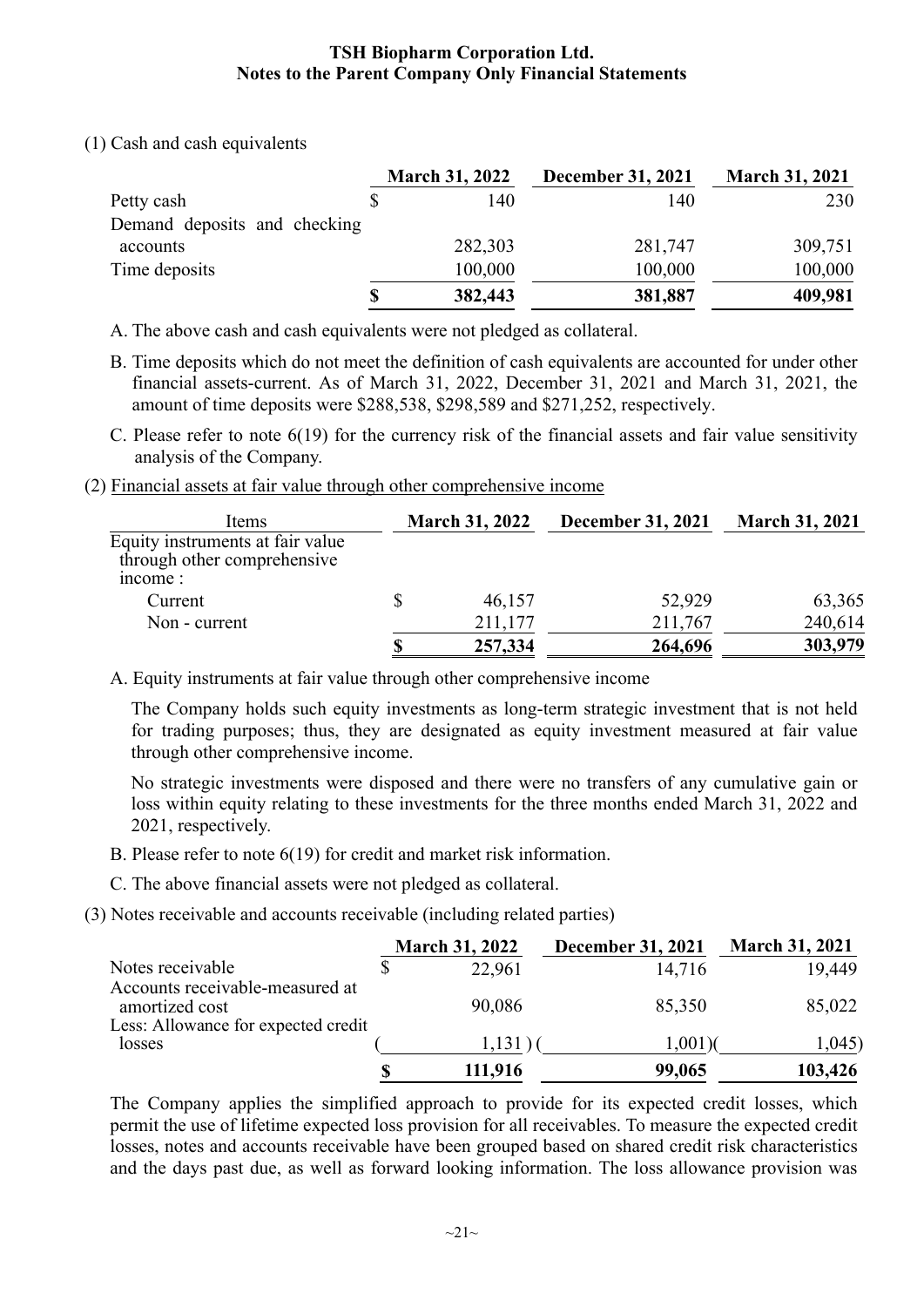(1) Cash and cash equivalents

|                              | <b>March 31, 2022</b> | <b>December 31, 2021</b> | <b>March 31, 2021</b> |
|------------------------------|-----------------------|--------------------------|-----------------------|
| Petty cash                   | 140                   | 140                      | 230                   |
| Demand deposits and checking |                       |                          |                       |
| accounts                     | 282,303               | 281,747                  | 309,751               |
| Time deposits                | 100,000               | 100,000                  | 100,000               |
|                              | \$<br>382,443         | 381,887                  | 409,981               |

A. The above cash and cash equivalents were not pledged as collateral.

- B. Time deposits which do not meet the definition of cash equivalents are accounted for under other financial assets-current. As of March 31, 2022, December 31, 2021 and March 31, 2021, the amount of time deposits were \$288,538, \$298,589 and \$271,252, respectively.
- C. Please refer to note 6(19) for the currency risk of the financial assets and fair value sensitivity analysis of the Company.
- (2) Financial assets at fair value through other comprehensive income

|   |         | December 31, 2021     | <b>March 31, 2021</b> |
|---|---------|-----------------------|-----------------------|
|   |         |                       |                       |
|   |         |                       |                       |
|   | 46,157  | 52,929                | 63,365                |
|   | 211,177 | 211,767               | 240,614               |
| S | 257,334 | 264,696               | 303,979               |
|   |         | <b>March 31, 2022</b> |                       |

A. Equity instruments at fair value through other comprehensive income

The Company holds such equity investments as long-term strategic investment that is not held for trading purposes; thus, they are designated as equity investment measured at fair value through other comprehensive income.

No strategic investments were disposed and there were no transfers of any cumulative gain or loss within equity relating to these investments for the three months ended March 31, 2022 and 2021, respectively.

- B. Please refer to note 6(19) for credit and market risk information.
- C. The above financial assets were not pledged as collateral.
- (3) Notes receivable and accounts receivable (including related parties)

|                                                       | <b>March 31, 2022</b> | <b>December 31, 2021</b> | <b>March 31, 2021</b> |
|-------------------------------------------------------|-----------------------|--------------------------|-----------------------|
| Notes receivable<br>Accounts receivable-measured at   | 22,961                | 14,716                   | 19,449                |
| amortized cost<br>Less: Allowance for expected credit | 90,086                | 85,350                   | 85,022                |
| losses                                                | 1,131                 | $1,001$ )(               | 1,045                 |
|                                                       | 111,916               | 99,065                   | 103,426               |

The Company applies the simplified approach to provide for its expected credit losses, which permit the use of lifetime expected loss provision for all receivables. To measure the expected credit losses, notes and accounts receivable have been grouped based on shared credit risk characteristics and the days past due, as well as forward looking information. The loss allowance provision was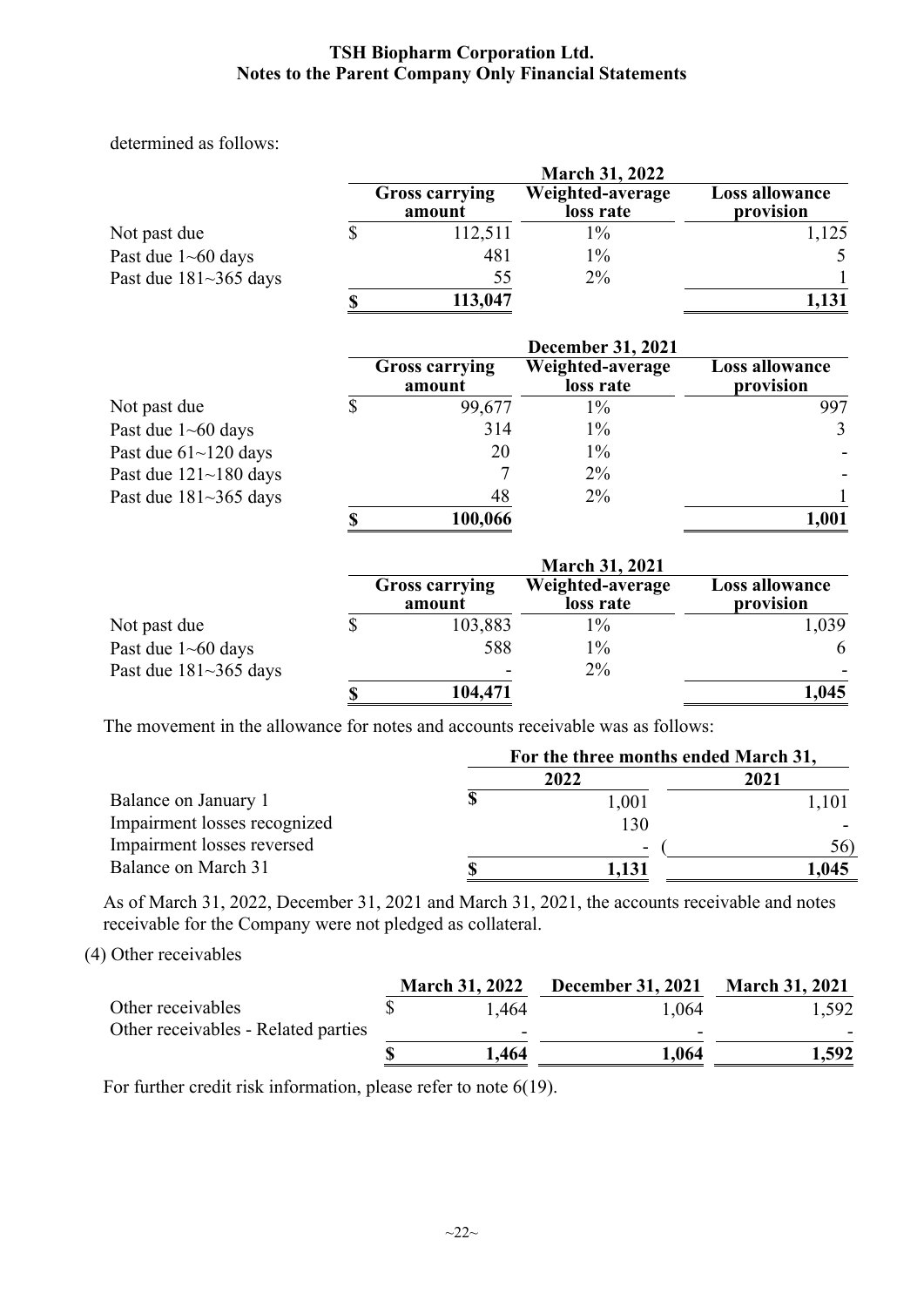determined as follows:

|                              | <b>March 31, 2022</b>           |                               |                             |  |  |  |  |
|------------------------------|---------------------------------|-------------------------------|-----------------------------|--|--|--|--|
|                              | <b>Gross carrying</b><br>amount | Weighted-average<br>loss rate | Loss allowance<br>provision |  |  |  |  |
| Not past due                 | 112,511                         | $\frac{0}{6}$                 | 1,125                       |  |  |  |  |
| Past due $1 \sim 60$ days    | 481                             | 1%                            |                             |  |  |  |  |
| Past due $181 \sim 365$ days | 55                              | $2\%$                         |                             |  |  |  |  |
|                              | 113,047                         |                               | 1,131                       |  |  |  |  |

|                              | <b>December 31, 2021</b> |                                 |                               |                                    |  |
|------------------------------|--------------------------|---------------------------------|-------------------------------|------------------------------------|--|
|                              |                          | <b>Gross carrying</b><br>amount | Weighted-average<br>loss rate | <b>Loss allowance</b><br>provision |  |
| Not past due                 |                          | 99,677                          | $1\%$                         | 997                                |  |
| Past due $1 \sim 60$ days    |                          | 314                             | $1\%$                         | 3                                  |  |
| Past due $61$ ~ 120 days     |                          | 20                              | $1\%$                         |                                    |  |
| Past due $121 - 180$ days    |                          |                                 | $2\%$                         |                                    |  |
| Past due $181 \sim 365$ days |                          | 48                              | $2\%$                         |                                    |  |
|                              |                          | 100,066                         |                               | 1,001                              |  |

|                              |  | <b>Gross carrying</b><br>amount | Weighted-average<br>loss rate | Loss allowance<br>provision |  |
|------------------------------|--|---------------------------------|-------------------------------|-----------------------------|--|
| Not past due                 |  | 103,883                         | 1%                            | 1,039                       |  |
| Past due $1 \sim 60$ days    |  | 588                             | 1%                            | 6                           |  |
| Past due $181 \sim 365$ days |  | $\overline{\phantom{a}}$        | $2\%$                         |                             |  |
|                              |  | 104,471                         |                               | 1,045                       |  |

The movement in the allowance for notes and accounts receivable was as follows:

|                              | For the three months ended March 31, |       |       |
|------------------------------|--------------------------------------|-------|-------|
|                              |                                      | 2022  | 2021  |
| Balance on January 1         |                                      | 1,001 | l,101 |
| Impairment losses recognized |                                      | 130   |       |
| Impairment losses reversed   |                                      | -     | 56)   |
| Balance on March 31          |                                      | 1,131 | ,045  |

As of March 31, 2022, December 31, 2021 and March 31, 2021, the accounts receivable and notes receivable for the Company were not pledged as collateral.

(4) Other receivables

|                                     | <b>March 31, 2022</b>    | <b>December 31, 2021</b> | <b>March 31, 2021</b> |
|-------------------------------------|--------------------------|--------------------------|-----------------------|
| Other receivables                   | 1.464                    | 1.064                    | 1,592                 |
| Other receivables - Related parties | $\overline{\phantom{0}}$ | -                        |                       |
|                                     | 1.464                    | 1,064                    | 1,592                 |

For further credit risk information, please refer to note 6(19).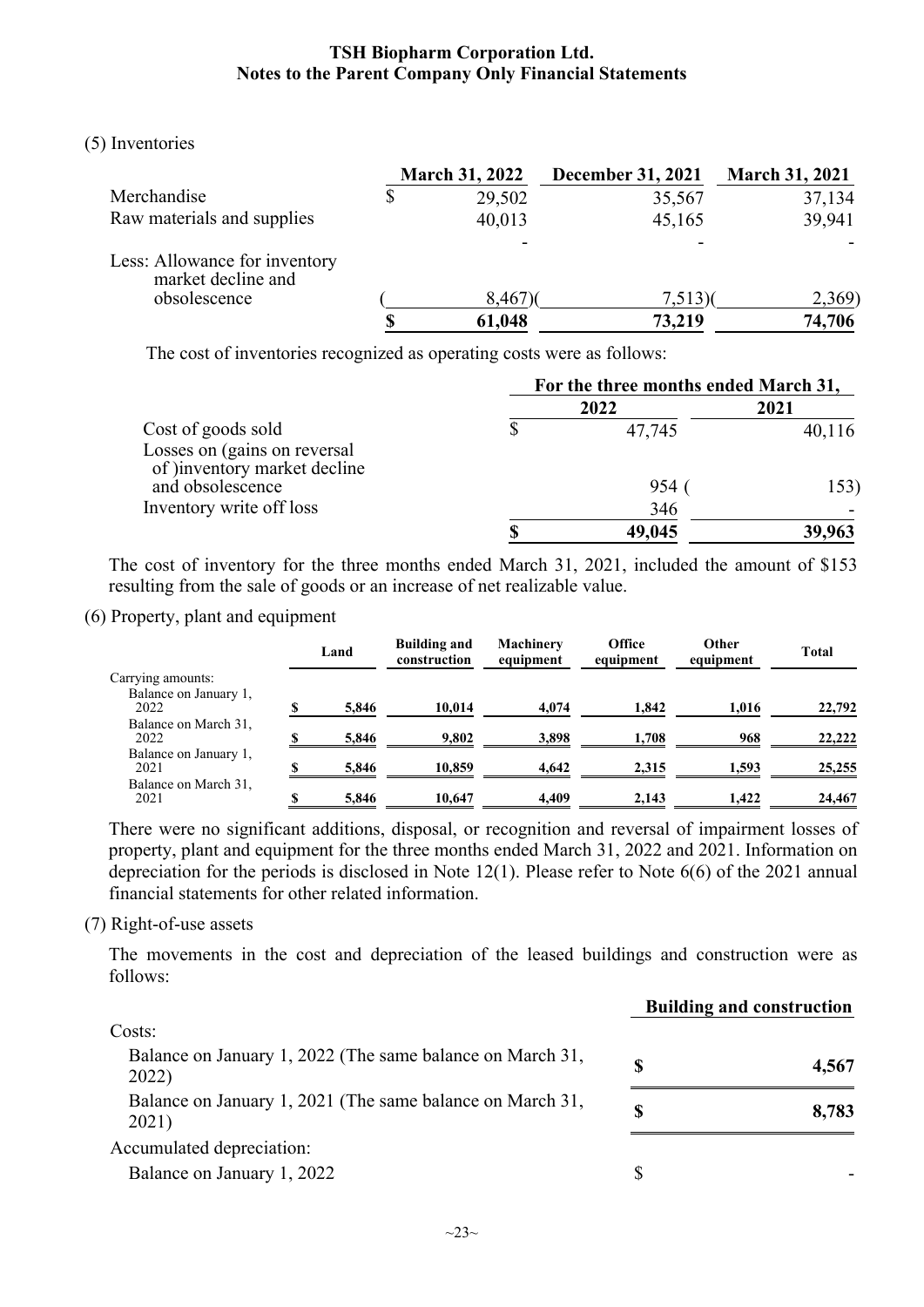#### (5) Inventories

|                                                                     | <b>March 31, 2022</b> | <b>December 31, 2021</b> | <b>March 31, 2021</b> |
|---------------------------------------------------------------------|-----------------------|--------------------------|-----------------------|
| Merchandise                                                         | 29,502                | 35,567                   | 37,134                |
| Raw materials and supplies                                          | 40,013                | 45,165                   | 39,941                |
| Less: Allowance for inventory<br>market decline and<br>obsolescence | $8,467$ )             | 7,513(                   | 2,369)                |
|                                                                     | 61,048                | 73,219                   | 74,706                |

The cost of inventories recognized as operating costs were as follows:

|                                                                                    | For the three months ended March 31, |        |        |
|------------------------------------------------------------------------------------|--------------------------------------|--------|--------|
|                                                                                    |                                      | 2022   | 2021   |
| Cost of goods sold<br>Losses on (gains on reversal<br>of )inventory market decline |                                      | 47,745 | 40,116 |
| and obsolescence                                                                   |                                      | 954    | 153)   |
| Inventory write off loss                                                           |                                      | 346    |        |
|                                                                                    |                                      | 49,045 | 39,963 |

The cost of inventory for the three months ended March 31, 2021, included the amount of \$153 resulting from the sale of goods or an increase of net realizable value.

#### (6) Property, plant and equipment

|                               |    | Land  | <b>Building and</b><br>construction | Machinery<br>equipment | Office<br>equipment | Other<br>equipment | <b>Total</b> |
|-------------------------------|----|-------|-------------------------------------|------------------------|---------------------|--------------------|--------------|
| Carrying amounts:             |    |       |                                     |                        |                     |                    |              |
| Balance on January 1,<br>2022 |    | 5,846 | 10.014                              | 4.074                  | 1,842               | 1.016              | 22,792       |
| Balance on March 31,<br>2022  | \$ | 5,846 | 9,802                               | 3,898                  | 1,708               | 968                | 22,222       |
| Balance on January 1,<br>2021 | \$ | 5,846 | 10,859                              | 4,642                  | 2,315               | 1,593              | 25,255       |
| Balance on March 31,<br>2021  | S  | 5,846 | 10.647                              | 4.409                  | 2.143               | 1.422              | 24,467       |

There were no significant additions, disposal, or recognition and reversal of impairment losses of property, plant and equipment for the three months ended March 31, 2022 and 2021. Information on depreciation for the periods is disclosed in Note 12(1). Please refer to Note 6(6) of the 2021 annual financial statements for other related information.

#### (7) Right-of-use assets

The movements in the cost and depreciation of the leased buildings and construction were as follows:

|                                                                    | <b>Building and construction</b> |       |  |
|--------------------------------------------------------------------|----------------------------------|-------|--|
| Costs:                                                             |                                  |       |  |
| Balance on January 1, 2022 (The same balance on March 31,<br>2022) | S                                | 4,567 |  |
| Balance on January 1, 2021 (The same balance on March 31,<br>2021) | S                                | 8,783 |  |
| Accumulated depreciation:                                          |                                  |       |  |
| Balance on January 1, 2022                                         |                                  |       |  |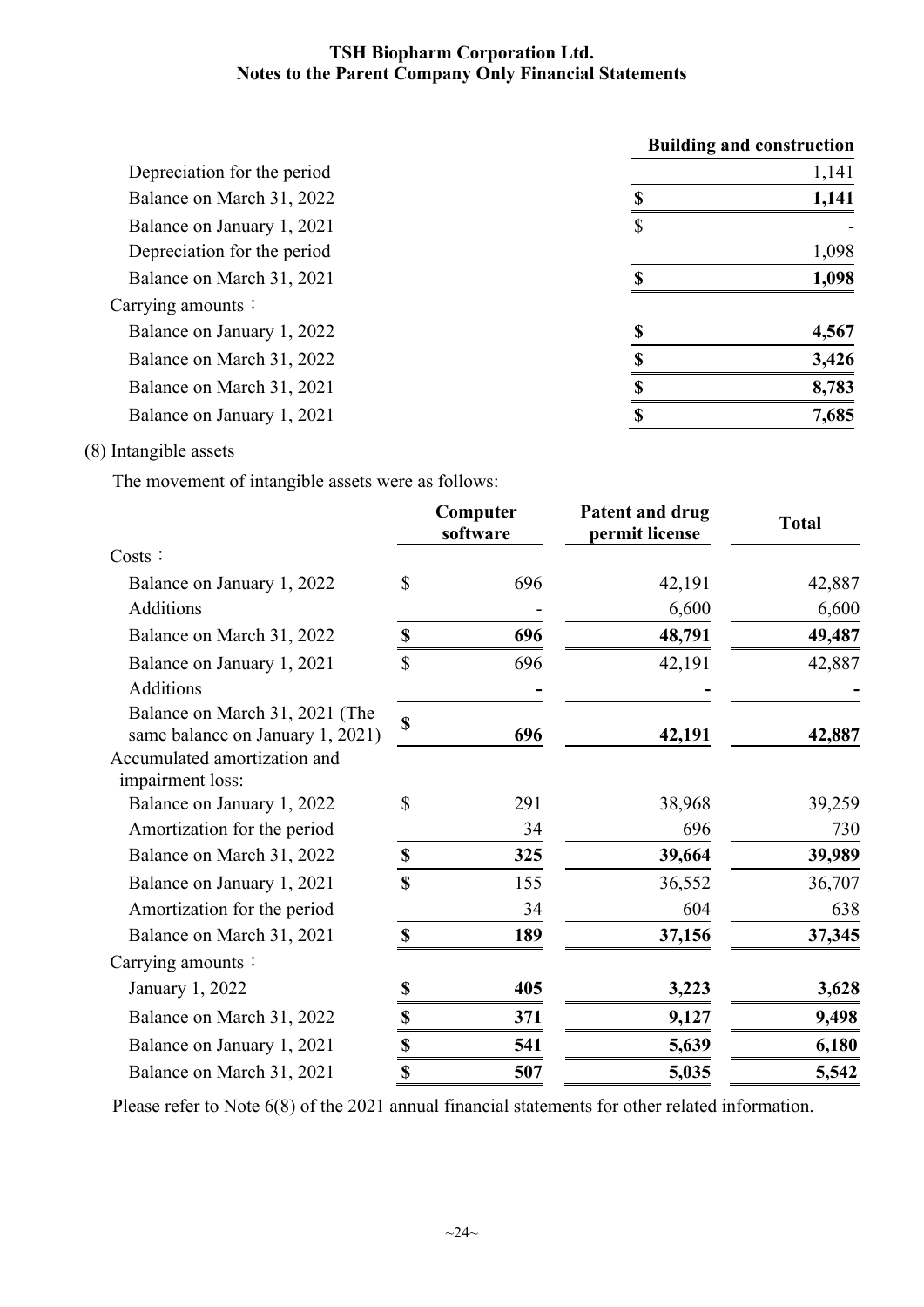|                             |    | <b>Building and construction</b> |
|-----------------------------|----|----------------------------------|
| Depreciation for the period |    | 1,141                            |
| Balance on March 31, 2022   | \$ | 1,141                            |
| Balance on January 1, 2021  | \$ |                                  |
| Depreciation for the period |    | 1,098                            |
| Balance on March 31, 2021   | S  | 1,098                            |
| Carrying amounts:           |    |                                  |
| Balance on January 1, 2022  |    | 4,567                            |
| Balance on March 31, 2022   |    | 3,426                            |
| Balance on March 31, 2021   |    | 8,783                            |
| Balance on January 1, 2021  |    | 7,685                            |
|                             |    |                                  |

### (8) Intangible assets

The movement of intangible assets were as follows:

|                                                                    |                           | Computer<br>software | Patent and drug<br>permit license | <b>Total</b> |
|--------------------------------------------------------------------|---------------------------|----------------------|-----------------------------------|--------------|
| Costs:                                                             |                           |                      |                                   |              |
| Balance on January 1, 2022                                         | \$                        | 696                  | 42,191                            | 42,887       |
| Additions                                                          |                           |                      | 6,600                             | 6,600        |
| Balance on March 31, 2022                                          | \$                        | 696                  | 48,791                            | 49,487       |
| Balance on January 1, 2021                                         | $\mathbb{S}$              | 696                  | 42,191                            | 42,887       |
| Additions                                                          |                           |                      |                                   |              |
| Balance on March 31, 2021 (The<br>same balance on January 1, 2021) | $\mathbf S$               | 696                  | 42,191                            | 42,887       |
| Accumulated amortization and<br>impairment loss:                   |                           |                      |                                   |              |
| Balance on January 1, 2022                                         | $\mathbb{S}$              | 291                  | 38,968                            | 39,259       |
| Amortization for the period                                        |                           | 34                   | 696                               | 730          |
| Balance on March 31, 2022                                          | $\mathbb S$               | 325                  | 39,664                            | 39,989       |
| Balance on January 1, 2021                                         | $\mathbf S$               | 155                  | 36,552                            | 36,707       |
| Amortization for the period                                        |                           | 34                   | 604                               | 638          |
| Balance on March 31, 2021                                          | $\mathbf S$               | 189                  | 37,156                            | 37,345       |
| Carrying amounts:                                                  |                           |                      |                                   |              |
| January 1, 2022                                                    | $\boldsymbol{\mathsf{S}}$ | 405                  | 3,223                             | 3,628        |
| Balance on March 31, 2022                                          | \$                        | 371                  | 9,127                             | 9,498        |
| Balance on January 1, 2021                                         | \$                        | 541                  | 5,639                             | 6,180        |
| Balance on March 31, 2021                                          | \$                        | 507                  | 5,035                             | 5,542        |

Please refer to Note 6(8) of the 2021 annual financial statements for other related information.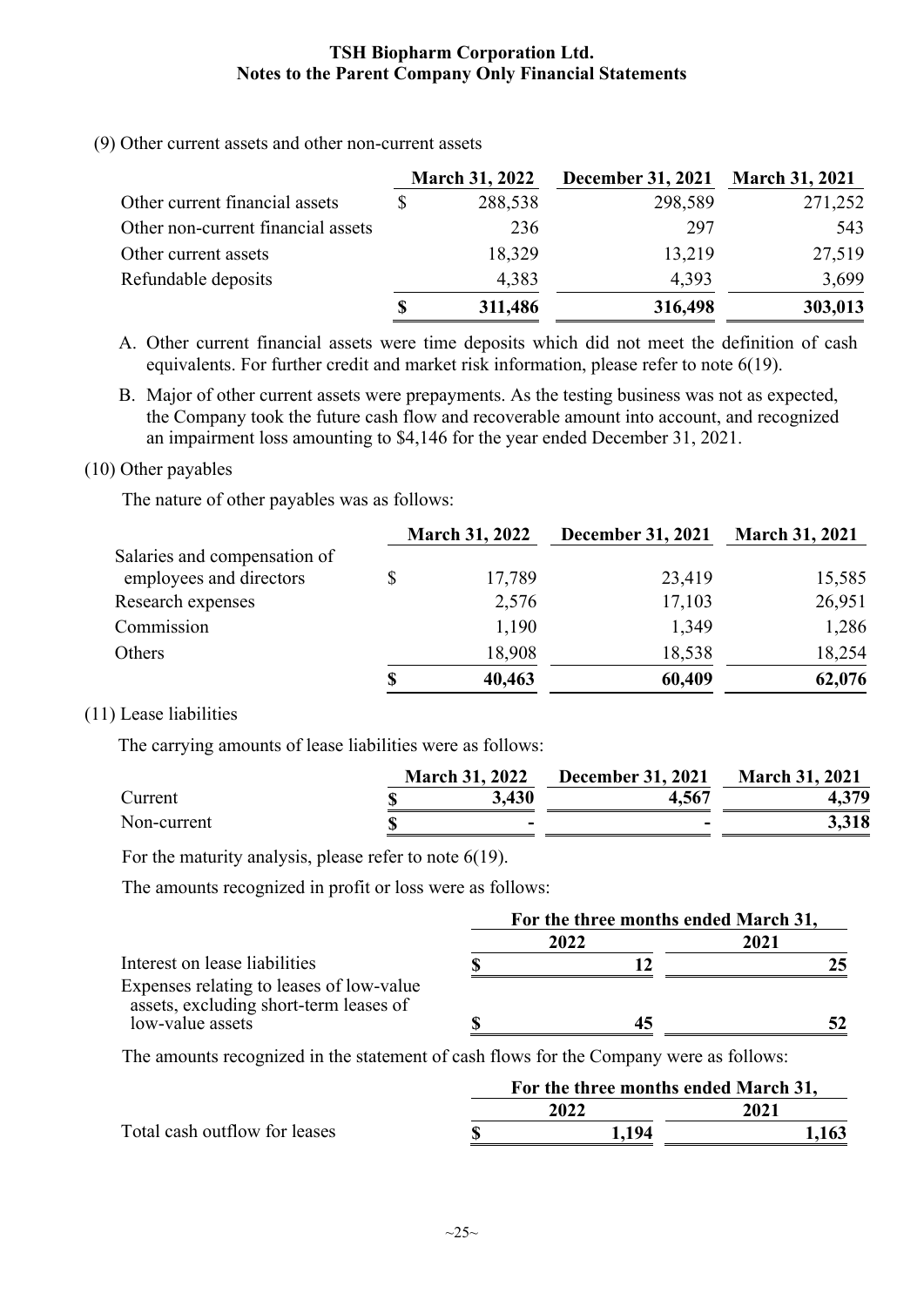(9) Other current assets and other non-current assets

|                                    | <b>March 31, 2022</b> | <b>December 31, 2021</b> | <b>March 31, 2021</b> |
|------------------------------------|-----------------------|--------------------------|-----------------------|
| Other current financial assets     | 288,538               | 298,589                  | 271,252               |
| Other non-current financial assets | 236                   | 297                      | 543                   |
| Other current assets               | 18,329                | 13,219                   | 27,519                |
| Refundable deposits                | 4,383                 | 4,393                    | 3,699                 |
|                                    | \$<br>311,486         | 316,498                  | 303,013               |

A. Other current financial assets were time deposits which did not meet the definition of cash equivalents. For further credit and market risk information, please refer to note 6(19).

B. Major of other current assets were prepayments. As the testing business was not as expected, the Company took the future cash flow and recoverable amount into account, and recognized an impairment loss amounting to \$4,146 for the year ended December 31, 2021.

#### (10) Other payables

The nature of other payables was as follows:

|                                                         | <b>March 31, 2022</b> | <b>December 31, 2021</b> | <b>March 31, 2021</b> |
|---------------------------------------------------------|-----------------------|--------------------------|-----------------------|
| Salaries and compensation of<br>employees and directors | 17,789                | 23,419                   | 15,585                |
| Research expenses                                       | 2,576                 | 17,103                   | 26,951                |
| Commission                                              | 1,190                 | 1,349                    | 1,286                 |
| Others                                                  | 18,908                | 18,538                   | 18,254                |
|                                                         | 40,463                | 60,409                   | 62,076                |

#### (11) Lease liabilities

The carrying amounts of lease liabilities were as follows:

|             | <b>March 31, 2022</b>    | <b>December 31, 2021</b> | <b>March 31, 2021</b> |  |
|-------------|--------------------------|--------------------------|-----------------------|--|
| Current     | 3,430                    | 4.567                    | 4,379                 |  |
| Non-current | $\overline{\phantom{0}}$ | -                        | 3,318                 |  |

For the maturity analysis, please refer to note 6(19).

The amounts recognized in profit or loss were as follows:

|                                                                                    | For the three months ended March 31, |      |      |  |  |
|------------------------------------------------------------------------------------|--------------------------------------|------|------|--|--|
|                                                                                    |                                      | 2022 | 2021 |  |  |
| Interest on lease liabilities                                                      |                                      |      | 25   |  |  |
| Expenses relating to leases of low-value<br>assets, excluding short-term leases of |                                      |      |      |  |  |
| low-value assets                                                                   |                                      |      |      |  |  |

The amounts recognized in the statement of cash flows for the Company were as follows:

|                               | For the three months ended March 31, |      |       |  |  |
|-------------------------------|--------------------------------------|------|-------|--|--|
|                               |                                      | 2022 | 2021  |  |  |
| Total cash outflow for leases |                                      | -194 | 1,163 |  |  |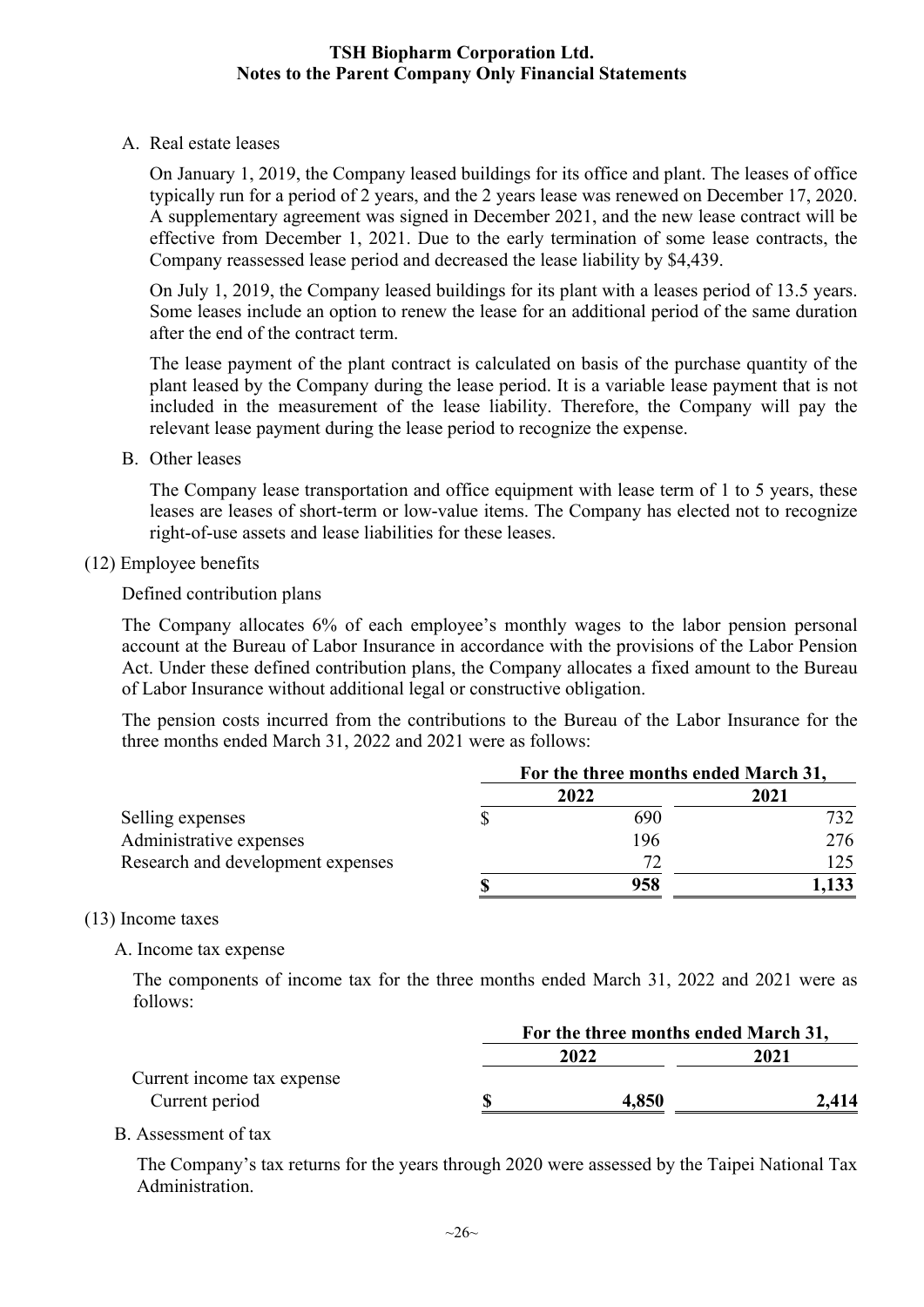A. Real estate leases

On January 1, 2019, the Company leased buildings for its office and plant. The leases of office typically run for a period of 2 years, and the 2 years lease was renewed on December 17, 2020. A supplementary agreement was signed in December 2021, and the new lease contract will be effective from December 1, 2021. Due to the early termination of some lease contracts, the Company reassessed lease period and decreased the lease liability by \$4,439.

On July 1, 2019, the Company leased buildings for its plant with a leases period of 13.5 years. Some leases include an option to renew the lease for an additional period of the same duration after the end of the contract term.

The lease payment of the plant contract is calculated on basis of the purchase quantity of the plant leased by the Company during the lease period. It is a variable lease payment that is not included in the measurement of the lease liability. Therefore, the Company will pay the relevant lease payment during the lease period to recognize the expense.

B. Other leases

The Company lease transportation and office equipment with lease term of 1 to 5 years, these leases are leases of short-term or low-value items. The Company has elected not to recognize right-of-use assets and lease liabilities for these leases.

#### (12) Employee benefits

Defined contribution plans

The Company allocates 6% of each employee's monthly wages to the labor pension personal account at the Bureau of Labor Insurance in accordance with the provisions of the Labor Pension Act. Under these defined contribution plans, the Company allocates a fixed amount to the Bureau of Labor Insurance without additional legal or constructive obligation.

The pension costs incurred from the contributions to the Bureau of the Labor Insurance for the three months ended March 31, 2022 and 2021 were as follows:

|                                   | For the three months ended March 31, |      |       |  |
|-----------------------------------|--------------------------------------|------|-------|--|
|                                   |                                      | 2022 | 2021  |  |
| Selling expenses                  |                                      | 690  | 732.  |  |
| Administrative expenses           |                                      | 196  | 276   |  |
| Research and development expenses |                                      | 72   | 125.  |  |
|                                   |                                      | 958  | 1,133 |  |

#### (13) Income taxes

A. Income tax expense

The components of income tax for the three months ended March 31, 2022 and 2021 were as follows:

|                            | For the three months ended March 31, |       |       |  |
|----------------------------|--------------------------------------|-------|-------|--|
|                            |                                      | 2022  | 2021  |  |
| Current income tax expense |                                      |       |       |  |
| Current period             | S                                    | 4,850 | 2.414 |  |
|                            |                                      |       |       |  |

#### B. Assessment of tax

The Company's tax returns for the years through 2020 were assessed by the Taipei National Tax Administration.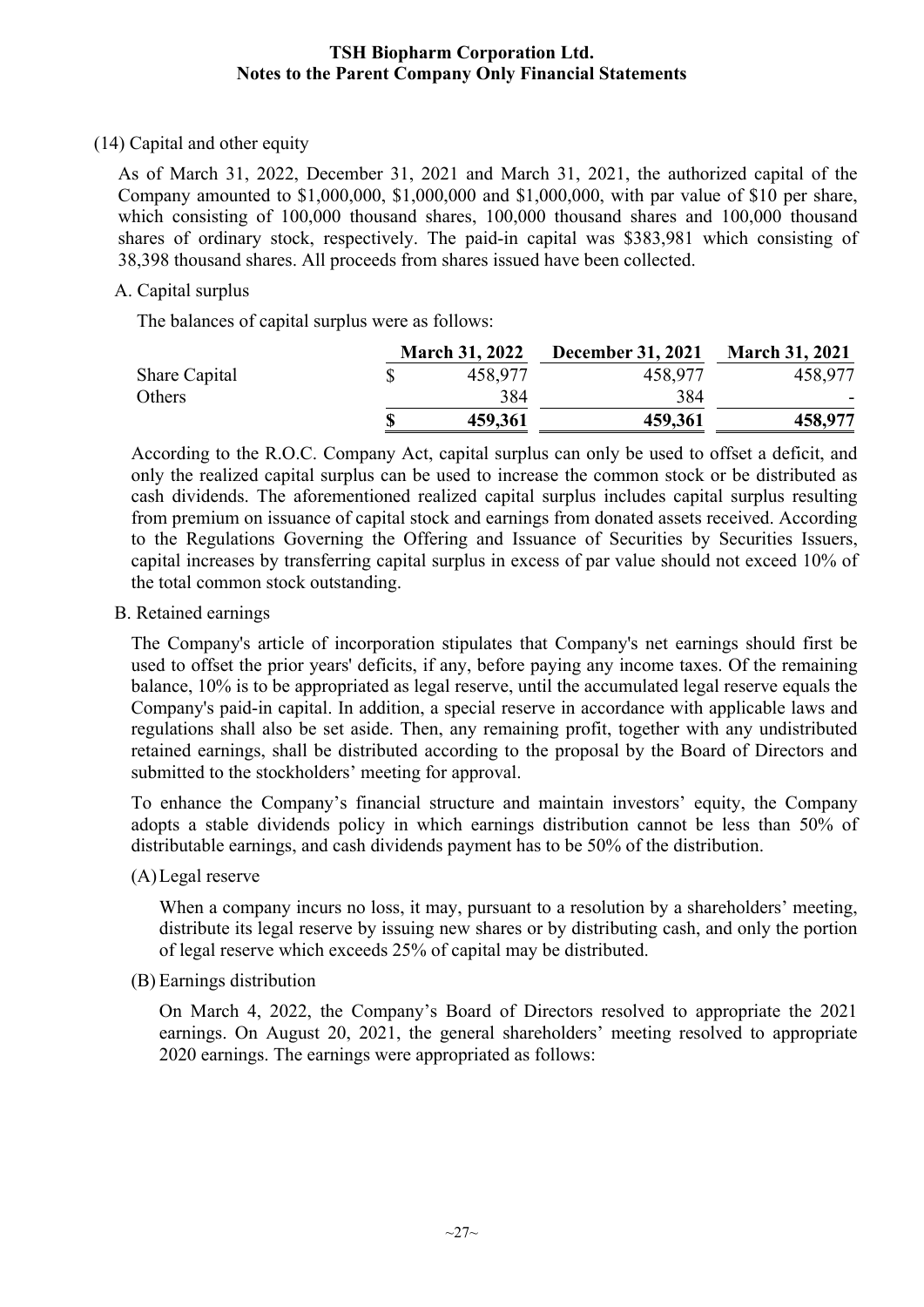#### (14) Capital and other equity

As of March 31, 2022, December 31, 2021 and March 31, 2021, the authorized capital of the Company amounted to \$1,000,000, \$1,000,000 and \$1,000,000, with par value of \$10 per share, which consisting of 100,000 thousand shares, 100,000 thousand shares and 100,000 thousand shares of ordinary stock, respectively. The paid-in capital was \$383,981 which consisting of 38,398 thousand shares. All proceeds from shares issued have been collected.

#### A. Capital surplus

The balances of capital surplus were as follows:

|               | <b>March 31, 2022</b> | <b>December 31, 2021</b> | <b>March 31, 2021</b> |  |
|---------------|-----------------------|--------------------------|-----------------------|--|
| Share Capital | 458,977               | 458,977                  | 458,977               |  |
| Others        | 384                   | 384                      |                       |  |
|               | \$<br>459,361         | 459,361                  | 458,977               |  |

According to the R.O.C. Company Act, capital surplus can only be used to offset a deficit, and only the realized capital surplus can be used to increase the common stock or be distributed as cash dividends. The aforementioned realized capital surplus includes capital surplus resulting from premium on issuance of capital stock and earnings from donated assets received. According to the Regulations Governing the Offering and Issuance of Securities by Securities Issuers, capital increases by transferring capital surplus in excess of par value should not exceed 10% of the total common stock outstanding.

B. Retained earnings

The Company's article of incorporation stipulates that Company's net earnings should first be used to offset the prior years' deficits, if any, before paying any income taxes. Of the remaining balance, 10% is to be appropriated as legal reserve, until the accumulated legal reserve equals the Company's paid-in capital. In addition, a special reserve in accordance with applicable laws and regulations shall also be set aside. Then, any remaining profit, together with any undistributed retained earnings, shall be distributed according to the proposal by the Board of Directors and submitted to the stockholders' meeting for approval.

To enhance the Company's financial structure and maintain investors' equity, the Company adopts a stable dividends policy in which earnings distribution cannot be less than 50% of distributable earnings, and cash dividends payment has to be 50% of the distribution.

(A)Legal reserve

When a company incurs no loss, it may, pursuant to a resolution by a shareholders' meeting, distribute its legal reserve by issuing new shares or by distributing cash, and only the portion of legal reserve which exceeds 25% of capital may be distributed.

(B) Earnings distribution

On March 4, 2022, the Company's Board of Directors resolved to appropriate the 2021 earnings. On August 20, 2021, the general shareholders' meeting resolved to appropriate 2020 earnings. The earnings were appropriated as follows: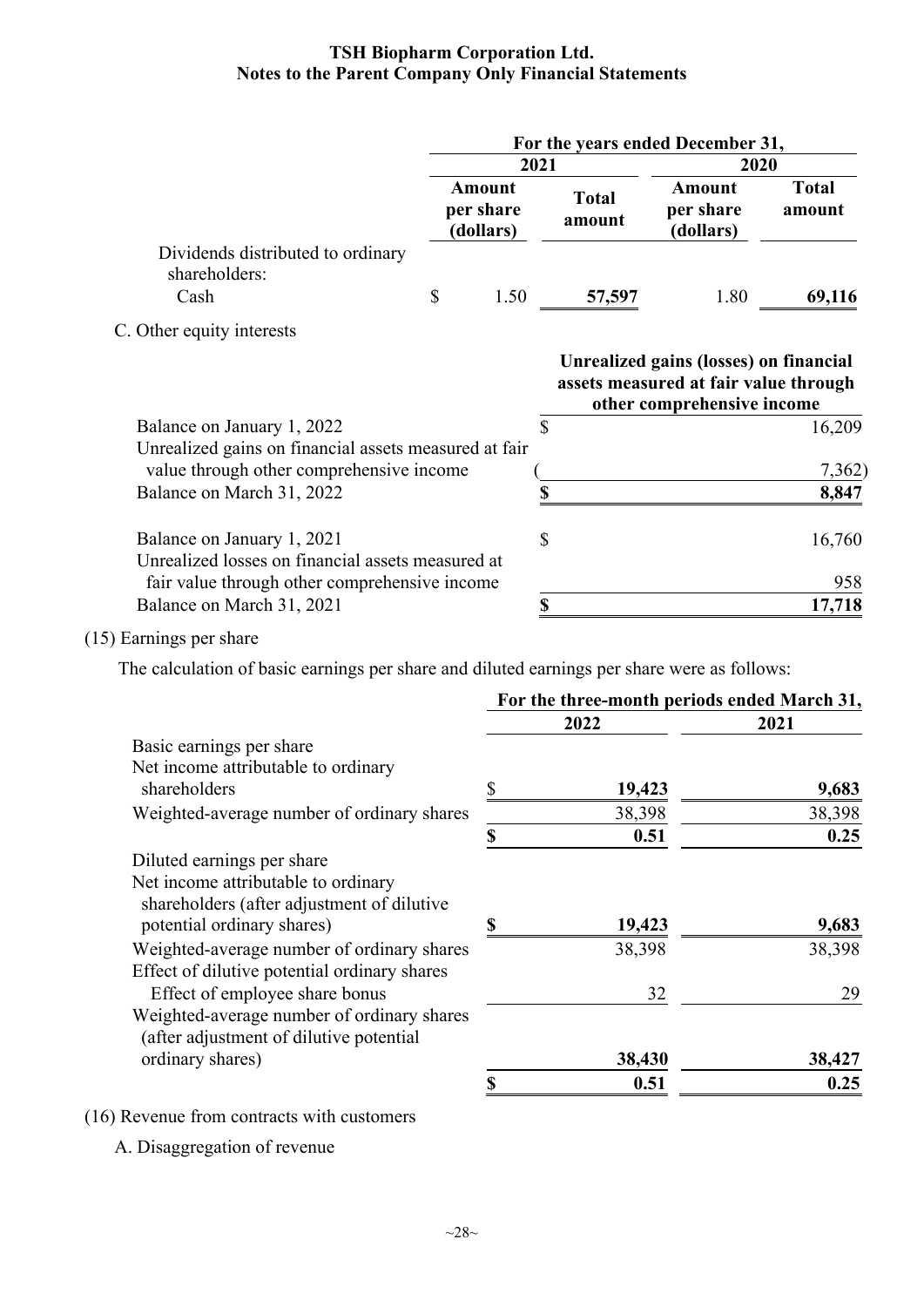|                                                                                                   | For the years ended December 31, |      |               |                                                                                                               |                        |                                  |                        |
|---------------------------------------------------------------------------------------------------|----------------------------------|------|---------------|---------------------------------------------------------------------------------------------------------------|------------------------|----------------------------------|------------------------|
|                                                                                                   |                                  | 2021 |               | 2020                                                                                                          |                        |                                  |                        |
|                                                                                                   | Amount<br>per share              |      | (dollars)     |                                                                                                               | <b>Total</b><br>amount | Amount<br>per share<br>(dollars) | <b>Total</b><br>amount |
| Dividends distributed to ordinary<br>shareholders:                                                |                                  |      |               |                                                                                                               |                        |                                  |                        |
| Cash                                                                                              | \$                               | 1.50 | 57,597        | 1.80                                                                                                          | 69,116                 |                                  |                        |
| C. Other equity interests                                                                         |                                  |      |               |                                                                                                               |                        |                                  |                        |
|                                                                                                   |                                  |      |               | Unrealized gains (losses) on financial<br>assets measured at fair value through<br>other comprehensive income |                        |                                  |                        |
| Balance on January 1, 2022                                                                        |                                  |      | $\mathcal{S}$ |                                                                                                               | 16,209                 |                                  |                        |
| Unrealized gains on financial assets measured at fair<br>value through other comprehensive income |                                  |      |               |                                                                                                               | 7,362)                 |                                  |                        |
| Balance on March 31, 2022                                                                         |                                  |      | \$            |                                                                                                               | 8,847                  |                                  |                        |
| Balance on January 1, 2021<br>Unrealized losses on financial assets measured at                   |                                  |      | $\mathcal{S}$ |                                                                                                               | 16,760                 |                                  |                        |
| fair value through other comprehensive income                                                     |                                  |      |               |                                                                                                               | 958                    |                                  |                        |
| Balance on March 31, 2021                                                                         |                                  |      | \$            |                                                                                                               | 17,718                 |                                  |                        |

(15) Earnings per share

The calculation of basic earnings per share and diluted earnings per share were as follows:

|                                                                                   | For the three-month periods ended March 31, |        |        |  |
|-----------------------------------------------------------------------------------|---------------------------------------------|--------|--------|--|
|                                                                                   |                                             | 2022   | 2021   |  |
| Basic earnings per share                                                          |                                             |        |        |  |
| Net income attributable to ordinary                                               |                                             |        |        |  |
| shareholders                                                                      |                                             | 19,423 | 9,683  |  |
| Weighted-average number of ordinary shares                                        |                                             | 38,398 | 38,398 |  |
|                                                                                   | S                                           | 0.51   | 0.25   |  |
| Diluted earnings per share                                                        |                                             |        |        |  |
| Net income attributable to ordinary<br>shareholders (after adjustment of dilutive |                                             |        |        |  |
| potential ordinary shares)                                                        | \$                                          | 19,423 | 9,683  |  |
| Weighted-average number of ordinary shares                                        |                                             | 38,398 | 38,398 |  |
| Effect of dilutive potential ordinary shares                                      |                                             |        |        |  |
| Effect of employee share bonus                                                    |                                             | 32     | 29     |  |
| Weighted-average number of ordinary shares                                        |                                             |        |        |  |
| (after adjustment of dilutive potential)                                          |                                             |        |        |  |
| ordinary shares)                                                                  |                                             | 38,430 | 38,427 |  |
|                                                                                   |                                             | 0.51   | 0.25   |  |

(16) Revenue from contracts with customers

A. Disaggregation of revenue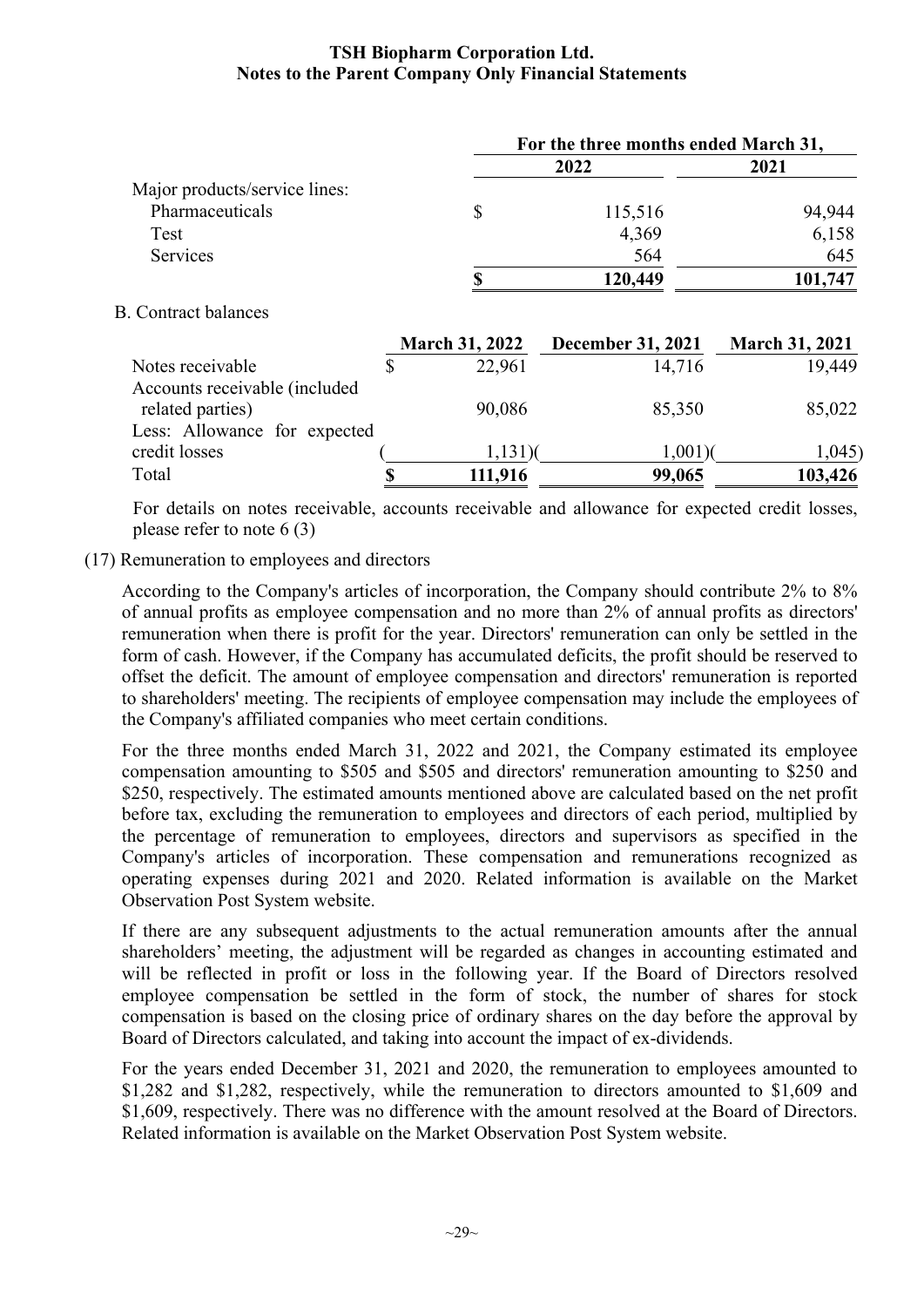|                               |                       | For the three months ended March 31, |                       |  |  |  |  |
|-------------------------------|-----------------------|--------------------------------------|-----------------------|--|--|--|--|
|                               |                       | 2022                                 | 2021                  |  |  |  |  |
| Major products/service lines: |                       |                                      |                       |  |  |  |  |
| Pharmaceuticals               | \$                    | 115,516                              | 94,944                |  |  |  |  |
| Test                          |                       | 4,369                                | 6,158                 |  |  |  |  |
| Services                      |                       | 564                                  | 645                   |  |  |  |  |
|                               | <b>S</b>              | 120,449                              | 101,747               |  |  |  |  |
| <b>B.</b> Contract balances   |                       |                                      |                       |  |  |  |  |
|                               | <b>March 31, 2022</b> | December 31, 2021                    | <b>March 31, 2021</b> |  |  |  |  |
| Notes receivable              | \$<br>22,961          | 14,716                               | 19,449                |  |  |  |  |
| Accounts receivable (included |                       |                                      |                       |  |  |  |  |
| related parties)              | 90,086                | 85,350                               | 85,022                |  |  |  |  |
| Less: Allowance for expected  |                       |                                      |                       |  |  |  |  |
| credit losses                 | $1,131$ )(            | $1,001$ )(                           | 1,045                 |  |  |  |  |
| Total                         | \$<br>111,916         | 99,065                               | 103,426               |  |  |  |  |

For details on notes receivable, accounts receivable and allowance for expected credit losses, please refer to note 6 (3)

#### (17) Remuneration to employees and directors

According to the Company's articles of incorporation, the Company should contribute 2% to 8% of annual profits as employee compensation and no more than 2% of annual profits as directors' remuneration when there is profit for the year. Directors' remuneration can only be settled in the form of cash. However, if the Company has accumulated deficits, the profit should be reserved to offset the deficit. The amount of employee compensation and directors' remuneration is reported to shareholders' meeting. The recipients of employee compensation may include the employees of the Company's affiliated companies who meet certain conditions.

For the three months ended March 31, 2022 and 2021, the Company estimated its employee compensation amounting to \$505 and \$505 and directors' remuneration amounting to \$250 and \$250, respectively. The estimated amounts mentioned above are calculated based on the net profit before tax, excluding the remuneration to employees and directors of each period, multiplied by the percentage of remuneration to employees, directors and supervisors as specified in the Company's articles of incorporation. These compensation and remunerations recognized as operating expenses during 2021 and 2020. Related information is available on the Market Observation Post System website.

If there are any subsequent adjustments to the actual remuneration amounts after the annual shareholders' meeting, the adjustment will be regarded as changes in accounting estimated and will be reflected in profit or loss in the following year. If the Board of Directors resolved employee compensation be settled in the form of stock, the number of shares for stock compensation is based on the closing price of ordinary shares on the day before the approval by Board of Directors calculated, and taking into account the impact of ex-dividends.

For the years ended December 31, 2021 and 2020, the remuneration to employees amounted to \$1,282 and \$1,282, respectively, while the remuneration to directors amounted to \$1,609 and \$1,609, respectively. There was no difference with the amount resolved at the Board of Directors. Related information is available on the Market Observation Post System website.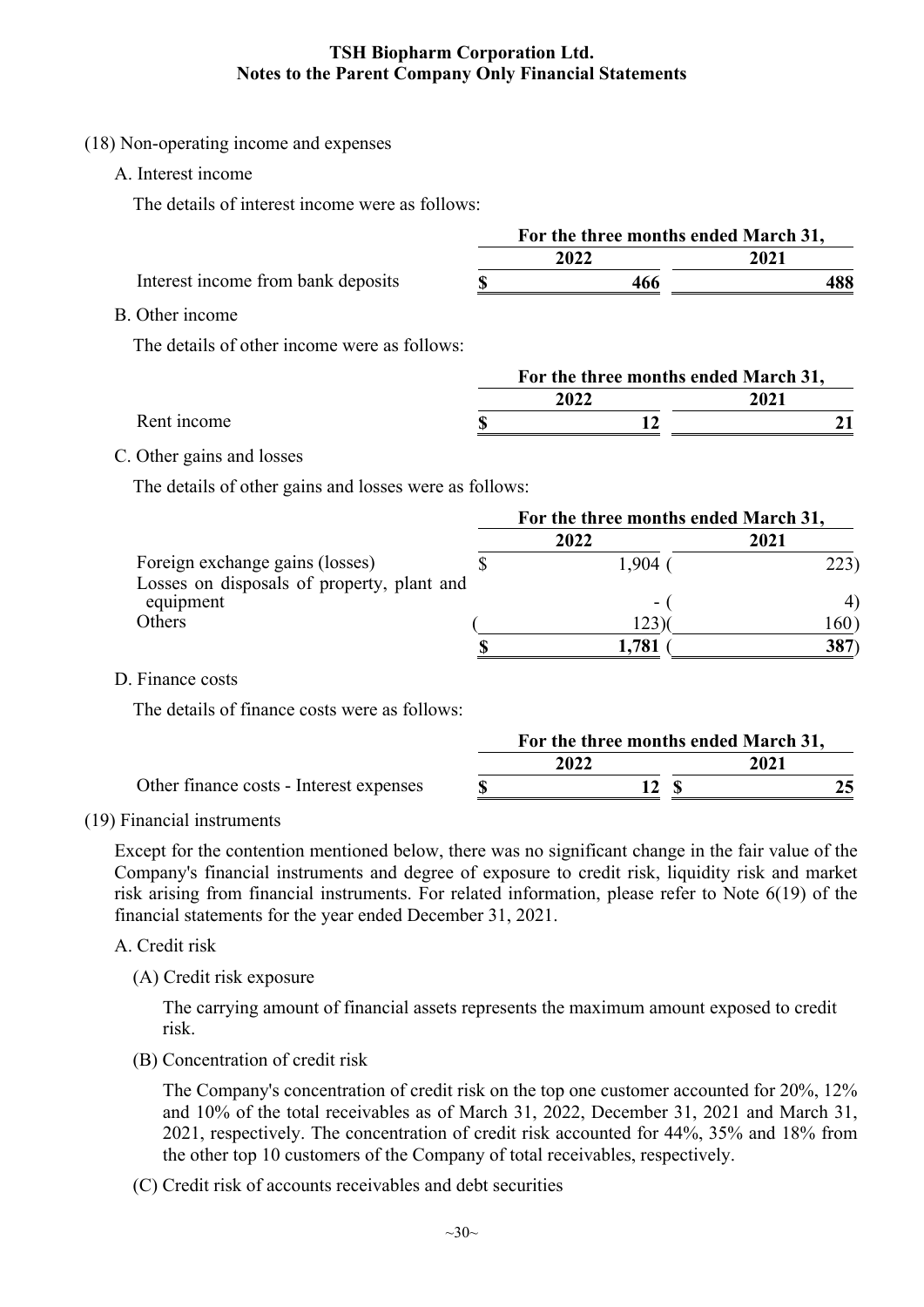#### (18) Non-operating income and expenses

A. Interest income

The details of interest income were as follows:

|                                                                                                     | For the three months ended March 31, |                                      |             |      |  |
|-----------------------------------------------------------------------------------------------------|--------------------------------------|--------------------------------------|-------------|------|--|
|                                                                                                     |                                      | 2022                                 |             | 2021 |  |
| Interest income from bank deposits                                                                  | \$                                   | 466                                  |             | 488  |  |
| B. Other income                                                                                     |                                      |                                      |             |      |  |
| The details of other income were as follows:                                                        |                                      |                                      |             |      |  |
|                                                                                                     |                                      | For the three months ended March 31, |             |      |  |
|                                                                                                     |                                      | 2022                                 |             | 2021 |  |
| Rent income                                                                                         | \$                                   | 12                                   |             | 21   |  |
| C. Other gains and losses                                                                           |                                      |                                      |             |      |  |
| The details of other gains and losses were as follows:                                              |                                      |                                      |             |      |  |
|                                                                                                     |                                      | For the three months ended March 31, |             |      |  |
|                                                                                                     |                                      | 2022                                 |             | 2021 |  |
| Foreign exchange gains (losses)<br>Losses on disposals of property, plant and                       | \$                                   | $1,904$ (                            |             | 223) |  |
| equipment                                                                                           |                                      |                                      |             | 4)   |  |
| Others                                                                                              |                                      | 123)                                 |             | 160) |  |
|                                                                                                     | \$                                   | 1,781                                |             | 387) |  |
| D. Finance costs                                                                                    |                                      |                                      |             |      |  |
| The details of finance costs were as follows:                                                       |                                      |                                      |             |      |  |
|                                                                                                     |                                      | For the three months ended March 31, |             |      |  |
|                                                                                                     |                                      | 2022                                 |             | 2021 |  |
| Other finance costs - Interest expenses                                                             | \$                                   | 12                                   | $\mathbf S$ | 25   |  |
| (19) Financial instruments                                                                          |                                      |                                      |             |      |  |
| Except for the contention mentioned below, there was no significant change in the fair value of the |                                      |                                      |             |      |  |

Company's financial instruments and degree of exposure to credit risk, liquidity risk and market risk arising from financial instruments. For related information, please refer to Note 6(19) of the financial statements for the year ended December 31, 2021.

#### A. Credit risk

(A) Credit risk exposure

The carrying amount of financial assets represents the maximum amount exposed to credit risk.

(B) Concentration of credit risk

The Company's concentration of credit risk on the top one customer accounted for 20%, 12% and 10% of the total receivables as of March 31, 2022, December 31, 2021 and March 31, 2021, respectively. The concentration of credit risk accounted for 44%, 35% and 18% from the other top 10 customers of the Company of total receivables, respectively.

(C) Credit risk of accounts receivables and debt securities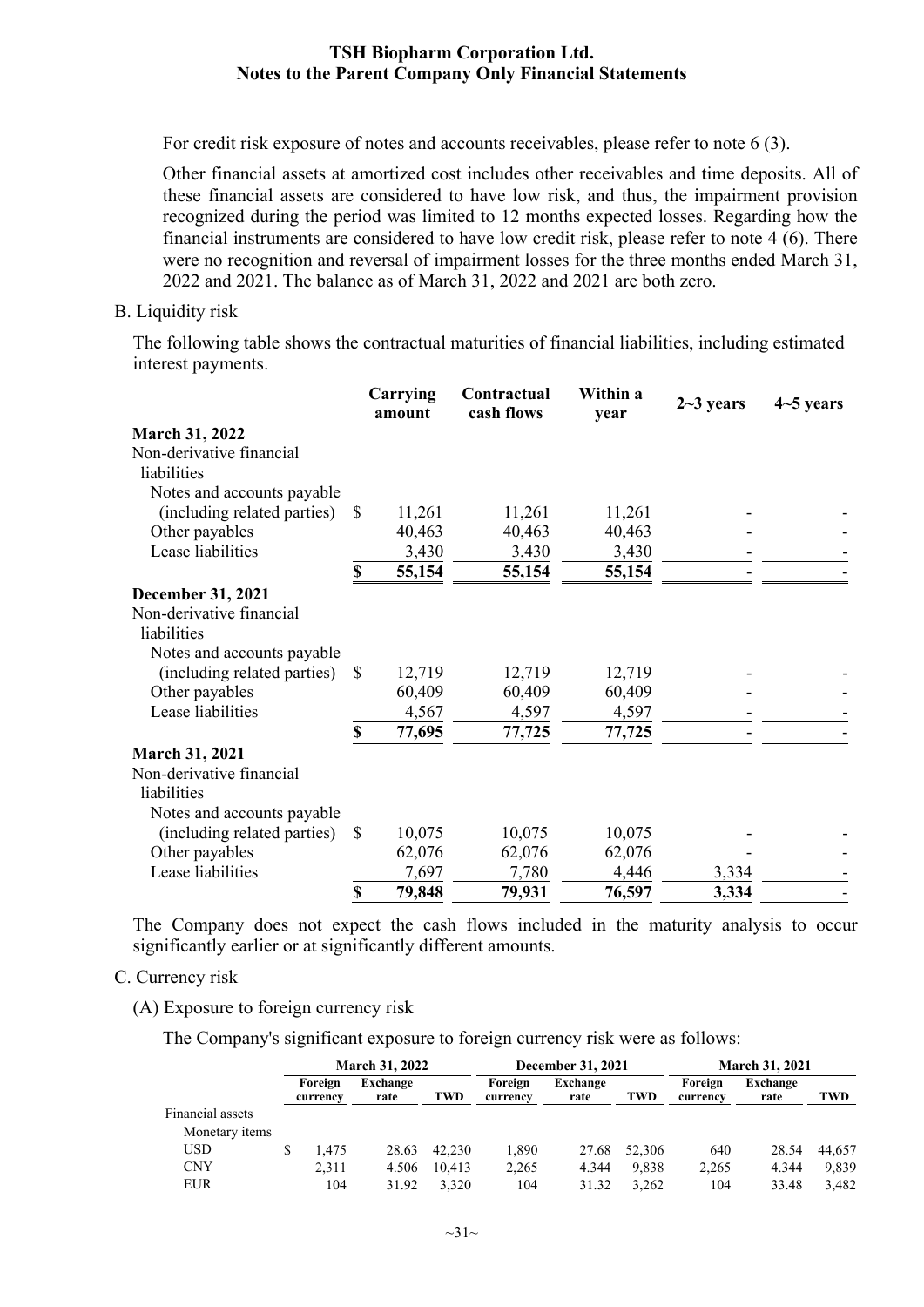For credit risk exposure of notes and accounts receivables, please refer to note 6 (3).

Other financial assets at amortized cost includes other receivables and time deposits. All of these financial assets are considered to have low risk, and thus, the impairment provision recognized during the period was limited to 12 months expected losses. Regarding how the financial instruments are considered to have low credit risk, please refer to note 4 (6). There were no recognition and reversal of impairment losses for the three months ended March 31, 2022 and 2021. The balance as of March 31, 2022 and 2021 are both zero.

#### B. Liquidity risk

The following table shows the contractual maturities of financial liabilities, including estimated interest payments.

|                             |               | Carrying<br>amount | Contractual<br>cash flows | Within a<br>vear | $2-3$ years | $4-5$ years |
|-----------------------------|---------------|--------------------|---------------------------|------------------|-------------|-------------|
| <b>March 31, 2022</b>       |               |                    |                           |                  |             |             |
| Non-derivative financial    |               |                    |                           |                  |             |             |
| liabilities                 |               |                    |                           |                  |             |             |
| Notes and accounts payable  |               |                    |                           |                  |             |             |
| (including related parties) | -S            | 11,261             | 11,261                    | 11,261           |             |             |
| Other payables              |               | 40,463             | 40,463                    | 40,463           |             |             |
| Lease liabilities           |               | 3,430              | 3,430                     | 3,430            |             |             |
|                             | \$            | 55,154             | 55,154                    | 55,154           |             |             |
| <b>December 31, 2021</b>    |               |                    |                           |                  |             |             |
| Non-derivative financial    |               |                    |                           |                  |             |             |
| liabilities                 |               |                    |                           |                  |             |             |
| Notes and accounts payable  |               |                    |                           |                  |             |             |
| (including related parties) | -S            | 12,719             | 12,719                    | 12,719           |             |             |
| Other payables              |               | 60,409             | 60,409                    | 60,409           |             |             |
| Lease liabilities           |               | 4,567              | 4,597                     | 4,597            |             |             |
|                             | \$            | 77,695             | 77,725                    | 77,725           |             |             |
| <b>March 31, 2021</b>       |               |                    |                           |                  |             |             |
| Non-derivative financial    |               |                    |                           |                  |             |             |
| liabilities                 |               |                    |                           |                  |             |             |
| Notes and accounts payable  |               |                    |                           |                  |             |             |
| (including related parties) | <sup>\$</sup> | 10,075             | 10,075                    | 10,075           |             |             |
| Other payables              |               | 62,076             | 62,076                    | 62,076           |             |             |
| Lease liabilities           |               | 7,697              | 7,780                     | 4,446            | 3,334       |             |
|                             | \$            | 79,848             | 79,931                    | 76,597           | 3,334       |             |

The Company does not expect the cash flows included in the maturity analysis to occur significantly earlier or at significantly different amounts.

#### C. Currency risk

(A) Exposure to foreign currency risk

The Company's significant exposure to foreign currency risk were as follows:

|                  | <b>March 31, 2022</b> |                     |                  | December 31, 2021 |                     |                  | <b>March 31, 2021</b> |                     |                  |        |
|------------------|-----------------------|---------------------|------------------|-------------------|---------------------|------------------|-----------------------|---------------------|------------------|--------|
|                  |                       | Foreign<br>currency | Exchange<br>rate | TWD               | Foreign<br>currency | Exchange<br>rate | <b>TWD</b>            | Foreign<br>currency | Exchange<br>rate | TWD    |
| Financial assets |                       |                     |                  |                   |                     |                  |                       |                     |                  |        |
| Monetary items   |                       |                     |                  |                   |                     |                  |                       |                     |                  |        |
| <b>USD</b>       | S                     | l.475               | 28.63            | 42,230            | 1,890               | 27.68            | 52,306                | 640                 | 28.54            | 44.657 |
| <b>CNY</b>       |                       | 2,311               | 4.506            | 10.413            | 2,265               | 4.344            | 9.838                 | 2,265               | 4.344            | 9.839  |
| <b>EUR</b>       |                       | 104                 | 31.92            | 3.320             | 104                 | 31.32            | 3.262                 | 104                 | 33.48            | 3.482  |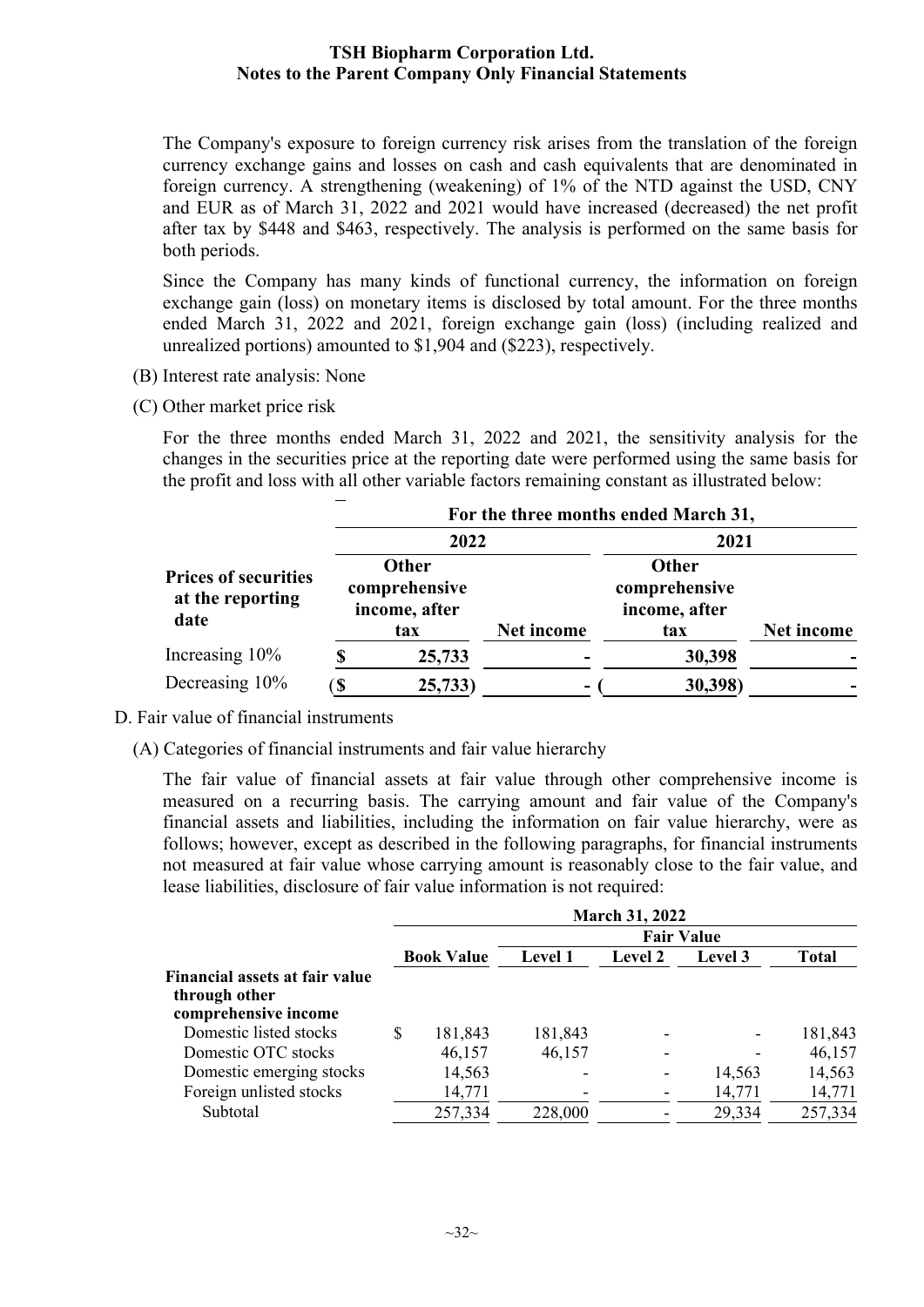The Company's exposure to foreign currency risk arises from the translation of the foreign currency exchange gains and losses on cash and cash equivalents that are denominated in foreign currency. A strengthening (weakening) of 1% of the NTD against the USD, CNY and EUR as of March 31, 2022 and 2021 would have increased (decreased) the net profit after tax by \$448 and \$463, respectively. The analysis is performed on the same basis for both periods.

Since the Company has many kinds of functional currency, the information on foreign exchange gain (loss) on monetary items is disclosed by total amount. For the three months ended March 31, 2022 and 2021, foreign exchange gain (loss) (including realized and unrealized portions) amounted to \$1,904 and (\$223), respectively.

- (B) Interest rate analysis: None
- (C) Other market price risk

For the three months ended March 31, 2022 and 2021, the sensitivity analysis for the changes in the securities price at the reporting date were performed using the same basis for the profit and loss with all other variable factors remaining constant as illustrated below:

|                                                         |      | For the three months ended March 31,                  |            |                                                       |            |  |  |  |  |
|---------------------------------------------------------|------|-------------------------------------------------------|------------|-------------------------------------------------------|------------|--|--|--|--|
|                                                         |      | 2022                                                  |            | 2021                                                  |            |  |  |  |  |
| <b>Prices of securities</b><br>at the reporting<br>date |      | <b>Other</b><br>comprehensive<br>income, after<br>tax | Net income | <b>Other</b><br>comprehensive<br>income, after<br>tax | Net income |  |  |  |  |
| Increasing 10%                                          |      | 25,733                                                |            | 30,398                                                |            |  |  |  |  |
| Decreasing 10%                                          | ์ \$ | 25,733)                                               | -          | 30,398)                                               |            |  |  |  |  |

D. Fair value of financial instruments

(A) Categories of financial instruments and fair value hierarchy

The fair value of financial assets at fair value through other comprehensive income is measured on a recurring basis. The carrying amount and fair value of the Company's financial assets and liabilities, including the information on fair value hierarchy, were as follows; however, except as described in the following paragraphs, for financial instruments not measured at fair value whose carrying amount is reasonably close to the fair value, and lease liabilities, disclosure of fair value information is not required:

|                                                                         | <b>March 31, 2022</b> |                   |                |                |         |              |  |
|-------------------------------------------------------------------------|-----------------------|-------------------|----------------|----------------|---------|--------------|--|
|                                                                         |                       | <b>Fair Value</b> |                |                |         |              |  |
|                                                                         |                       | <b>Book Value</b> | <b>Level 1</b> | <b>Level 2</b> | Level 3 | <b>Total</b> |  |
| Financial assets at fair value<br>through other<br>comprehensive income |                       |                   |                |                |         |              |  |
| Domestic listed stocks                                                  | S                     | 181,843           | 181,843        |                |         | 181,843      |  |
| Domestic OTC stocks                                                     |                       | 46,157            | 46,157         |                |         | 46,157       |  |
| Domestic emerging stocks                                                |                       | 14,563            |                |                | 14,563  | 14,563       |  |
| Foreign unlisted stocks                                                 |                       | 14,771            |                |                | 14,771  | 14,771       |  |
| Subtotal                                                                |                       | 257,334           | 228,000        |                | 29,334  | 257,334      |  |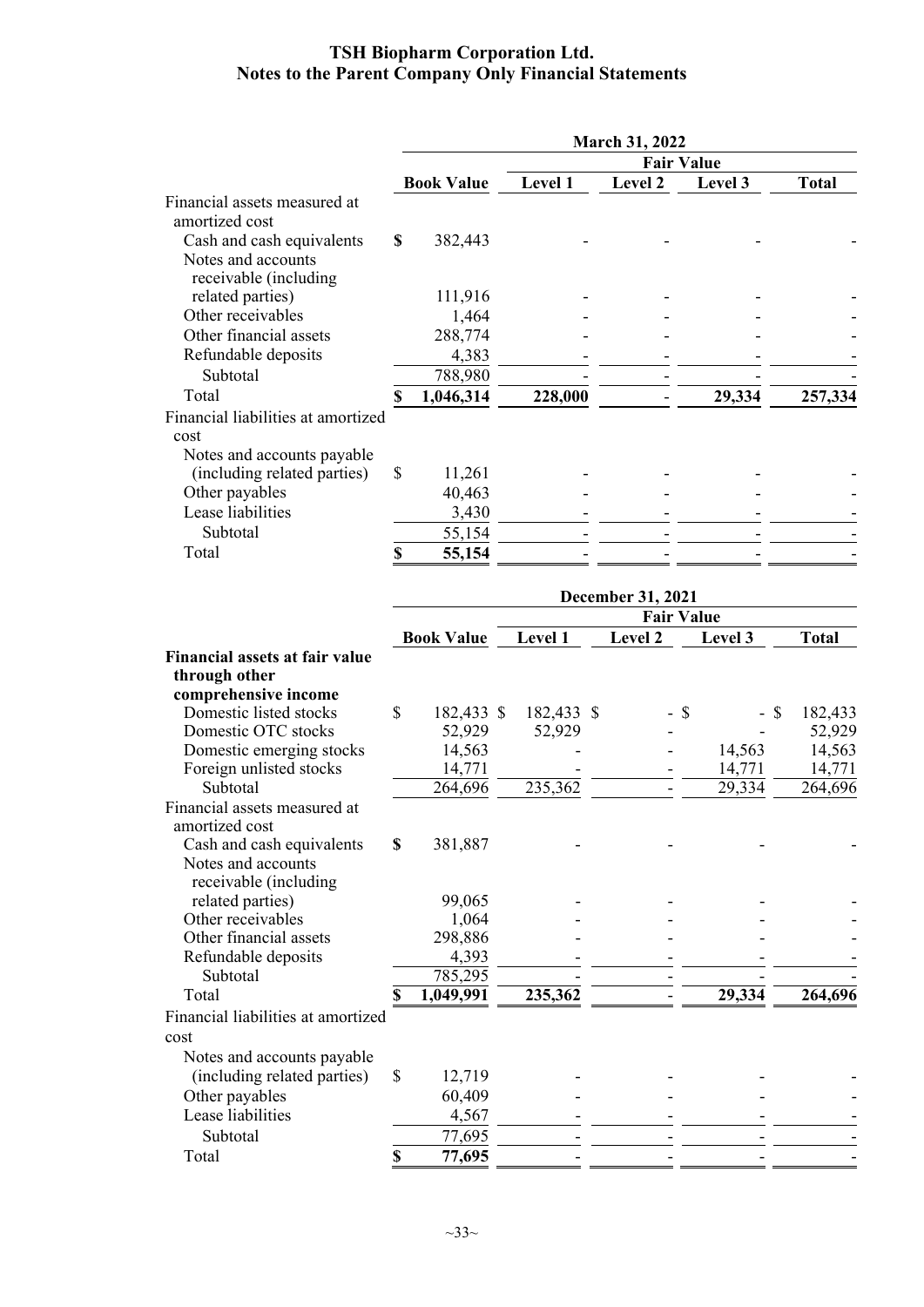|                                                           | <b>March 31, 2022</b> |                   |            |                          |     |         |              |
|-----------------------------------------------------------|-----------------------|-------------------|------------|--------------------------|-----|---------|--------------|
|                                                           |                       |                   |            | <b>Fair Value</b>        |     |         |              |
|                                                           |                       | <b>Book Value</b> | Level 1    | Level 2                  |     | Level 3 | <b>Total</b> |
| Financial assets measured at                              |                       |                   |            |                          |     |         |              |
| amortized cost                                            |                       |                   |            |                          |     |         |              |
| Cash and cash equivalents                                 | \$                    | 382,443           |            |                          |     |         |              |
| Notes and accounts<br>receivable (including               |                       |                   |            |                          |     |         |              |
| related parties)                                          |                       | 111,916           |            |                          |     |         |              |
| Other receivables                                         |                       | 1,464             |            |                          |     |         |              |
| Other financial assets                                    |                       | 288,774           |            |                          |     |         |              |
| Refundable deposits                                       |                       | 4,383             |            |                          |     |         |              |
| Subtotal                                                  |                       | 788,980           |            |                          |     |         |              |
| Total                                                     | \$                    | 1,046,314         | 228,000    |                          |     | 29,334  | 257,334      |
| Financial liabilities at amortized                        |                       |                   |            |                          |     |         |              |
| cost                                                      |                       |                   |            |                          |     |         |              |
|                                                           |                       |                   |            |                          |     |         |              |
| Notes and accounts payable<br>(including related parties) | \$                    | 11,261            |            |                          |     |         |              |
| Other payables                                            |                       |                   |            |                          |     |         |              |
| Lease liabilities                                         |                       | 40,463            |            |                          |     |         |              |
|                                                           |                       | 3,430             |            |                          |     |         |              |
| Subtotal                                                  |                       | 55,154            |            |                          |     |         |              |
| Total                                                     | $\mathbf S$           | 55,154            |            |                          |     |         |              |
|                                                           |                       |                   |            | <b>December 31, 2021</b> |     |         |              |
|                                                           |                       |                   |            | <b>Fair Value</b>        |     |         |              |
|                                                           |                       | <b>Book Value</b> | Level 1    | Level 2                  |     | Level 3 | <b>Total</b> |
| <b>Financial assets at fair value</b>                     |                       |                   |            |                          |     |         |              |
| through other                                             |                       |                   |            |                          |     |         |              |
| comprehensive income                                      |                       |                   |            |                          |     |         |              |
| Domestic listed stocks                                    | \$                    | 182,433 \$        | 182,433 \$ |                          | -\$ | - \$    | 182,433      |
| Domestic OTC stocks                                       |                       | 52,929            | 52,929     |                          |     |         | 52,929       |
| Domestic emerging stocks                                  |                       | 14,563            |            |                          |     | 14,563  | 14,563       |
| Foreign unlisted stocks                                   |                       | 14,771            |            |                          |     | 14,771  | 14,771       |
| Subtotal                                                  |                       | 264,696           | 235,362    | $\overline{\phantom{a}}$ |     | 29,334  | 264,696      |
| Financial assets measured at                              |                       |                   |            |                          |     |         |              |
| amortized cost                                            |                       |                   |            |                          |     |         |              |
| Cash and cash equivalents                                 | S                     | 381,887           |            |                          |     |         |              |
| Notes and accounts                                        |                       |                   |            |                          |     |         |              |
| receivable (including                                     |                       |                   |            |                          |     |         |              |
| related parties)                                          |                       | 99,065            |            |                          |     |         |              |
| Other receivables                                         |                       | 1,064             |            |                          |     |         |              |
| $\Omega$ thar financial accord                            |                       | 200000            |            |                          |     |         |              |

Other financial assets 298,886 - - - - Refundable deposits  $\frac{4,393}{1}$   $\frac{1}{2}$   $\frac{1}{2}$   $\frac{1}{2}$   $\frac{1}{2}$   $\frac{1}{2}$ Subtotal 785,295 - - - - Total **8 1,049,991** 235,362 - 29,334 264,696 Financial liabilities at amortized cost Notes and accounts payable (including related parties)  $\begin{array}{ccc} 5 & 12,719 \\ 60,409 & - \end{array}$ Other payables 60,409 - - - - Lease liabilities  $\frac{4,567}{}$   $\frac{1}{2}$   $\frac{1}{2}$   $\frac{1}{2}$   $\frac{1}{2}$   $\frac{1}{2}$ Subtotal 77,695 - - - - Total **\$ 77,695** - - - -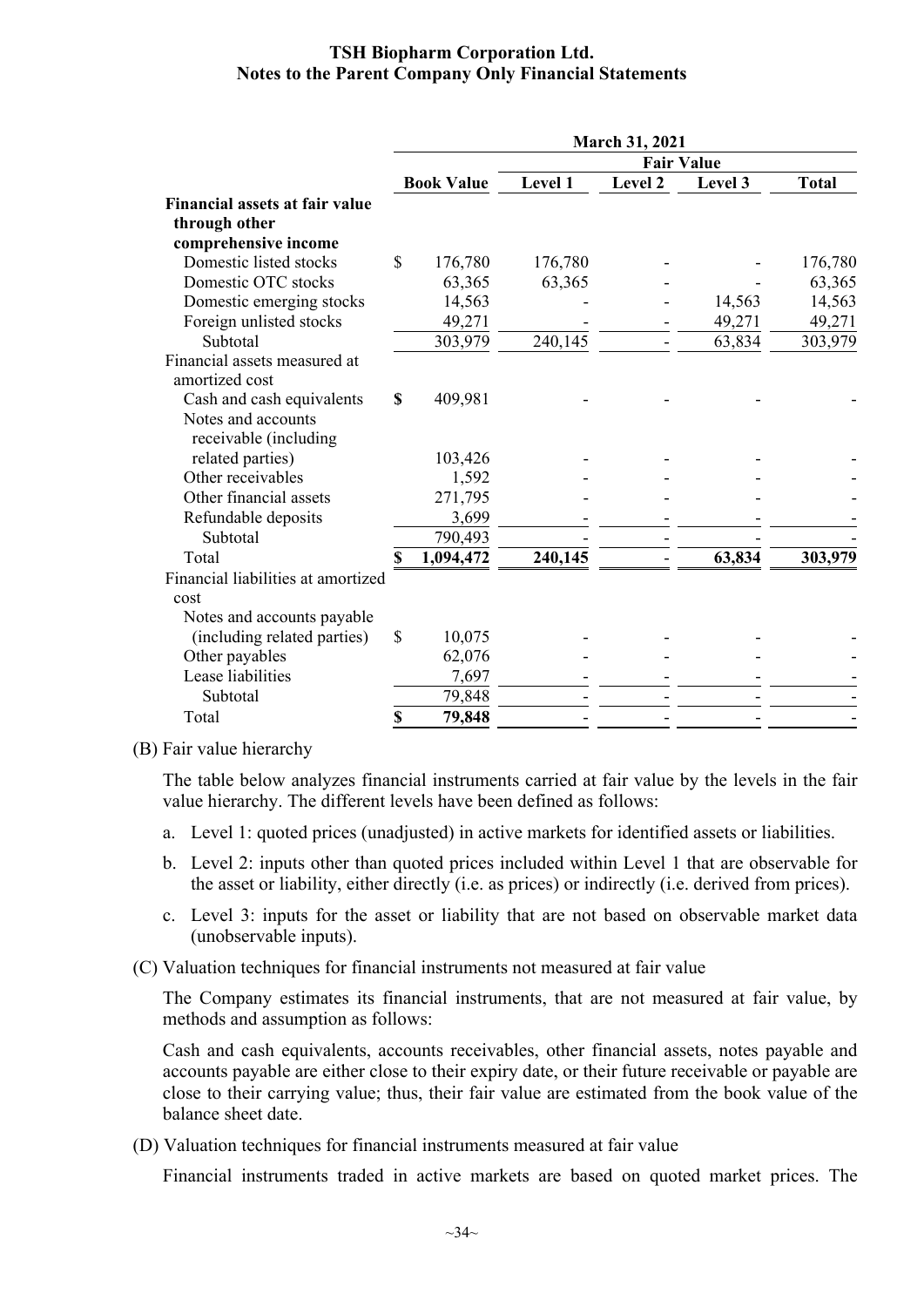|                                                | <b>March 31, 2021</b> |                   |         |                          |                   |              |
|------------------------------------------------|-----------------------|-------------------|---------|--------------------------|-------------------|--------------|
|                                                |                       |                   |         |                          | <b>Fair Value</b> |              |
|                                                |                       | <b>Book Value</b> | Level 1 | Level 2                  | Level 3           | <b>Total</b> |
| <b>Financial assets at fair value</b>          |                       |                   |         |                          |                   |              |
| through other                                  |                       |                   |         |                          |                   |              |
| comprehensive income                           |                       |                   |         |                          |                   |              |
| Domestic listed stocks                         | $\mathbb{S}$          | 176,780           | 176,780 |                          |                   | 176,780      |
| Domestic OTC stocks                            |                       | 63,365            | 63,365  |                          |                   | 63,365       |
| Domestic emerging stocks                       |                       | 14,563            |         |                          | 14,563            | 14,563       |
| Foreign unlisted stocks                        |                       | 49,271            |         |                          | 49,271            | 49,271       |
| Subtotal                                       |                       | 303,979           | 240,145 | $\overline{\phantom{a}}$ | 63,834            | 303,979      |
| Financial assets measured at<br>amortized cost |                       |                   |         |                          |                   |              |
| Cash and cash equivalents                      | \$                    | 409,981           |         |                          |                   |              |
| Notes and accounts<br>receivable (including    |                       |                   |         |                          |                   |              |
| related parties)                               |                       | 103,426           |         |                          |                   |              |
| Other receivables                              |                       | 1,592             |         |                          |                   |              |
| Other financial assets                         |                       | 271,795           |         |                          |                   |              |
| Refundable deposits                            |                       | 3,699             |         |                          |                   |              |
| Subtotal                                       |                       | 790,493           |         |                          |                   |              |
| Total                                          |                       | 1,094,472         | 240,145 |                          | 63,834            | 303,979      |
| Financial liabilities at amortized             |                       |                   |         |                          |                   |              |
| cost                                           |                       |                   |         |                          |                   |              |
| Notes and accounts payable                     |                       |                   |         |                          |                   |              |
| (including related parties)                    | $\mathbf S$           | 10,075            |         |                          |                   |              |
| Other payables                                 |                       | 62,076            |         |                          |                   |              |
| Lease liabilities                              |                       | 7,697             |         |                          |                   |              |
| Subtotal                                       |                       | 79,848            |         |                          |                   |              |
| Total                                          | \$                    | 79,848            |         |                          |                   |              |
|                                                |                       |                   |         |                          |                   |              |

#### (B) Fair value hierarchy

The table below analyzes financial instruments carried at fair value by the levels in the fair value hierarchy. The different levels have been defined as follows:

- a. Level 1: quoted prices (unadjusted) in active markets for identified assets or liabilities.
- b. Level 2: inputs other than quoted prices included within Level 1 that are observable for the asset or liability, either directly (i.e. as prices) or indirectly (i.e. derived from prices).
- c. Level 3: inputs for the asset or liability that are not based on observable market data (unobservable inputs).
- (C) Valuation techniques for financial instruments not measured at fair value

The Company estimates its financial instruments, that are not measured at fair value, by methods and assumption as follows:

Cash and cash equivalents, accounts receivables, other financial assets, notes payable and accounts payable are either close to their expiry date, or their future receivable or payable are close to their carrying value; thus, their fair value are estimated from the book value of the balance sheet date.

(D) Valuation techniques for financial instruments measured at fair value

Financial instruments traded in active markets are based on quoted market prices. The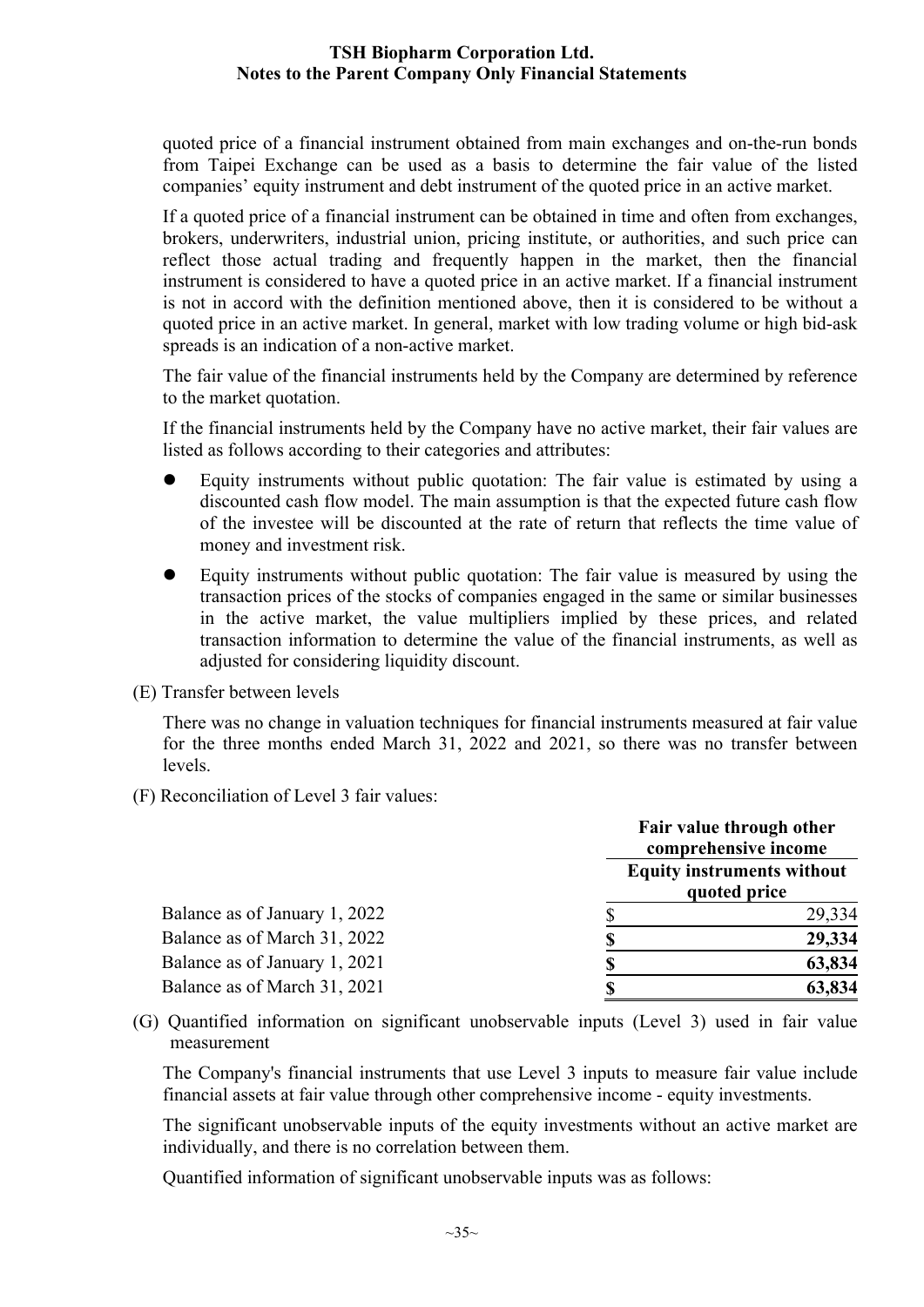quoted price of a financial instrument obtained from main exchanges and on-the-run bonds from Taipei Exchange can be used as a basis to determine the fair value of the listed companies' equity instrument and debt instrument of the quoted price in an active market.

If a quoted price of a financial instrument can be obtained in time and often from exchanges, brokers, underwriters, industrial union, pricing institute, or authorities, and such price can reflect those actual trading and frequently happen in the market, then the financial instrument is considered to have a quoted price in an active market. If a financial instrument is not in accord with the definition mentioned above, then it is considered to be without a quoted price in an active market. In general, market with low trading volume or high bid-ask spreads is an indication of a non-active market.

The fair value of the financial instruments held by the Company are determined by reference to the market quotation.

If the financial instruments held by the Company have no active market, their fair values are listed as follows according to their categories and attributes:

- Equity instruments without public quotation: The fair value is estimated by using a discounted cash flow model. The main assumption is that the expected future cash flow of the investee will be discounted at the rate of return that reflects the time value of money and investment risk.
- Equity instruments without public quotation: The fair value is measured by using the transaction prices of the stocks of companies engaged in the same or similar businesses in the active market, the value multipliers implied by these prices, and related transaction information to determine the value of the financial instruments, as well as adjusted for considering liquidity discount.

(E) Transfer between levels

There was no change in valuation techniques for financial instruments measured at fair value for the three months ended March 31, 2022 and 2021, so there was no transfer between levels.

(F) Reconciliation of Level 3 fair values:

|                               | Fair value through other<br>comprehensive income  |
|-------------------------------|---------------------------------------------------|
|                               | <b>Equity instruments without</b><br>quoted price |
| Balance as of January 1, 2022 | 29,334                                            |
| Balance as of March 31, 2022  | 29,334                                            |
| Balance as of January 1, 2021 | 63,834                                            |
| Balance as of March 31, 2021  | 63,834                                            |

(G) Quantified information on significant unobservable inputs (Level 3) used in fair value measurement

The Company's financial instruments that use Level 3 inputs to measure fair value include financial assets at fair value through other comprehensive income - equity investments.

The significant unobservable inputs of the equity investments without an active market are individually, and there is no correlation between them.

Quantified information of significant unobservable inputs was as follows: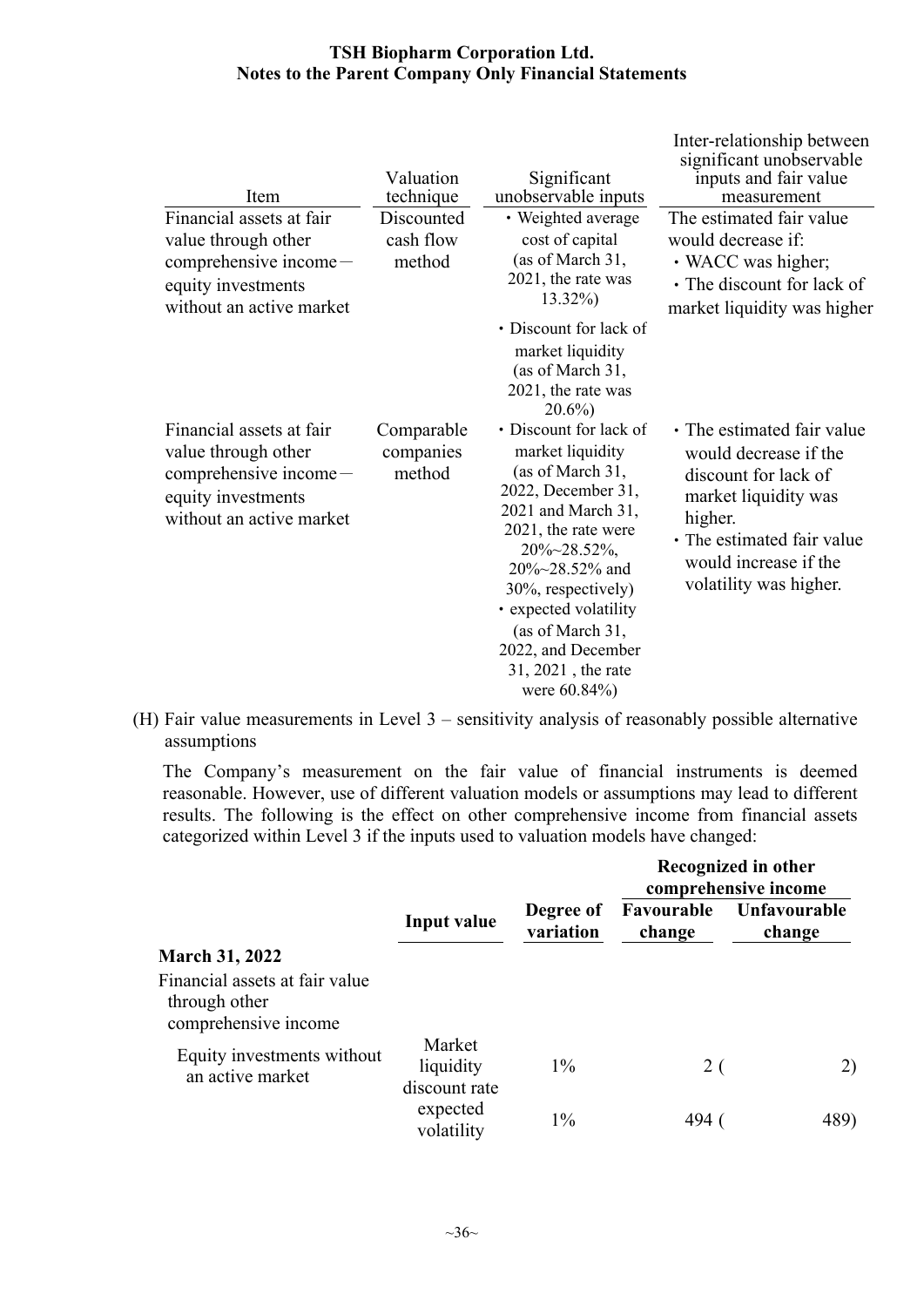| Item                                                                                                                       | Valuation<br>technique            | Significant<br>unobservable inputs                                                                                                                                                                                                                                                                          | Inter-relationship between<br>significant unobservable<br>inputs and fair value<br>measurement                                                                                                  |
|----------------------------------------------------------------------------------------------------------------------------|-----------------------------------|-------------------------------------------------------------------------------------------------------------------------------------------------------------------------------------------------------------------------------------------------------------------------------------------------------------|-------------------------------------------------------------------------------------------------------------------------------------------------------------------------------------------------|
| Financial assets at fair<br>value through other<br>comprehensive income-<br>equity investments<br>without an active market | Discounted<br>cash flow<br>method | • Weighted average<br>cost of capital<br>(as of March 31,<br>2021, the rate was<br>$13.32\%$<br>• Discount for lack of<br>market liquidity<br>(as of March 31,<br>2021, the rate was<br>$20.6\%$                                                                                                            | The estimated fair value<br>would decrease if:<br>• WACC was higher;<br>• The discount for lack of<br>market liquidity was higher                                                               |
| Financial assets at fair<br>value through other<br>comprehensive income<br>equity investments<br>without an active market  | Comparable<br>companies<br>method | • Discount for lack of<br>market liquidity<br>(as of March 31,<br>2022, December 31,<br>2021 and March 31,<br>2021, the rate were<br>$20\% \sim 28.52\%$ ,<br>20%~28.52% and<br>30%, respectively)<br>• expected volatility<br>(as of March 31,<br>2022, and December<br>31, 2021, the rate<br>were 60.84%) | • The estimated fair value<br>would decrease if the<br>discount for lack of<br>market liquidity was<br>higher.<br>• The estimated fair value<br>would increase if the<br>volatility was higher. |

(H) Fair value measurements in Level 3 – sensitivity analysis of reasonably possible alternative assumptions

The Company's measurement on the fair value of financial instruments is deemed reasonable. However, use of different valuation models or assumptions may lead to different results. The following is the effect on other comprehensive income from financial assets categorized within Level 3 if the inputs used to valuation models have changed:

|                                                                         |                                      |                        |                      | Recognized in other<br>comprehensive income |  |
|-------------------------------------------------------------------------|--------------------------------------|------------------------|----------------------|---------------------------------------------|--|
|                                                                         | <b>Input value</b>                   | Degree of<br>variation | Favourable<br>change | Unfavourable<br>change                      |  |
| <b>March 31, 2022</b>                                                   |                                      |                        |                      |                                             |  |
| Financial assets at fair value<br>through other<br>comprehensive income |                                      |                        |                      |                                             |  |
| Equity investments without<br>an active market                          | Market<br>liquidity<br>discount rate | $1\%$                  | 2(                   | 2)                                          |  |
|                                                                         | expected<br>volatility               | $1\%$                  | 494                  | 489)                                        |  |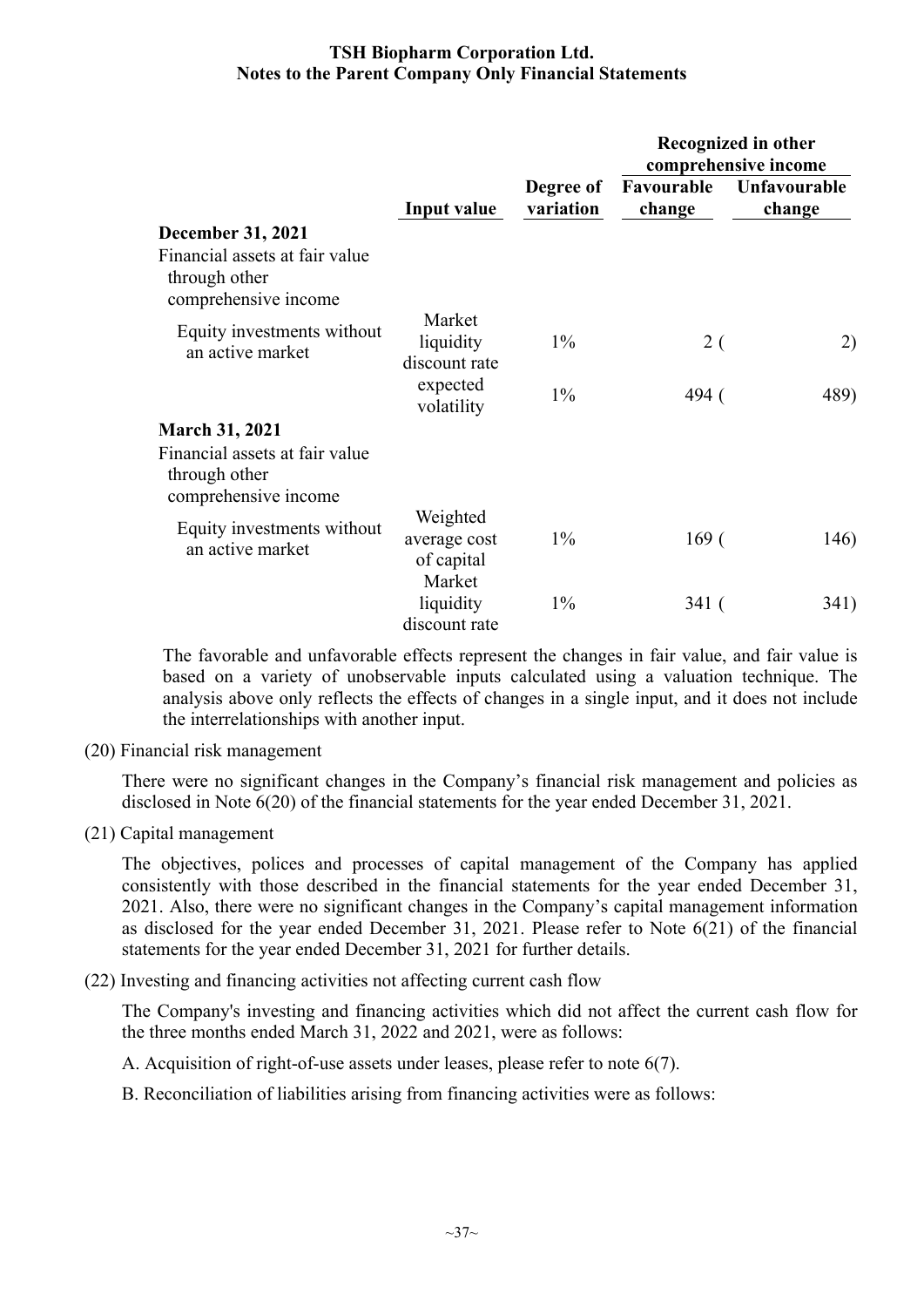|                                                                         |                                                  |                        |                      | Recognized in other<br>comprehensive income |
|-------------------------------------------------------------------------|--------------------------------------------------|------------------------|----------------------|---------------------------------------------|
|                                                                         | Input value                                      | Degree of<br>variation | Favourable<br>change | Unfavourable<br>change                      |
| <b>December 31, 2021</b>                                                |                                                  |                        |                      |                                             |
| Financial assets at fair value<br>through other<br>comprehensive income |                                                  |                        |                      |                                             |
| Equity investments without<br>an active market                          | Market<br>liquidity<br>discount rate             | $1\%$                  | 2 (                  | 2)                                          |
|                                                                         | expected<br>volatility                           | $1\%$                  | 494 (                | 489)                                        |
| <b>March 31, 2021</b>                                                   |                                                  |                        |                      |                                             |
| Financial assets at fair value<br>through other<br>comprehensive income |                                                  |                        |                      |                                             |
| Equity investments without<br>an active market                          | Weighted<br>average cost<br>of capital<br>Market | $1\%$                  | 169(                 | 146)                                        |
|                                                                         | liquidity<br>discount rate                       | $1\%$                  | 341 (                | 341)                                        |

The favorable and unfavorable effects represent the changes in fair value, and fair value is based on a variety of unobservable inputs calculated using a valuation technique. The analysis above only reflects the effects of changes in a single input, and it does not include the interrelationships with another input.

(20) Financial risk management

There were no significant changes in the Company's financial risk management and policies as disclosed in Note 6(20) of the financial statements for the year ended December 31, 2021.

(21) Capital management

The objectives, polices and processes of capital management of the Company has applied consistently with those described in the financial statements for the year ended December 31, 2021. Also, there were no significant changes in the Company's capital management information as disclosed for the year ended December 31, 2021. Please refer to Note 6(21) of the financial statements for the year ended December 31, 2021 for further details.

(22) Investing and financing activities not affecting current cash flow

The Company's investing and financing activities which did not affect the current cash flow for the three months ended March 31, 2022 and 2021, were as follows:

A. Acquisition of right-of-use assets under leases, please refer to note 6(7).

B. Reconciliation of liabilities arising from financing activities were as follows: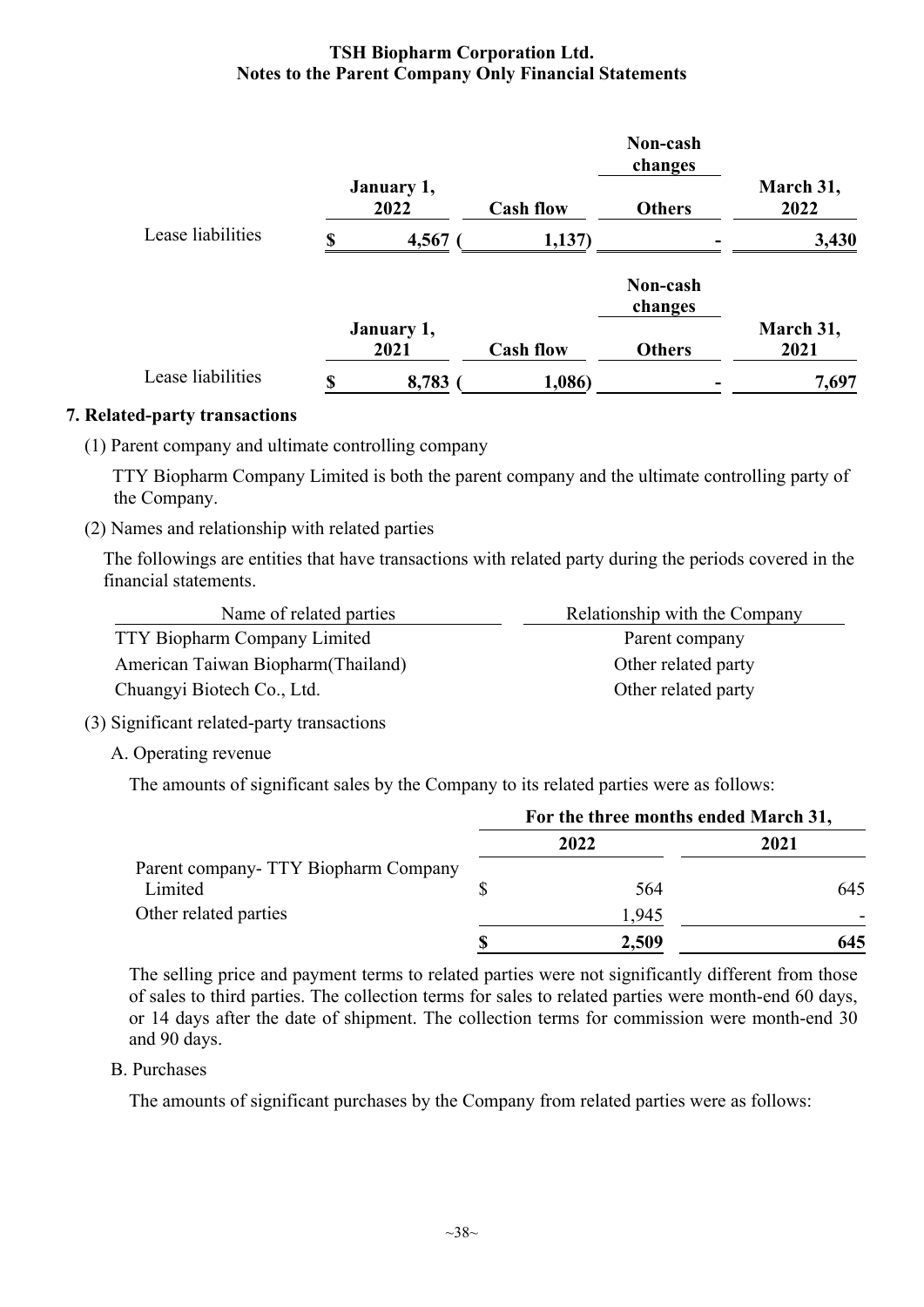|                   |    |                    |                  | Non-cash<br>changes |                   |
|-------------------|----|--------------------|------------------|---------------------|-------------------|
|                   |    | January 1,<br>2022 | <b>Cash flow</b> | <b>Others</b>       | March 31,<br>2022 |
| Lease liabilities | S  | 4,567              | 1,137)           |                     | 3,430             |
|                   |    |                    |                  | Non-cash<br>changes |                   |
|                   |    | January 1,<br>2021 | <b>Cash flow</b> | <b>Others</b>       | March 31,<br>2021 |
| Lease liabilities | \$ | 8,783              | 1,086)           |                     | 7,697             |

#### **7. Related-party transactions**

(1) Parent company and ultimate controlling company

 TTY Biopharm Company Limited is both the parent company and the ultimate controlling party of the Company.

(2) Names and relationship with related parties

The followings are entities that have transactions with related party during the periods covered in the financial statements.

| Name of related parties             | Relationship with the Company |
|-------------------------------------|-------------------------------|
| <b>TTY Biopharm Company Limited</b> | Parent company                |
| American Taiwan Biopharm (Thailand) | Other related party           |
| Chuangyi Biotech Co., Ltd.          | Other related party           |

#### (3) Significant related-party transactions

A. Operating revenue

The amounts of significant sales by the Company to its related parties were as follows:

|                                      | For the three months ended March 31, |      |  |
|--------------------------------------|--------------------------------------|------|--|
|                                      | 2022                                 | 2021 |  |
| Parent company- TTY Biopharm Company |                                      |      |  |
| Limited                              | 564                                  | 645  |  |
| Other related parties                | 1,945                                |      |  |
|                                      | 2,509                                | 645  |  |

The selling price and payment terms to related parties were not significantly different from those of sales to third parties. The collection terms for sales to related parties were month-end 60 days, or 14 days after the date of shipment. The collection terms for commission were month-end 30 and 90 days.

#### B. Purchases

The amounts of significant purchases by the Company from related parties were as follows: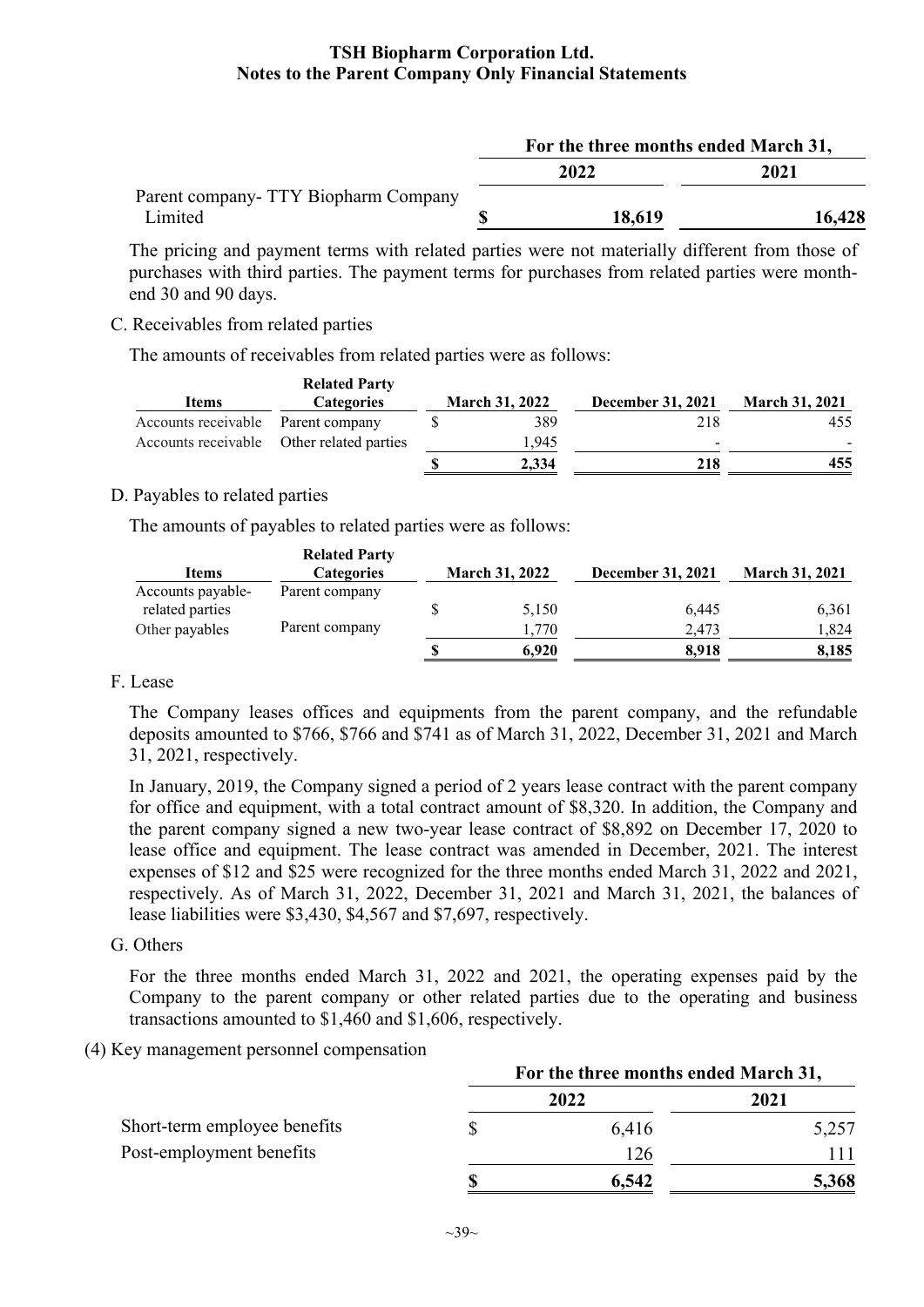|                                       | For the three months ended March 31, |        |  |  |
|---------------------------------------|--------------------------------------|--------|--|--|
|                                       | 2022                                 | 2021   |  |  |
| Parent company - TTY Biopharm Company |                                      |        |  |  |
| Limited                               | 18,619                               | 16,428 |  |  |

The pricing and payment terms with related parties were not materially different from those of purchases with third parties. The payment terms for purchases from related parties were monthend 30 and 90 days.

#### C. Receivables from related parties

The amounts of receivables from related parties were as follows:

| <b>Items</b>        | <b>Related Party</b><br><b>Categories</b> | <b>March 31, 2022</b> |       | <b>December 31, 2021</b> | <b>March 31, 2021</b>    |  |
|---------------------|-------------------------------------------|-----------------------|-------|--------------------------|--------------------------|--|
|                     |                                           |                       |       |                          |                          |  |
| Accounts receivable | Parent company                            |                       | 389   | 218                      | 455                      |  |
|                     | Accounts receivable Other related parties |                       | 1.945 | $\overline{\phantom{0}}$ | $\overline{\phantom{0}}$ |  |
|                     |                                           |                       | 2,334 | 218                      | 455                      |  |

#### D. Payables to related parties

The amounts of payables to related parties were as follows:

|                   | <b>Related Party</b> |                       |                          |                       |
|-------------------|----------------------|-----------------------|--------------------------|-----------------------|
| Items             | <b>Categories</b>    | <b>March 31, 2022</b> | <b>December 31, 2021</b> | <b>March 31, 2021</b> |
| Accounts payable- | Parent company       |                       |                          |                       |
| related parties   |                      | 5,150                 | 6,445                    | 6,361                 |
| Other payables    | Parent company       | 1.770                 | 2.473                    | 1,824                 |
|                   |                      | 6.920                 | 8.918                    | 8,185                 |

#### F. Lease

The Company leases offices and equipments from the parent company, and the refundable deposits amounted to \$766, \$766 and \$741 as of March 31, 2022, December 31, 2021 and March 31, 2021, respectively.

In January, 2019, the Company signed a period of 2 years lease contract with the parent company for office and equipment, with a total contract amount of \$8,320. In addition, the Company and the parent company signed a new two-year lease contract of \$8,892 on December 17, 2020 to lease office and equipment. The lease contract was amended in December, 2021. The interest expenses of \$12 and \$25 were recognized for the three months ended March 31, 2022 and 2021, respectively. As of March 31, 2022, December 31, 2021 and March 31, 2021, the balances of lease liabilities were \$3,430, \$4,567 and \$7,697, respectively.

#### G. Others

For the three months ended March 31, 2022 and 2021, the operating expenses paid by the Company to the parent company or other related parties due to the operating and business transactions amounted to \$1,460 and \$1,606, respectively.

#### (4) Key management personnel compensation

|                              | For the three months ended March 31, |       |       |  |
|------------------------------|--------------------------------------|-------|-------|--|
|                              |                                      | 2022  | 2021  |  |
| Short-term employee benefits |                                      | 6,416 | 5,257 |  |
| Post-employment benefits     |                                      | 126   |       |  |
|                              |                                      | 6,542 | 5,368 |  |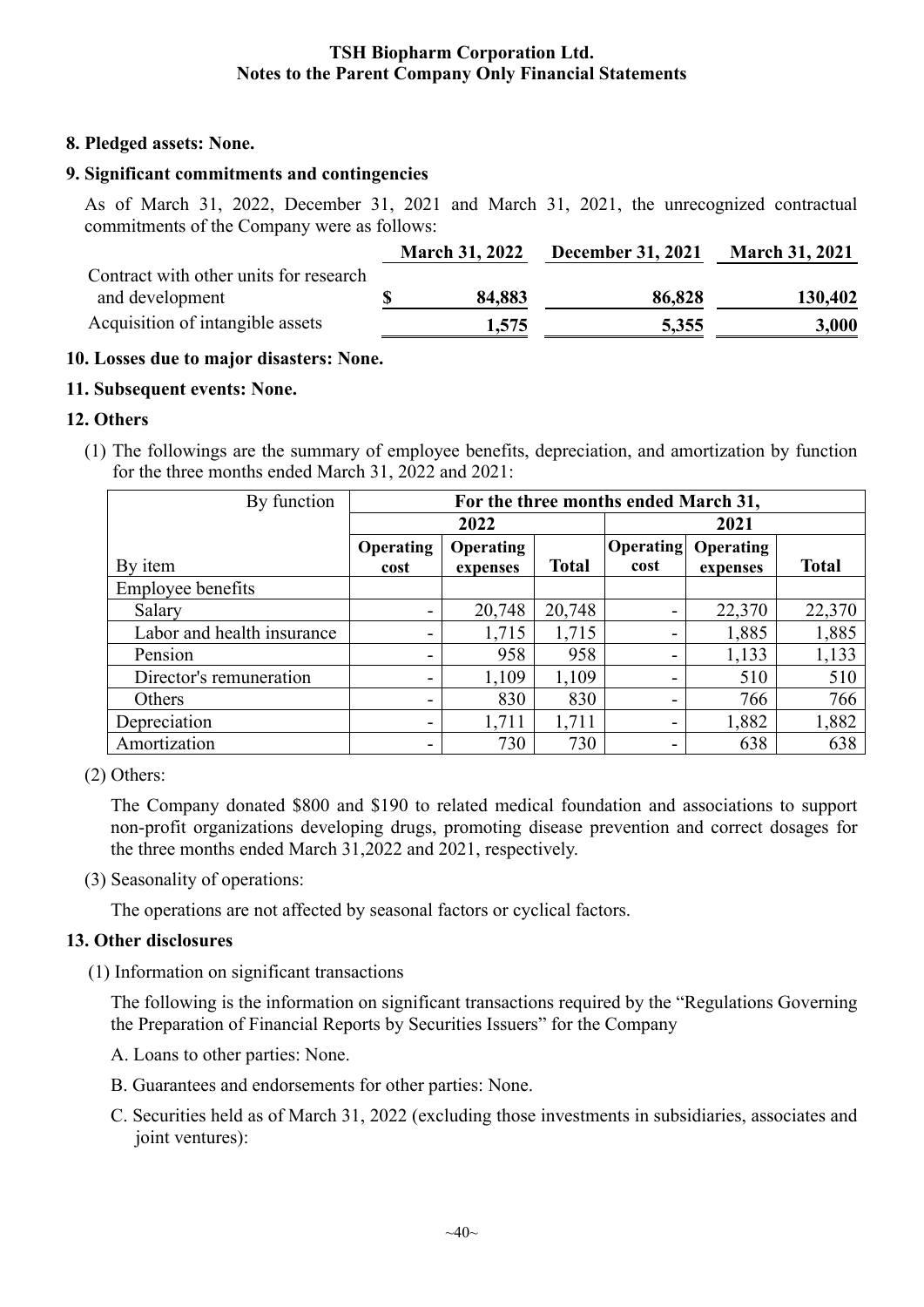#### **8. Pledged assets: None.**

#### **9. Significant commitments and contingencies**

As of March 31, 2022, December 31, 2021 and March 31, 2021, the unrecognized contractual commitments of the Company were as follows:

|                                        | <b>March 31, 2022</b> | <b>December 31, 2021</b> | <b>March 31, 2021</b> |
|----------------------------------------|-----------------------|--------------------------|-----------------------|
| Contract with other units for research |                       |                          |                       |
| and development                        | 84,883                | 86,828                   | 130,402               |
| Acquisition of intangible assets       | 1,575                 | 5,355                    | 3,000                 |

#### **10. Losses due to major disasters: None.**

#### **11. Subsequent events: None.**

#### **12. Others**

(1) The followings are the summary of employee benefits, depreciation, and amortization by function for the three months ended March 31, 2022 and 2021:

| By function                | For the three months ended March 31, |                  |              |                  |                  |              |
|----------------------------|--------------------------------------|------------------|--------------|------------------|------------------|--------------|
|                            |                                      | 2022             |              | 2021             |                  |              |
|                            | <b>Operating</b>                     | <b>Operating</b> |              | <b>Operating</b> | <b>Operating</b> |              |
| By item                    | cost                                 | expenses         | <b>Total</b> | cost             | expenses         | <b>Total</b> |
| <b>Employee benefits</b>   |                                      |                  |              |                  |                  |              |
| Salary                     |                                      | 20,748           | 20,748       | -                | 22,370           | 22,370       |
| Labor and health insurance |                                      | 1,715            | 1,715        |                  | 1,885            | 1,885        |
| Pension                    |                                      | 958              | 958          | -                | 1,133            | 1,133        |
| Director's remuneration    |                                      | 1,109            | 1,109        | -                | 510              | 510          |
| Others                     | ۰                                    | 830              | 830          | -                | 766              | 766          |
| Depreciation               | ۰                                    | 1,711            | 1,711        | -                | 1,882            | 1,882        |
| Amortization               |                                      | 730              | 730          | -                | 638              | 638          |

(2) Others:

The Company donated \$800 and \$190 to related medical foundation and associations to support non-profit organizations developing drugs, promoting disease prevention and correct dosages for the three months ended March 31,2022 and 2021, respectively.

(3) Seasonality of operations:

The operations are not affected by seasonal factors or cyclical factors.

#### **13. Other disclosures**

(1) Information on significant transactions

The following is the information on significant transactions required by the "Regulations Governing the Preparation of Financial Reports by Securities Issuers" for the Company

- A. Loans to other parties: None.
- B. Guarantees and endorsements for other parties: None.
- C. Securities held as of March 31, 2022 (excluding those investments in subsidiaries, associates and joint ventures):